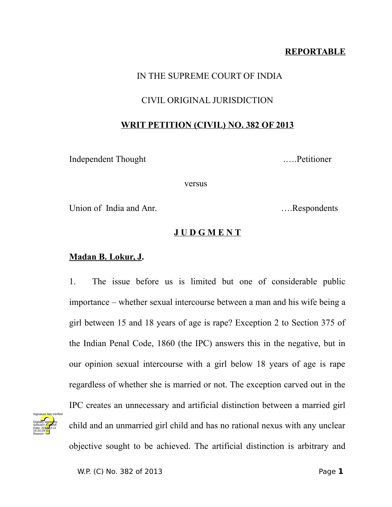# **REPORTABLE**

# IN THE SUPREME COURT OF INDIA

# CIVIL ORIGINAL JURISDICTION

### **WRIT PETITION (CIVIL) NO. 382 OF 2013**

Independent Thought .….Petitioner

versus

Union of India and Anr. **Example 19** 1. Respondents

# **J U D G M E N T**

# **Madan B. Lokur, J.**

1. The issue before us is limited but one of considerable public importance – whether sexual intercourse between a man and his wife being a girl between 15 and 18 years of age is rape? Exception 2 to Section 375 of the Indian Penal Code, 1860 (the IPC) answers this in the negative, but in our opinion sexual intercourse with a girl below 18 years of age is rape regardless of whether she is married or not. The exception carved out in the IPC creates an unnecessary and artificial distinction between a married girl child and an unmarried girl child and has no rational nexus with any unclear objective sought to be achieved. The artificial distinction is arbitrary and

Digitally signed by SANJAY <mark>KU</mark>MAR Date: 2017-10.11 16:20:29 IST Reason:

Signature Not Verified

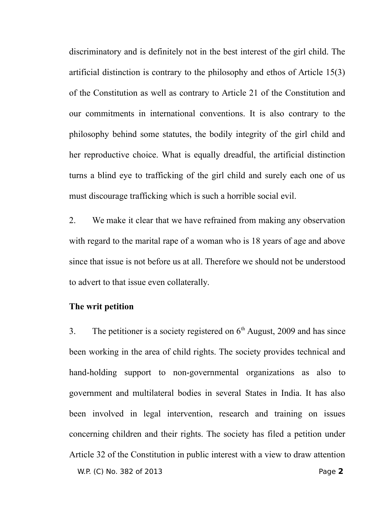discriminatory and is definitely not in the best interest of the girl child. The artificial distinction is contrary to the philosophy and ethos of Article 15(3) of the Constitution as well as contrary to Article 21 of the Constitution and our commitments in international conventions. It is also contrary to the philosophy behind some statutes, the bodily integrity of the girl child and her reproductive choice. What is equally dreadful, the artificial distinction turns a blind eye to trafficking of the girl child and surely each one of us must discourage trafficking which is such a horrible social evil.

2. We make it clear that we have refrained from making any observation with regard to the marital rape of a woman who is 18 years of age and above since that issue is not before us at all. Therefore we should not be understood to advert to that issue even collaterally.

#### **The writ petition**

3. The petitioner is a society registered on  $6<sup>th</sup>$  August, 2009 and has since been working in the area of child rights. The society provides technical and hand-holding support to non-governmental organizations as also to government and multilateral bodies in several States in India. It has also been involved in legal intervention, research and training on issues concerning children and their rights. The society has filed a petition under Article 32 of the Constitution in public interest with a view to draw attention W.P. (C) No. 382 of 2013 Page **2**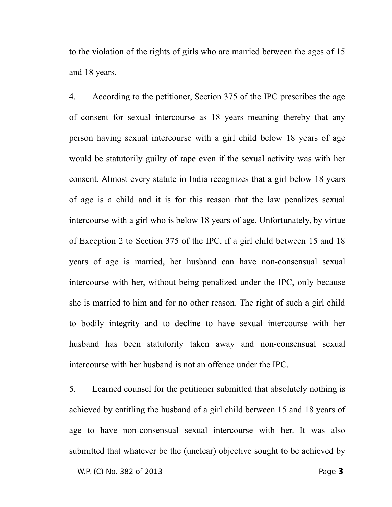to the violation of the rights of girls who are married between the ages of 15 and 18 years.

4. According to the petitioner, Section 375 of the IPC prescribes the age of consent for sexual intercourse as 18 years meaning thereby that any person having sexual intercourse with a girl child below 18 years of age would be statutorily guilty of rape even if the sexual activity was with her consent. Almost every statute in India recognizes that a girl below 18 years of age is a child and it is for this reason that the law penalizes sexual intercourse with a girl who is below 18 years of age. Unfortunately, by virtue of Exception 2 to Section 375 of the IPC, if a girl child between 15 and 18 years of age is married, her husband can have non-consensual sexual intercourse with her, without being penalized under the IPC, only because she is married to him and for no other reason. The right of such a girl child to bodily integrity and to decline to have sexual intercourse with her husband has been statutorily taken away and non-consensual sexual intercourse with her husband is not an offence under the IPC.

5. Learned counsel for the petitioner submitted that absolutely nothing is achieved by entitling the husband of a girl child between 15 and 18 years of age to have non-consensual sexual intercourse with her. It was also submitted that whatever be the (unclear) objective sought to be achieved by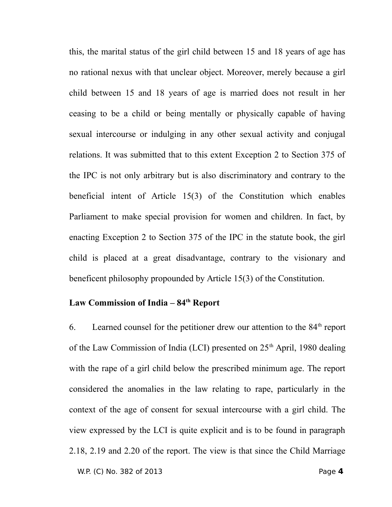this, the marital status of the girl child between 15 and 18 years of age has no rational nexus with that unclear object. Moreover, merely because a girl child between 15 and 18 years of age is married does not result in her ceasing to be a child or being mentally or physically capable of having sexual intercourse or indulging in any other sexual activity and conjugal relations. It was submitted that to this extent Exception 2 to Section 375 of the IPC is not only arbitrary but is also discriminatory and contrary to the beneficial intent of Article 15(3) of the Constitution which enables Parliament to make special provision for women and children. In fact, by enacting Exception 2 to Section 375 of the IPC in the statute book, the girl child is placed at a great disadvantage, contrary to the visionary and beneficent philosophy propounded by Article 15(3) of the Constitution.

# **Law Commission of India – 84th Report**

6. Learned counsel for the petitioner drew our attention to the  $84<sup>th</sup>$  report of the Law Commission of India (LCI) presented on  $25<sup>th</sup>$  April, 1980 dealing with the rape of a girl child below the prescribed minimum age. The report considered the anomalies in the law relating to rape, particularly in the context of the age of consent for sexual intercourse with a girl child. The view expressed by the LCI is quite explicit and is to be found in paragraph 2.18, 2.19 and 2.20 of the report. The view is that since the Child Marriage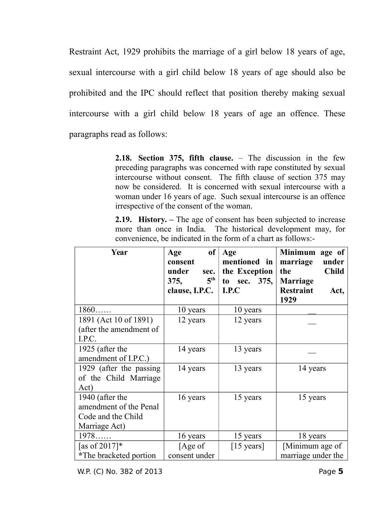Restraint Act, 1929 prohibits the marriage of a girl below 18 years of age, sexual intercourse with a girl child below 18 years of age should also be prohibited and the IPC should reflect that position thereby making sexual intercourse with a girl child below 18 years of age an offence. These paragraphs read as follows:

> **2.18. Section 375, fifth clause.** – The discussion in the few preceding paragraphs was concerned with rape constituted by sexual intercourse without consent. The fifth clause of section 375 may now be considered. It is concerned with sexual intercourse with a woman under 16 years of age. Such sexual intercourse is an offence irrespective of the consent of the woman.

**2.19. History.** – The age of consent has been subjected to increase more than once in India. The historical development may, for convenience, be indicated in the form of a chart as follows:-

| Year                                                                             | <b>of</b><br>Age<br>consent<br>under<br>sec.<br>$5^{\text{th}}$<br>375,<br>clause, I.P.C. | Age<br>mentioned in<br>the Exception<br>to sec. 375,<br>I.P.C | <b>Minimum</b><br>age of<br>marriage<br>under<br><b>Child</b><br>the<br><b>Marriage</b><br><b>Restraint</b><br>Act,<br>1929 |
|----------------------------------------------------------------------------------|-------------------------------------------------------------------------------------------|---------------------------------------------------------------|-----------------------------------------------------------------------------------------------------------------------------|
| 1860                                                                             | 10 years                                                                                  | 10 years                                                      |                                                                                                                             |
| 1891 (Act 10 of 1891)<br>(after the amendment of<br>I.P.C.                       | 12 years                                                                                  | 12 years                                                      |                                                                                                                             |
| 1925 (after the<br>amendment of I.P.C.)                                          | 14 years                                                                                  | 13 years                                                      |                                                                                                                             |
| 1929 (after the passing<br>of the Child Marriage<br>Act)                         | 14 years                                                                                  | 13 years                                                      | 14 years                                                                                                                    |
| 1940 (after the<br>amendment of the Penal<br>Code and the Child<br>Marriage Act) | 16 years                                                                                  | 15 years                                                      | 15 years                                                                                                                    |
| 1978                                                                             | 16 years                                                                                  | 15 years                                                      | 18 years                                                                                                                    |
| [as of $2017$ ]*<br>*The bracketed portion                                       | [Age of<br>consent under                                                                  | $[15 \text{ years}]$                                          | [Minimum age of<br>marriage under the                                                                                       |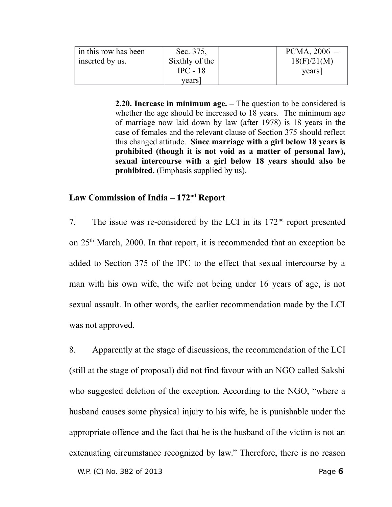| in this row has been | Sec. 375,      | $PCMA$ , 2006 – |
|----------------------|----------------|-----------------|
| inserted by us.      | Sixthly of the | 18(F)/21(M)     |
|                      | $IPC - 18$     | years           |
|                      | years          |                 |

**2.20. Increase in minimum age. –** The question to be considered is whether the age should be increased to 18 years. The minimum age of marriage now laid down by law (after 1978) is 18 years in the case of females and the relevant clause of Section 375 should reflect this changed attitude. **Since marriage with a girl below 18 years is prohibited (though it is not void as a matter of personal law), sexual intercourse with a girl below 18 years should also be prohibited.** (Emphasis supplied by us).

#### **Law Commission of India – 172nd Report**

7. The issue was re-considered by the LCI in its  $172<sup>nd</sup>$  report presented on  $25<sup>th</sup>$  March, 2000. In that report, it is recommended that an exception be added to Section 375 of the IPC to the effect that sexual intercourse by a man with his own wife, the wife not being under 16 years of age, is not sexual assault. In other words, the earlier recommendation made by the LCI was not approved.

8. Apparently at the stage of discussions, the recommendation of the LCI (still at the stage of proposal) did not find favour with an NGO called Sakshi who suggested deletion of the exception. According to the NGO, "where a husband causes some physical injury to his wife, he is punishable under the appropriate offence and the fact that he is the husband of the victim is not an extenuating circumstance recognized by law." Therefore, there is no reason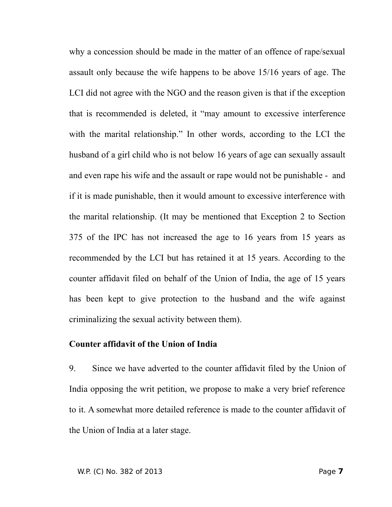why a concession should be made in the matter of an offence of rape/sexual assault only because the wife happens to be above 15/16 years of age. The LCI did not agree with the NGO and the reason given is that if the exception that is recommended is deleted, it "may amount to excessive interference with the marital relationship." In other words, according to the LCI the husband of a girl child who is not below 16 years of age can sexually assault and even rape his wife and the assault or rape would not be punishable - and if it is made punishable, then it would amount to excessive interference with the marital relationship. (It may be mentioned that Exception 2 to Section 375 of the IPC has not increased the age to 16 years from 15 years as recommended by the LCI but has retained it at 15 years. According to the counter affidavit filed on behalf of the Union of India, the age of 15 years has been kept to give protection to the husband and the wife against criminalizing the sexual activity between them).

#### **Counter affidavit of the Union of India**

9. Since we have adverted to the counter affidavit filed by the Union of India opposing the writ petition, we propose to make a very brief reference to it. A somewhat more detailed reference is made to the counter affidavit of the Union of India at a later stage.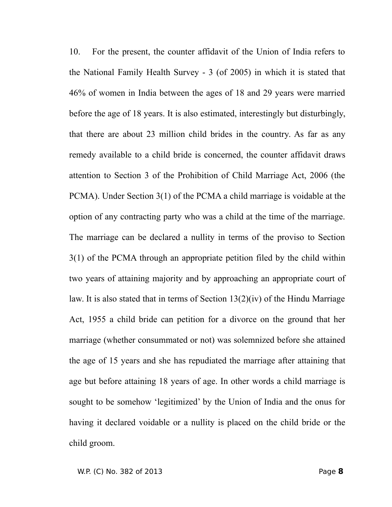10. For the present, the counter affidavit of the Union of India refers to the National Family Health Survey - 3 (of 2005) in which it is stated that 46% of women in India between the ages of 18 and 29 years were married before the age of 18 years. It is also estimated, interestingly but disturbingly, that there are about 23 million child brides in the country. As far as any remedy available to a child bride is concerned, the counter affidavit draws attention to Section 3 of the Prohibition of Child Marriage Act, 2006 (the PCMA). Under Section 3(1) of the PCMA a child marriage is voidable at the option of any contracting party who was a child at the time of the marriage. The marriage can be declared a nullity in terms of the proviso to Section 3(1) of the PCMA through an appropriate petition filed by the child within two years of attaining majority and by approaching an appropriate court of law. It is also stated that in terms of Section 13(2)(iv) of the Hindu Marriage Act, 1955 a child bride can petition for a divorce on the ground that her marriage (whether consummated or not) was solemnized before she attained the age of 15 years and she has repudiated the marriage after attaining that age but before attaining 18 years of age. In other words a child marriage is sought to be somehow 'legitimized' by the Union of India and the onus for having it declared voidable or a nullity is placed on the child bride or the child groom.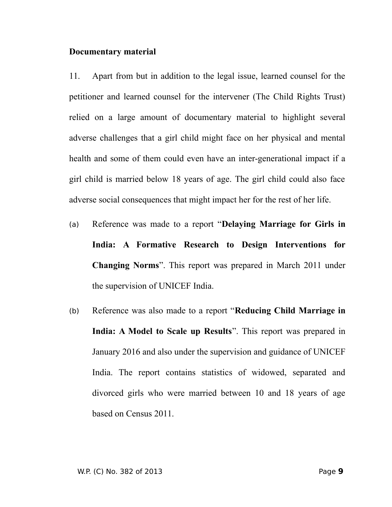#### **Documentary material**

11. Apart from but in addition to the legal issue, learned counsel for the petitioner and learned counsel for the intervener (The Child Rights Trust) relied on a large amount of documentary material to highlight several adverse challenges that a girl child might face on her physical and mental health and some of them could even have an inter-generational impact if a girl child is married below 18 years of age. The girl child could also face adverse social consequences that might impact her for the rest of her life.

- (a) Reference was made to a report "**Delaying Marriage for Girls in India: A Formative Research to Design Interventions for Changing Norms**". This report was prepared in March 2011 under the supervision of UNICEF India.
- (b) Reference was also made to a report "**Reducing Child Marriage in India: A Model to Scale up Results**". This report was prepared in January 2016 and also under the supervision and guidance of UNICEF India. The report contains statistics of widowed, separated and divorced girls who were married between 10 and 18 years of age based on Census 2011.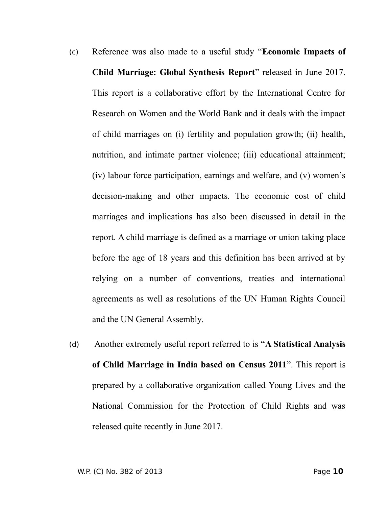- (c) Reference was also made to a useful study "**Economic Impacts of Child Marriage: Global Synthesis Report**" released in June 2017. This report is a collaborative effort by the International Centre for Research on Women and the World Bank and it deals with the impact of child marriages on (i) fertility and population growth; (ii) health, nutrition, and intimate partner violence; (iii) educational attainment; (iv) labour force participation, earnings and welfare, and (v) women's decision-making and other impacts. The economic cost of child marriages and implications has also been discussed in detail in the report. A child marriage is defined as a marriage or union taking place before the age of 18 years and this definition has been arrived at by relying on a number of conventions, treaties and international agreements as well as resolutions of the UN Human Rights Council and the UN General Assembly.
- (d) Another extremely useful report referred to is "**A Statistical Analysis of Child Marriage in India based on Census 2011**". This report is prepared by a collaborative organization called Young Lives and the National Commission for the Protection of Child Rights and was released quite recently in June 2017.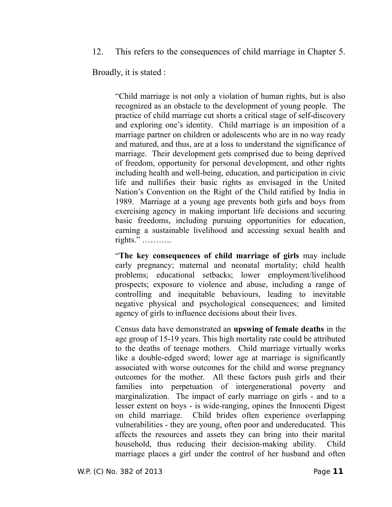12. This refers to the consequences of child marriage in Chapter 5.

Broadly, it is stated :

"Child marriage is not only a violation of human rights, but is also recognized as an obstacle to the development of young people. The practice of child marriage cut shorts a critical stage of self-discovery and exploring one's identity. Child marriage is an imposition of a marriage partner on children or adolescents who are in no way ready and matured, and thus, are at a loss to understand the significance of marriage. Their development gets comprised due to being deprived of freedom, opportunity for personal development, and other rights including health and well-being, education, and participation in civic life and nullifies their basic rights as envisaged in the United Nation's Convention on the Right of the Child ratified by India in 1989. Marriage at a young age prevents both girls and boys from exercising agency in making important life decisions and securing basic freedoms, including pursuing opportunities for education, earning a sustainable livelihood and accessing sexual health and rights." ………..

"**The key consequences of child marriage of girls** may include early pregnancy; maternal and neonatal mortality; child health problems; educational setbacks; lower employment/livelihood prospects; exposure to violence and abuse, including a range of controlling and inequitable behaviours, leading to inevitable negative physical and psychological consequences; and limited agency of girls to influence decisions about their lives.

Census data have demonstrated an **upswing of female deaths** in the age group of 15-19 years. This high mortality rate could be attributed to the deaths of teenage mothers. Child marriage virtually works like a double-edged sword; lower age at marriage is significantly associated with worse outcomes for the child and worse pregnancy outcomes for the mother. All these factors push girls and their families into perpetuation of intergenerational poverty and marginalization. The impact of early marriage on girls - and to a lesser extent on boys - is wide-ranging, opines the Innocenti Digest on child marriage. Child brides often experience overlapping vulnerabilities - they are young, often poor and undereducated. This affects the resources and assets they can bring into their marital household, thus reducing their decision-making ability. Child marriage places a girl under the control of her husband and often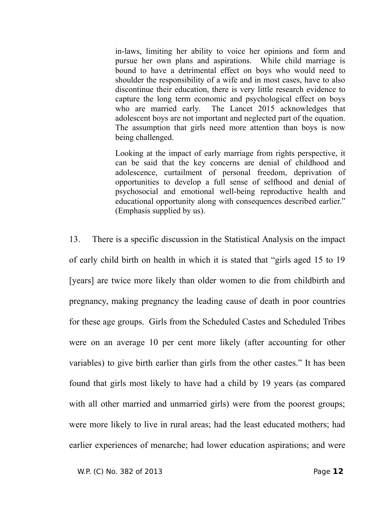in-laws, limiting her ability to voice her opinions and form and pursue her own plans and aspirations. While child marriage is bound to have a detrimental effect on boys who would need to shoulder the responsibility of a wife and in most cases, have to also discontinue their education, there is very little research evidence to capture the long term economic and psychological effect on boys who are married early. The Lancet 2015 acknowledges that adolescent boys are not important and neglected part of the equation. The assumption that girls need more attention than boys is now being challenged.

Looking at the impact of early marriage from rights perspective, it can be said that the key concerns are denial of childhood and adolescence, curtailment of personal freedom, deprivation of opportunities to develop a full sense of selfhood and denial of psychosocial and emotional well-being reproductive health and educational opportunity along with consequences described earlier." (Emphasis supplied by us).

13. There is a specific discussion in the Statistical Analysis on the impact of early child birth on health in which it is stated that "girls aged 15 to 19 [years] are twice more likely than older women to die from childbirth and pregnancy, making pregnancy the leading cause of death in poor countries for these age groups. Girls from the Scheduled Castes and Scheduled Tribes were on an average 10 per cent more likely (after accounting for other variables) to give birth earlier than girls from the other castes." It has been found that girls most likely to have had a child by 19 years (as compared with all other married and unmarried girls) were from the poorest groups; were more likely to live in rural areas; had the least educated mothers; had earlier experiences of menarche; had lower education aspirations; and were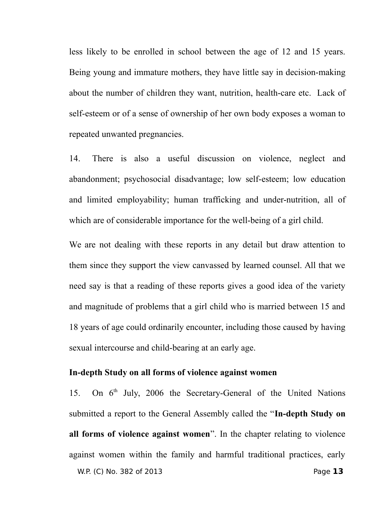less likely to be enrolled in school between the age of 12 and 15 years. Being young and immature mothers, they have little say in decision-making about the number of children they want, nutrition, health-care etc. Lack of self-esteem or of a sense of ownership of her own body exposes a woman to repeated unwanted pregnancies.

14. There is also a useful discussion on violence, neglect and abandonment; psychosocial disadvantage; low self-esteem; low education and limited employability; human trafficking and under-nutrition, all of which are of considerable importance for the well-being of a girl child.

We are not dealing with these reports in any detail but draw attention to them since they support the view canvassed by learned counsel. All that we need say is that a reading of these reports gives a good idea of the variety and magnitude of problems that a girl child who is married between 15 and 18 years of age could ordinarily encounter, including those caused by having sexual intercourse and child-bearing at an early age.

#### **In-depth Study on all forms of violence against women**

15. On  $6<sup>th</sup>$  July, 2006 the Secretary-General of the United Nations submitted a report to the General Assembly called the "**In-depth Study on all forms of violence against women**". In the chapter relating to violence against women within the family and harmful traditional practices, early W.P. (C) No. 382 of 2013 Page **13**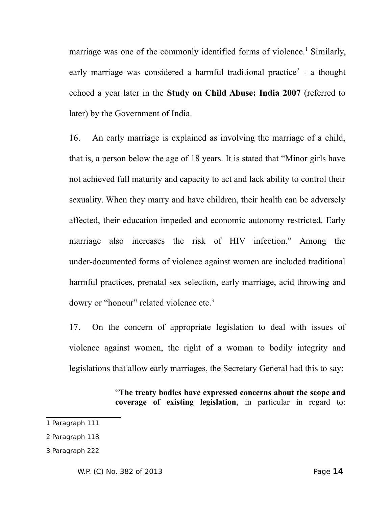marriage was one of the commonly identified forms of violence.<sup>[1](#page-13-0)</sup> Similarly, early marriage was considered a harmful traditional practice<sup>[2](#page-13-1)</sup> - a thought echoed a year later in the **Study on Child Abuse: India 2007** (referred to later) by the Government of India.

16. An early marriage is explained as involving the marriage of a child, that is, a person below the age of 18 years. It is stated that "Minor girls have not achieved full maturity and capacity to act and lack ability to control their sexuality. When they marry and have children, their health can be adversely affected, their education impeded and economic autonomy restricted. Early marriage also increases the risk of HIV infection." Among the under-documented forms of violence against women are included traditional harmful practices, prenatal sex selection, early marriage, acid throwing and dowry or "honour" related violence etc.<sup>[3](#page-13-2)</sup>

17. On the concern of appropriate legislation to deal with issues of violence against women, the right of a woman to bodily integrity and legislations that allow early marriages, the Secretary General had this to say:

> "**The treaty bodies have expressed concerns about the scope and coverage of existing legislation**, in particular in regard to:

<span id="page-13-0"></span><sup>1</sup> Paragraph 111

<span id="page-13-1"></span><sup>2</sup> Paragraph 118

<span id="page-13-2"></span><sup>3</sup> Paragraph 222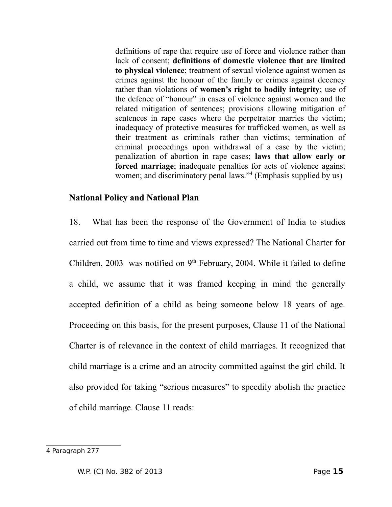definitions of rape that require use of force and violence rather than lack of consent; **definitions of domestic violence that are limited to physical violence**; treatment of sexual violence against women as crimes against the honour of the family or crimes against decency rather than violations of **women's right to bodily integrity**; use of the defence of "honour" in cases of violence against women and the related mitigation of sentences; provisions allowing mitigation of sentences in rape cases where the perpetrator marries the victim; inadequacy of protective measures for trafficked women, as well as their treatment as criminals rather than victims; termination of criminal proceedings upon withdrawal of a case by the victim; penalization of abortion in rape cases; **laws that allow early or forced marriage**; inadequate penalties for acts of violence against women; and discriminatory penal laws."<sup>[4](#page-14-0)</sup> (Emphasis supplied by us)

# **National Policy and National Plan**

18. What has been the response of the Government of India to studies carried out from time to time and views expressed? The National Charter for Children, 2003 was notified on  $9<sup>th</sup>$  February, 2004. While it failed to define a child, we assume that it was framed keeping in mind the generally accepted definition of a child as being someone below 18 years of age. Proceeding on this basis, for the present purposes, Clause 11 of the National Charter is of relevance in the context of child marriages. It recognized that child marriage is a crime and an atrocity committed against the girl child. It also provided for taking "serious measures" to speedily abolish the practice of child marriage. Clause 11 reads:

<span id="page-14-0"></span><sup>4</sup> Paragraph 277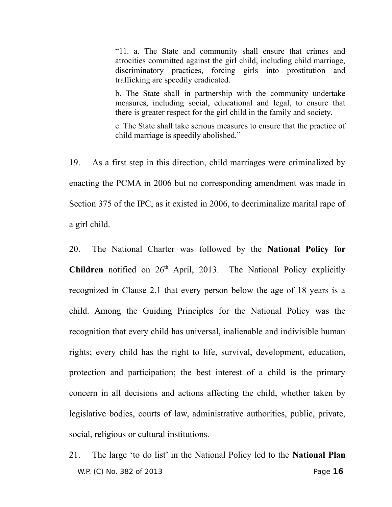"11. a. The State and community shall ensure that crimes and atrocities committed against the girl child, including child marriage, discriminatory practices, forcing girls into prostitution and trafficking are speedily eradicated.

b. The State shall in partnership with the community undertake measures, including social, educational and legal, to ensure that there is greater respect for the girl child in the family and society.

c. The State shall take serious measures to ensure that the practice of child marriage is speedily abolished."

19. As a first step in this direction, child marriages were criminalized by enacting the PCMA in 2006 but no corresponding amendment was made in Section 375 of the IPC, as it existed in 2006, to decriminalize marital rape of a girl child.

20. The National Charter was followed by the **National Policy for** Children notified on 26<sup>th</sup> April, 2013. The National Policy explicitly recognized in Clause 2.1 that every person below the age of 18 years is a child. Among the Guiding Principles for the National Policy was the recognition that every child has universal, inalienable and indivisible human rights; every child has the right to life, survival, development, education, protection and participation; the best interest of a child is the primary concern in all decisions and actions affecting the child, whether taken by legislative bodies, courts of law, administrative authorities, public, private, social, religious or cultural institutions.

21. The large 'to do list' in the National Policy led to the **National Plan** W.P. (C) No. 382 of 2013 Page **16**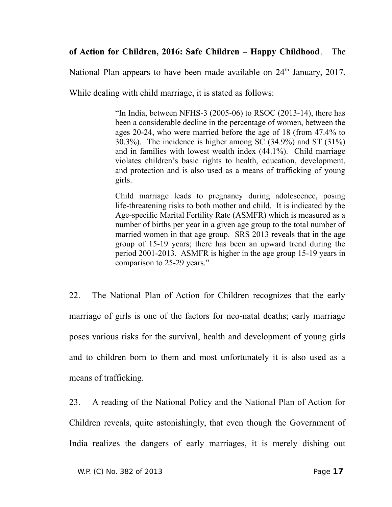# **of Action for Children, 2016: Safe Children – Happy Childhood**. The

National Plan appears to have been made available on  $24<sup>th</sup>$  January, 2017.

While dealing with child marriage, it is stated as follows:

"In India, between NFHS-3  $(2005-06)$  to RSOC  $(2013-14)$ , there has been a considerable decline in the percentage of women, between the ages 20-24, who were married before the age of 18 (from 47.4% to 30.3%). The incidence is higher among SC (34.9%) and ST (31%) and in families with lowest wealth index (44.1%). Child marriage violates children's basic rights to health, education, development, and protection and is also used as a means of trafficking of young girls.

Child marriage leads to pregnancy during adolescence, posing life-threatening risks to both mother and child. It is indicated by the Age-specific Marital Fertility Rate (ASMFR) which is measured as a number of births per year in a given age group to the total number of married women in that age group. SRS 2013 reveals that in the age group of 15-19 years; there has been an upward trend during the period 2001-2013. ASMFR is higher in the age group 15-19 years in comparison to 25-29 years."

22. The National Plan of Action for Children recognizes that the early marriage of girls is one of the factors for neo-natal deaths; early marriage poses various risks for the survival, health and development of young girls and to children born to them and most unfortunately it is also used as a means of trafficking.

23. A reading of the National Policy and the National Plan of Action for Children reveals, quite astonishingly, that even though the Government of India realizes the dangers of early marriages, it is merely dishing out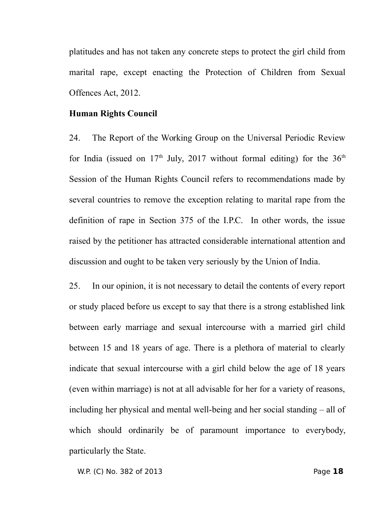platitudes and has not taken any concrete steps to protect the girl child from marital rape, except enacting the Protection of Children from Sexual Offences Act, 2012.

#### **Human Rights Council**

24. The Report of the Working Group on the Universal Periodic Review for India (issued on  $17<sup>th</sup>$  July, 2017 without formal editing) for the  $36<sup>th</sup>$ Session of the Human Rights Council refers to recommendations made by several countries to remove the exception relating to marital rape from the definition of rape in Section 375 of the I.P.C. In other words, the issue raised by the petitioner has attracted considerable international attention and discussion and ought to be taken very seriously by the Union of India.

25. In our opinion, it is not necessary to detail the contents of every report or study placed before us except to say that there is a strong established link between early marriage and sexual intercourse with a married girl child between 15 and 18 years of age. There is a plethora of material to clearly indicate that sexual intercourse with a girl child below the age of 18 years (even within marriage) is not at all advisable for her for a variety of reasons, including her physical and mental well-being and her social standing – all of which should ordinarily be of paramount importance to everybody, particularly the State.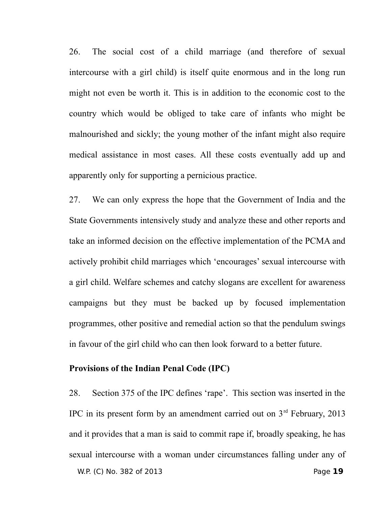26. The social cost of a child marriage (and therefore of sexual intercourse with a girl child) is itself quite enormous and in the long run might not even be worth it. This is in addition to the economic cost to the country which would be obliged to take care of infants who might be malnourished and sickly; the young mother of the infant might also require medical assistance in most cases. All these costs eventually add up and apparently only for supporting a pernicious practice.

27. We can only express the hope that the Government of India and the State Governments intensively study and analyze these and other reports and take an informed decision on the effective implementation of the PCMA and actively prohibit child marriages which 'encourages' sexual intercourse with a girl child. Welfare schemes and catchy slogans are excellent for awareness campaigns but they must be backed up by focused implementation programmes, other positive and remedial action so that the pendulum swings in favour of the girl child who can then look forward to a better future.

## **Provisions of the Indian Penal Code (IPC)**

28. Section 375 of the IPC defines 'rape'. This section was inserted in the IPC in its present form by an amendment carried out on  $3<sup>rd</sup>$  February, 2013 and it provides that a man is said to commit rape if, broadly speaking, he has sexual intercourse with a woman under circumstances falling under any of W.P. (C) No. 382 of 2013 Page **19**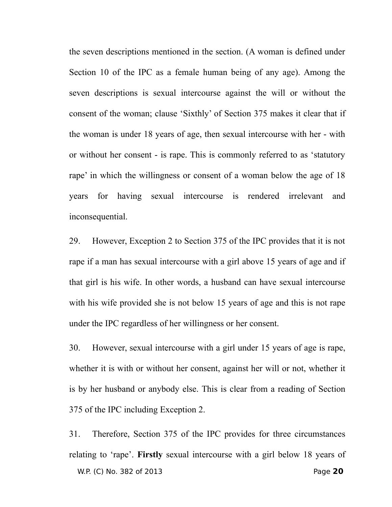the seven descriptions mentioned in the section. (A woman is defined under Section 10 of the IPC as a female human being of any age). Among the seven descriptions is sexual intercourse against the will or without the consent of the woman; clause 'Sixthly' of Section 375 makes it clear that if the woman is under 18 years of age, then sexual intercourse with her - with or without her consent - is rape. This is commonly referred to as 'statutory rape' in which the willingness or consent of a woman below the age of 18 years for having sexual intercourse is rendered irrelevant and inconsequential.

29. However, Exception 2 to Section 375 of the IPC provides that it is not rape if a man has sexual intercourse with a girl above 15 years of age and if that girl is his wife. In other words, a husband can have sexual intercourse with his wife provided she is not below 15 years of age and this is not rape under the IPC regardless of her willingness or her consent.

30. However, sexual intercourse with a girl under 15 years of age is rape, whether it is with or without her consent, against her will or not, whether it is by her husband or anybody else. This is clear from a reading of Section 375 of the IPC including Exception 2.

31. Therefore, Section 375 of the IPC provides for three circumstances relating to 'rape'. **Firstly** sexual intercourse with a girl below 18 years of W.P. (C) No. 382 of 2013 Page **20**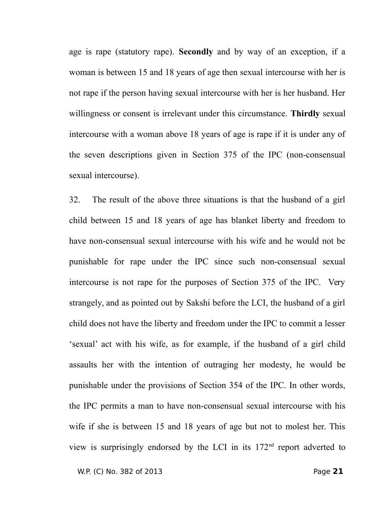age is rape (statutory rape). **Secondly** and by way of an exception, if a woman is between 15 and 18 years of age then sexual intercourse with her is not rape if the person having sexual intercourse with her is her husband. Her willingness or consent is irrelevant under this circumstance. **Thirdly** sexual intercourse with a woman above 18 years of age is rape if it is under any of the seven descriptions given in Section 375 of the IPC (non-consensual sexual intercourse).

32. The result of the above three situations is that the husband of a girl child between 15 and 18 years of age has blanket liberty and freedom to have non-consensual sexual intercourse with his wife and he would not be punishable for rape under the IPC since such non-consensual sexual intercourse is not rape for the purposes of Section 375 of the IPC. Very strangely, and as pointed out by Sakshi before the LCI, the husband of a girl child does not have the liberty and freedom under the IPC to commit a lesser 'sexual' act with his wife, as for example, if the husband of a girl child assaults her with the intention of outraging her modesty, he would be punishable under the provisions of Section 354 of the IPC. In other words, the IPC permits a man to have non-consensual sexual intercourse with his wife if she is between 15 and 18 years of age but not to molest her. This view is surprisingly endorsed by the LCI in its 172nd report adverted to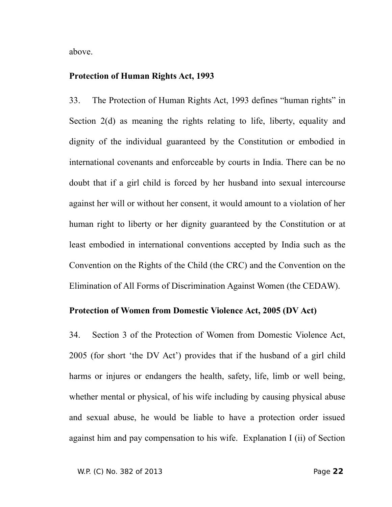above.

#### **Protection of Human Rights Act, 1993**

33. The Protection of Human Rights Act, 1993 defines "human rights" in Section 2(d) as meaning the rights relating to life, liberty, equality and dignity of the individual guaranteed by the Constitution or embodied in international covenants and enforceable by courts in India. There can be no doubt that if a girl child is forced by her husband into sexual intercourse against her will or without her consent, it would amount to a violation of her human right to liberty or her dignity guaranteed by the Constitution or at least embodied in international conventions accepted by India such as the Convention on the Rights of the Child (the CRC) and the Convention on the Elimination of All Forms of Discrimination Against Women (the CEDAW).

# **Protection of Women from Domestic Violence Act, 2005 (DV Act)**

34. Section 3 of the Protection of Women from Domestic Violence Act, 2005 (for short 'the DV Act') provides that if the husband of a girl child harms or injures or endangers the health, safety, life, limb or well being, whether mental or physical, of his wife including by causing physical abuse and sexual abuse, he would be liable to have a protection order issued against him and pay compensation to his wife. Explanation I (ii) of Section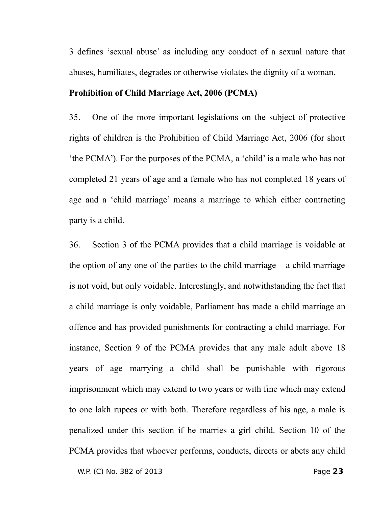3 defines 'sexual abuse' as including any conduct of a sexual nature that abuses, humiliates, degrades or otherwise violates the dignity of a woman.

### **Prohibition of Child Marriage Act, 2006 (PCMA)**

35. One of the more important legislations on the subject of protective rights of children is the Prohibition of Child Marriage Act, 2006 (for short 'the PCMA'). For the purposes of the PCMA, a 'child' is a male who has not completed 21 years of age and a female who has not completed 18 years of age and a 'child marriage' means a marriage to which either contracting party is a child.

36. Section 3 of the PCMA provides that a child marriage is voidable at the option of any one of the parties to the child marriage – a child marriage is not void, but only voidable. Interestingly, and notwithstanding the fact that a child marriage is only voidable, Parliament has made a child marriage an offence and has provided punishments for contracting a child marriage. For instance, Section 9 of the PCMA provides that any male adult above 18 years of age marrying a child shall be punishable with rigorous imprisonment which may extend to two years or with fine which may extend to one lakh rupees or with both. Therefore regardless of his age, a male is penalized under this section if he marries a girl child. Section 10 of the PCMA provides that whoever performs, conducts, directs or abets any child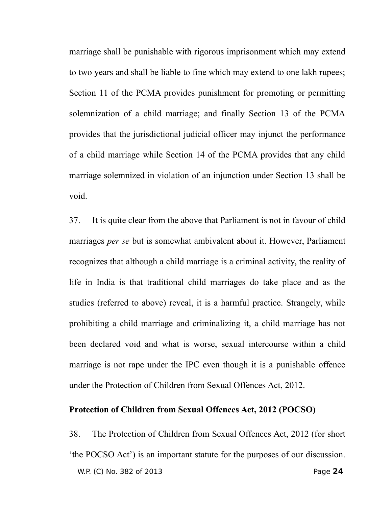marriage shall be punishable with rigorous imprisonment which may extend to two years and shall be liable to fine which may extend to one lakh rupees; Section 11 of the PCMA provides punishment for promoting or permitting solemnization of a child marriage; and finally Section 13 of the PCMA provides that the jurisdictional judicial officer may injunct the performance of a child marriage while Section 14 of the PCMA provides that any child marriage solemnized in violation of an injunction under Section 13 shall be void.

37. It is quite clear from the above that Parliament is not in favour of child marriages *per se* but is somewhat ambivalent about it. However, Parliament recognizes that although a child marriage is a criminal activity, the reality of life in India is that traditional child marriages do take place and as the studies (referred to above) reveal, it is a harmful practice. Strangely, while prohibiting a child marriage and criminalizing it, a child marriage has not been declared void and what is worse, sexual intercourse within a child marriage is not rape under the IPC even though it is a punishable offence under the Protection of Children from Sexual Offences Act, 2012.

#### **Protection of Children from Sexual Offences Act, 2012 (POCSO)**

38. The Protection of Children from Sexual Offences Act, 2012 (for short 'the POCSO Act') is an important statute for the purposes of our discussion. W.P. (C) No. 382 of 2013 Page **24**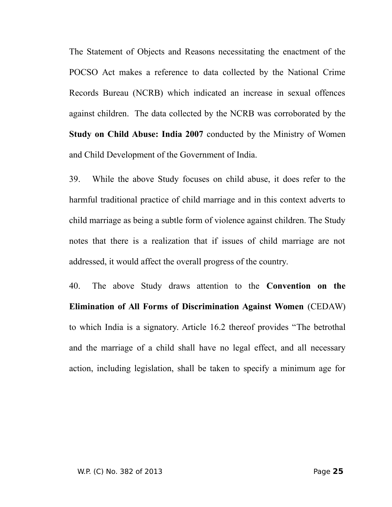The Statement of Objects and Reasons necessitating the enactment of the POCSO Act makes a reference to data collected by the National Crime Records Bureau (NCRB) which indicated an increase in sexual offences against children. The data collected by the NCRB was corroborated by the **Study on Child Abuse: India 2007** conducted by the Ministry of Women and Child Development of the Government of India.

39. While the above Study focuses on child abuse, it does refer to the harmful traditional practice of child marriage and in this context adverts to child marriage as being a subtle form of violence against children. The Study notes that there is a realization that if issues of child marriage are not addressed, it would affect the overall progress of the country.

40. The above Study draws attention to the **Convention on the Elimination of All Forms of Discrimination Against Women** (CEDAW) to which India is a signatory. Article 16.2 thereof provides "The betrothal and the marriage of a child shall have no legal effect, and all necessary action, including legislation, shall be taken to specify a minimum age for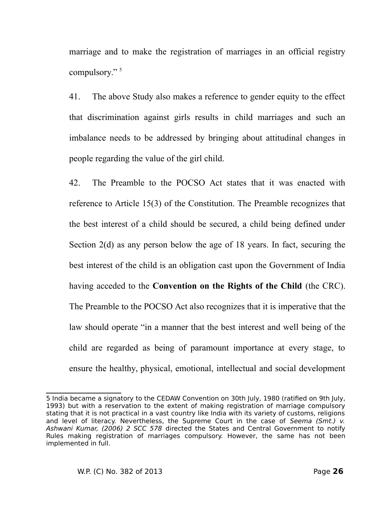marriage and to make the registration of marriages in an official registry compulsory."<sup>[5](#page-25-0)</sup>

41. The above Study also makes a reference to gender equity to the effect that discrimination against girls results in child marriages and such an imbalance needs to be addressed by bringing about attitudinal changes in people regarding the value of the girl child.

42. The Preamble to the POCSO Act states that it was enacted with reference to Article 15(3) of the Constitution. The Preamble recognizes that the best interest of a child should be secured, a child being defined under Section 2(d) as any person below the age of 18 years. In fact, securing the best interest of the child is an obligation cast upon the Government of India having acceded to the **Convention on the Rights of the Child** (the CRC). The Preamble to the POCSO Act also recognizes that it is imperative that the law should operate "in a manner that the best interest and well being of the child are regarded as being of paramount importance at every stage, to ensure the healthy, physical, emotional, intellectual and social development

<span id="page-25-0"></span><sup>5</sup> India became a signatory to the CEDAW Convention on 30th July, 1980 (ratified on 9th July, 1993) but with a reservation to the extent of making registration of marriage compulsory stating that it is not practical in a vast country like India with its variety of customs, religions and level of literacy. Nevertheless, the Supreme Court in the case of Seema (Smt.) v. Ashwani Kumar, (2006) 2 SCC 578 directed the States and Central Government to notify Rules making registration of marriages compulsory. However, the same has not been implemented in full.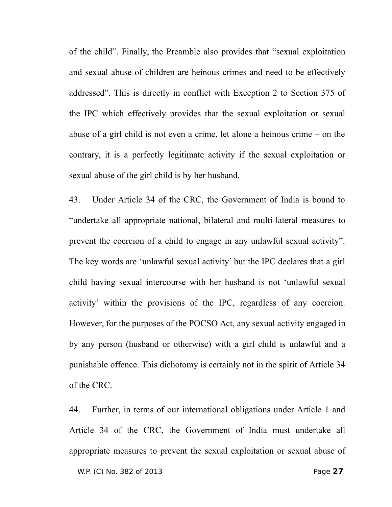of the child". Finally, the Preamble also provides that "sexual exploitation and sexual abuse of children are heinous crimes and need to be effectively addressed". This is directly in conflict with Exception 2 to Section 375 of the IPC which effectively provides that the sexual exploitation or sexual abuse of a girl child is not even a crime, let alone a heinous crime – on the contrary, it is a perfectly legitimate activity if the sexual exploitation or sexual abuse of the girl child is by her husband.

43. Under Article 34 of the CRC, the Government of India is bound to "undertake all appropriate national, bilateral and multi-lateral measures to prevent the coercion of a child to engage in any unlawful sexual activity". The key words are 'unlawful sexual activity' but the IPC declares that a girl child having sexual intercourse with her husband is not 'unlawful sexual activity' within the provisions of the IPC, regardless of any coercion. However, for the purposes of the POCSO Act, any sexual activity engaged in by any person (husband or otherwise) with a girl child is unlawful and a punishable offence. This dichotomy is certainly not in the spirit of Article 34 of the CRC.

44. Further, in terms of our international obligations under Article 1 and Article 34 of the CRC, the Government of India must undertake all appropriate measures to prevent the sexual exploitation or sexual abuse of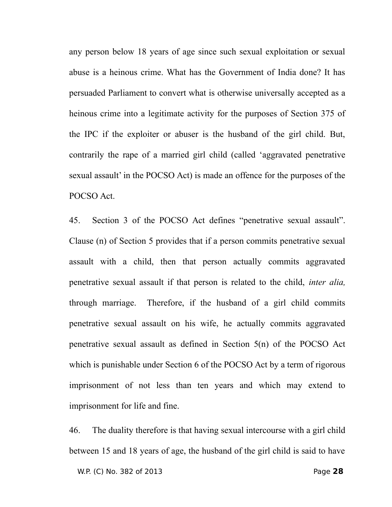any person below 18 years of age since such sexual exploitation or sexual abuse is a heinous crime. What has the Government of India done? It has persuaded Parliament to convert what is otherwise universally accepted as a heinous crime into a legitimate activity for the purposes of Section 375 of the IPC if the exploiter or abuser is the husband of the girl child. But, contrarily the rape of a married girl child (called 'aggravated penetrative sexual assault' in the POCSO Act) is made an offence for the purposes of the POCSO Act.

45. Section 3 of the POCSO Act defines "penetrative sexual assault". Clause (n) of Section 5 provides that if a person commits penetrative sexual assault with a child, then that person actually commits aggravated penetrative sexual assault if that person is related to the child, *inter alia,* through marriage. Therefore, if the husband of a girl child commits penetrative sexual assault on his wife, he actually commits aggravated penetrative sexual assault as defined in Section 5(n) of the POCSO Act which is punishable under Section 6 of the POCSO Act by a term of rigorous imprisonment of not less than ten years and which may extend to imprisonment for life and fine.

46. The duality therefore is that having sexual intercourse with a girl child between 15 and 18 years of age, the husband of the girl child is said to have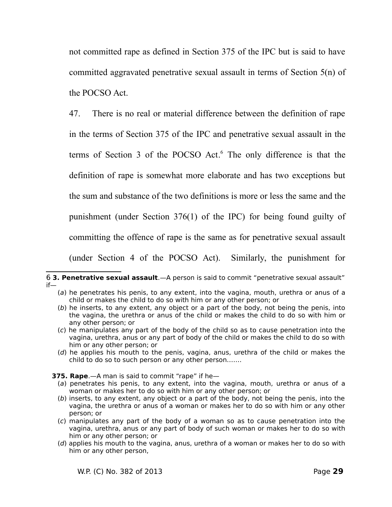not committed rape as defined in Section 375 of the IPC but is said to have committed aggravated penetrative sexual assault in terms of Section 5(n) of the POCSO Act.

47. There is no real or material difference between the definition of rape in the terms of Section 375 of the IPC and penetrative sexual assault in the terms of Section 3 of the POCSO Act. [6](#page-28-0) The only difference is that the definition of rape is somewhat more elaborate and has two exceptions but the sum and substance of the two definitions is more or less the same and the punishment (under Section 376(1) of the IPC) for being found guilty of committing the offence of rape is the same as for penetrative sexual assault (under Section 4 of the POCSO Act). Similarly, the punishment for

- (d) he applies his mouth to the penis, vagina, anus, urethra of the child or makes the child to do so to such person or any other person…….
- **375. Rape**.—A man is said to commit "rape" if he—
	- (a) penetrates his penis, to any extent, into the vagina, mouth, urethra or anus of a woman or makes her to do so with him or any other person; or
	- (b) inserts, to any extent, any object or a part of the body, not being the penis, into the vagina, the urethra or anus of a woman or makes her to do so with him or any other person; or
	- (c) manipulates any part of the body of a woman so as to cause penetration into the vagina, urethra, anus or any part of body of such woman or makes her to do so with him or any other person; or
	- (d) applies his mouth to the vagina, anus, urethra of a woman or makes her to do so with him or any other person,

<span id="page-28-0"></span><sup>6</sup> **3. Penetrative sexual assault**.—A person is said to commit "penetrative sexual assault" if—

<sup>(</sup>a) he penetrates his penis, to any extent, into the vagina, mouth, urethra or anus of a child or makes the child to do so with him or any other person; or

<sup>(</sup>b) he inserts, to any extent, any object or a part of the body, not being the penis, into the vagina, the urethra or anus of the child or makes the child to do so with him or any other person; or

<sup>(</sup>c) he manipulates any part of the body of the child so as to cause penetration into the vagina, urethra, anus or any part of body of the child or makes the child to do so with him or any other person; or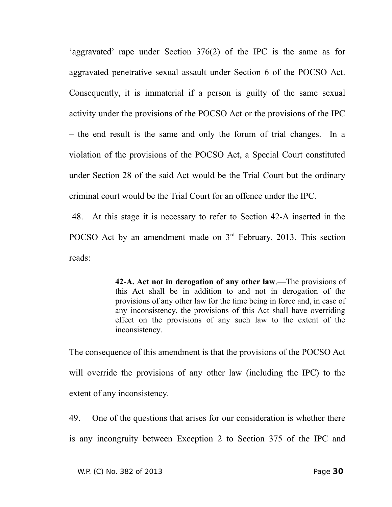'aggravated' rape under Section 376(2) of the IPC is the same as for aggravated penetrative sexual assault under Section 6 of the POCSO Act. Consequently, it is immaterial if a person is guilty of the same sexual activity under the provisions of the POCSO Act or the provisions of the IPC – the end result is the same and only the forum of trial changes. In a violation of the provisions of the POCSO Act, a Special Court constituted under Section 28 of the said Act would be the Trial Court but the ordinary criminal court would be the Trial Court for an offence under the IPC.

48. At this stage it is necessary to refer to Section 42-A inserted in the POCSO Act by an amendment made on  $3<sup>rd</sup>$  February, 2013. This section reads:

> **42-A. Act not in derogation of any other law**.—The provisions of this Act shall be in addition to and not in derogation of the provisions of any other law for the time being in force and, in case of any inconsistency, the provisions of this Act shall have overriding effect on the provisions of any such law to the extent of the inconsistency.

The consequence of this amendment is that the provisions of the POCSO Act will override the provisions of any other law (including the IPC) to the extent of any inconsistency.

49. One of the questions that arises for our consideration is whether there is any incongruity between Exception 2 to Section 375 of the IPC and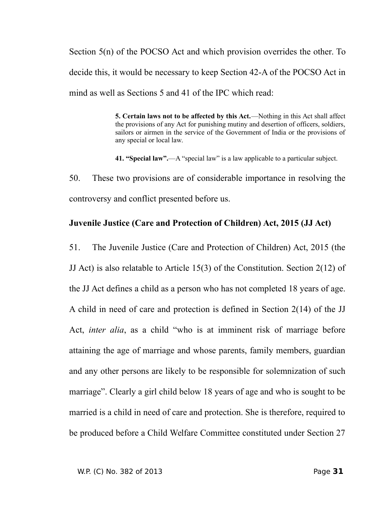Section 5(n) of the POCSO Act and which provision overrides the other. To decide this, it would be necessary to keep Section 42-A of the POCSO Act in mind as well as Sections 5 and 41 of the IPC which read:

> **5. Certain laws not to be affected by this Act.**—Nothing in this Act shall affect the provisions of any Act for punishing mutiny and desertion of officers, soldiers, sailors or airmen in the service of the Government of India or the provisions of any special or local law.

**41. "Special law".**—A "special law" is a law applicable to a particular subject.

50. These two provisions are of considerable importance in resolving the controversy and conflict presented before us.

#### **Juvenile Justice (Care and Protection of Children) Act, 2015 (JJ Act)**

51. The Juvenile Justice (Care and Protection of Children) Act, 2015 (the JJ Act) is also relatable to Article 15(3) of the Constitution. Section 2(12) of the JJ Act defines a child as a person who has not completed 18 years of age. A child in need of care and protection is defined in Section 2(14) of the JJ Act, *inter alia*, as a child "who is at imminent risk of marriage before attaining the age of marriage and whose parents, family members, guardian and any other persons are likely to be responsible for solemnization of such marriage". Clearly a girl child below 18 years of age and who is sought to be married is a child in need of care and protection. She is therefore, required to be produced before a Child Welfare Committee constituted under Section 27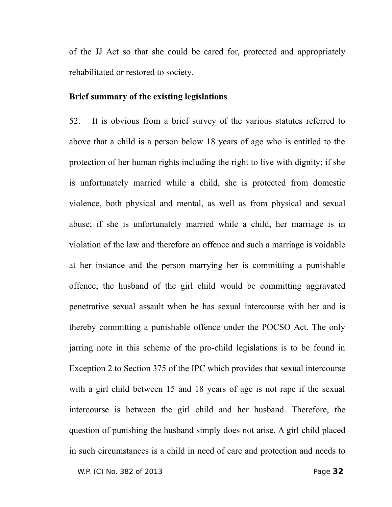of the JJ Act so that she could be cared for, protected and appropriately rehabilitated or restored to society.

# **Brief summary of the existing legislations**

52. It is obvious from a brief survey of the various statutes referred to above that a child is a person below 18 years of age who is entitled to the protection of her human rights including the right to live with dignity; if she is unfortunately married while a child, she is protected from domestic violence, both physical and mental, as well as from physical and sexual abuse; if she is unfortunately married while a child, her marriage is in violation of the law and therefore an offence and such a marriage is voidable at her instance and the person marrying her is committing a punishable offence; the husband of the girl child would be committing aggravated penetrative sexual assault when he has sexual intercourse with her and is thereby committing a punishable offence under the POCSO Act. The only jarring note in this scheme of the pro-child legislations is to be found in Exception 2 to Section 375 of the IPC which provides that sexual intercourse with a girl child between 15 and 18 years of age is not rape if the sexual intercourse is between the girl child and her husband. Therefore, the question of punishing the husband simply does not arise. A girl child placed in such circumstances is a child in need of care and protection and needs to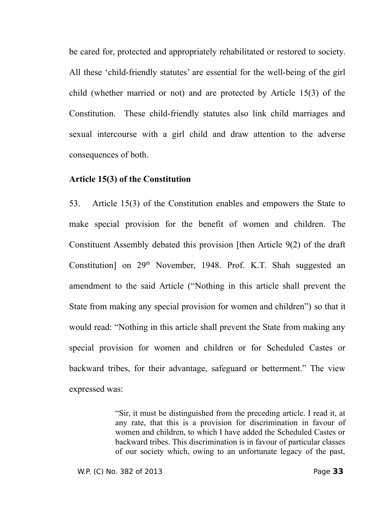be cared for, protected and appropriately rehabilitated or restored to society. All these 'child-friendly statutes' are essential for the well-being of the girl child (whether married or not) and are protected by Article 15(3) of the Constitution. These child-friendly statutes also link child marriages and sexual intercourse with a girl child and draw attention to the adverse consequences of both.

#### **Article 15(3) of the Constitution**

53. Article 15(3) of the Constitution enables and empowers the State to make special provision for the benefit of women and children. The Constituent Assembly debated this provision [then Article 9(2) of the draft Constitution] on  $29<sup>th</sup>$  November, 1948. Prof. K.T. Shah suggested an amendment to the said Article ("Nothing in this article shall prevent the State from making any special provision for women and children") so that it would read: "Nothing in this article shall prevent the State from making any special provision for women and children or for Scheduled Castes or backward tribes, for their advantage, safeguard or betterment." The view expressed was:

> "Sir, it must be distinguished from the preceding article. I read it, at any rate, that this is a provision for discrimination in favour of women and children, to which I have added the Scheduled Castes or backward tribes. This discrimination is in favour of particular classes of our society which, owing to an unfortunate legacy of the past,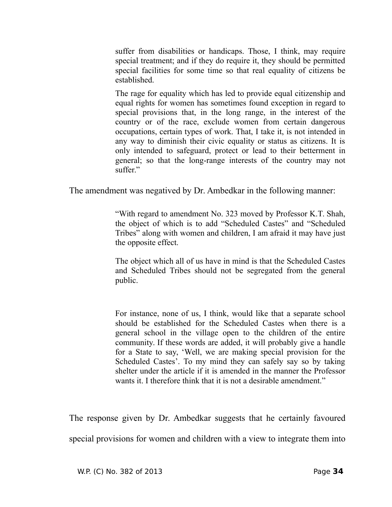suffer from disabilities or handicaps. Those, I think, may require special treatment; and if they do require it, they should be permitted special facilities for some time so that real equality of citizens be established.

The rage for equality which has led to provide equal citizenship and equal rights for women has sometimes found exception in regard to special provisions that, in the long range, in the interest of the country or of the race, exclude women from certain dangerous occupations, certain types of work. That, I take it, is not intended in any way to diminish their civic equality or status as citizens. It is only intended to safeguard, protect or lead to their betterment in general; so that the long-range interests of the country may not suffer."

The amendment was negatived by Dr. Ambedkar in the following manner:

"With regard to amendment No. 323 moved by Professor K.T. Shah, the object of which is to add "Scheduled Castes" and "Scheduled Tribes" along with women and children, I am afraid it may have just the opposite effect.

The object which all of us have in mind is that the Scheduled Castes and Scheduled Tribes should not be segregated from the general public.

For instance, none of us, I think, would like that a separate school should be established for the Scheduled Castes when there is a general school in the village open to the children of the entire community. If these words are added, it will probably give a handle for a State to say, 'Well, we are making special provision for the Scheduled Castes'. To my mind they can safely say so by taking shelter under the article if it is amended in the manner the Professor wants it. I therefore think that it is not a desirable amendment."

The response given by Dr. Ambedkar suggests that he certainly favoured special provisions for women and children with a view to integrate them into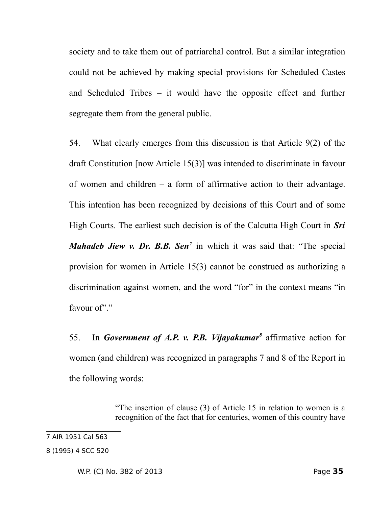society and to take them out of patriarchal control. But a similar integration could not be achieved by making special provisions for Scheduled Castes and Scheduled Tribes – it would have the opposite effect and further segregate them from the general public.

54. What clearly emerges from this discussion is that Article 9(2) of the draft Constitution [now Article 15(3)] was intended to discriminate in favour of women and children – a form of affirmative action to their advantage. This intention has been recognized by decisions of this Court and of some High Courts. The earliest such decision is of the Calcutta High Court in *Sri Mahadeb Jiew v. Dr. B.B. Sen[7](#page-34-0)* in which it was said that: "The special provision for women in Article 15(3) cannot be construed as authorizing a discrimination against women, and the word "for" in the context means "in favour of""

55. In *Government of A.P. v. P.B. Vijayakumar[8](#page-34-1)* affirmative action for women (and children) was recognized in paragraphs 7 and 8 of the Report in the following words:

> "The insertion of clause (3) of Article 15 in relation to women is a recognition of the fact that for centuries, women of this country have

<span id="page-34-0"></span><sup>7</sup> AIR 1951 Cal 563

<span id="page-34-1"></span><sup>8 (1995) 4</sup> SCC 520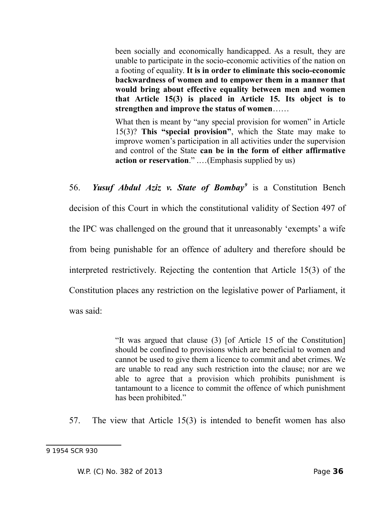been socially and economically handicapped. As a result, they are unable to participate in the socio-economic activities of the nation on a footing of equality. **It is in order to eliminate this socio-economic backwardness of women and to empower them in a manner that would bring about effective equality between men and women that Article 15(3) is placed in Article 15. Its object is to strengthen and improve the status of women**……

What then is meant by "any special provision for women" in Article 15(3)? **This "special provision"**, which the State may make to improve women's participation in all activities under the supervision and control of the State **can be in the form of either affirmative action or reservation**." .…(Emphasis supplied by us)

56. *Yusuf Abdul Aziz v. State of Bombay[9](#page-35-0)* is a Constitution Bench decision of this Court in which the constitutional validity of Section 497 of the IPC was challenged on the ground that it unreasonably 'exempts' a wife from being punishable for an offence of adultery and therefore should be interpreted restrictively. Rejecting the contention that Article 15(3) of the Constitution places any restriction on the legislative power of Parliament, it was said:

> "It was argued that clause (3) [of Article 15 of the Constitution] should be confined to provisions which are beneficial to women and cannot be used to give them a licence to commit and abet crimes. We are unable to read any such restriction into the clause; nor are we able to agree that a provision which prohibits punishment is tantamount to a licence to commit the offence of which punishment has been prohibited."

57. The view that Article 15(3) is intended to benefit women has also

<span id="page-35-0"></span><sup>9 1954</sup> SCR 930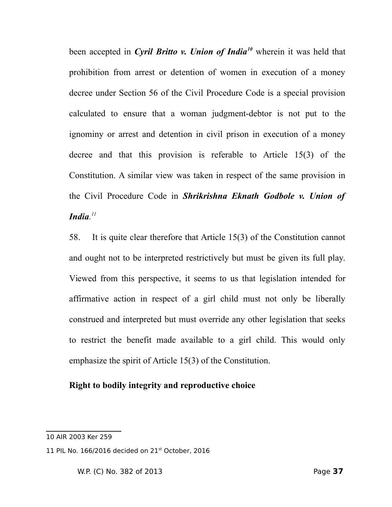been accepted in *Cyril Britto v. Union of India[10](#page-36-0)* wherein it was held that prohibition from arrest or detention of women in execution of a money decree under Section 56 of the Civil Procedure Code is a special provision calculated to ensure that a woman judgment-debtor is not put to the ignominy or arrest and detention in civil prison in execution of a money decree and that this provision is referable to Article 15(3) of the Constitution. A similar view was taken in respect of the same provision in the Civil Procedure Code in *Shrikrishna Eknath Godbole v. Union of India. [11](#page-36-1)*

58. It is quite clear therefore that Article 15(3) of the Constitution cannot and ought not to be interpreted restrictively but must be given its full play. Viewed from this perspective, it seems to us that legislation intended for affirmative action in respect of a girl child must not only be liberally construed and interpreted but must override any other legislation that seeks to restrict the benefit made available to a girl child. This would only emphasize the spirit of Article 15(3) of the Constitution.

# **Right to bodily integrity and reproductive choice**

<span id="page-36-0"></span><sup>10</sup> AIR 2003 Ker 259

<span id="page-36-1"></span><sup>11</sup> PIL No. 166/2016 decided on 21<sup>st</sup> October, 2016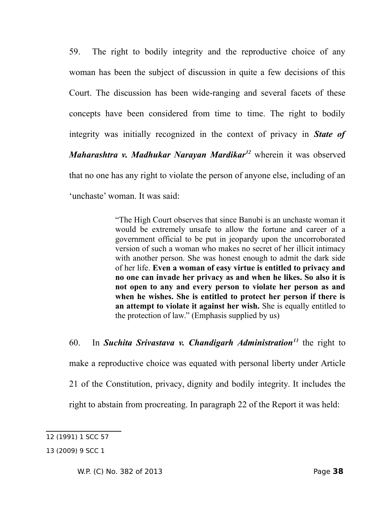59. The right to bodily integrity and the reproductive choice of any woman has been the subject of discussion in quite a few decisions of this Court. The discussion has been wide-ranging and several facets of these concepts have been considered from time to time. The right to bodily integrity was initially recognized in the context of privacy in *State of Maharashtra v. Madhukar Narayan Mardikar[12](#page-37-0)* wherein it was observed that no one has any right to violate the person of anyone else, including of an 'unchaste' woman. It was said:

> "The High Court observes that since Banubi is an unchaste woman it would be extremely unsafe to allow the fortune and career of a government official to be put in jeopardy upon the uncorroborated version of such a woman who makes no secret of her illicit intimacy with another person. She was honest enough to admit the dark side of her life. **Even a woman of easy virtue is entitled to privacy and no one can invade her privacy as and when he likes. So also it is not open to any and every person to violate her person as and when he wishes. She is entitled to protect her person if there is an attempt to violate it against her wish.** She is equally entitled to the protection of law." (Emphasis supplied by us)

60. In *Suchita Srivastava v. Chandigarh Administration[13](#page-37-1)* the right to make a reproductive choice was equated with personal liberty under Article 21 of the Constitution, privacy, dignity and bodily integrity. It includes the right to abstain from procreating. In paragraph 22 of the Report it was held:

<span id="page-37-0"></span><sup>12 (1991) 1</sup> SCC 57

<span id="page-37-1"></span><sup>13 (2009) 9</sup> SCC 1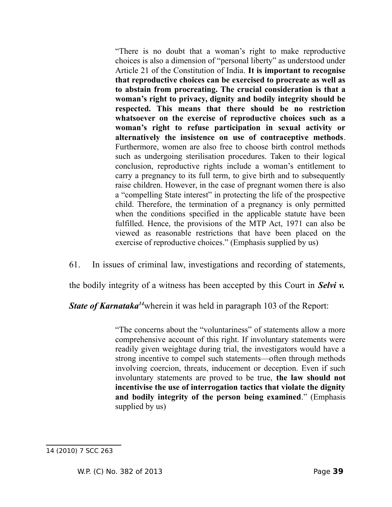"There is no doubt that a woman's right to make reproductive choices is also a dimension of "personal liberty" as understood under Article 21 of the Constitution of India. **It is important to recognise that reproductive choices can be exercised to procreate as well as to abstain from procreating. The crucial consideration is that a woman's right to privacy, dignity and bodily integrity should be respected. This means that there should be no restriction whatsoever on the exercise of reproductive choices such as a woman's right to refuse participation in sexual activity or alternatively the insistence on use of contraceptive methods**. Furthermore, women are also free to choose birth control methods such as undergoing sterilisation procedures. Taken to their logical conclusion, reproductive rights include a woman's entitlement to carry a pregnancy to its full term, to give birth and to subsequently raise children. However, in the case of pregnant women there is also a "compelling State interest" in protecting the life of the prospective child. Therefore, the termination of a pregnancy is only permitted when the conditions specified in the applicable statute have been fulfilled. Hence, the provisions of the MTP Act, 1971 can also be viewed as reasonable restrictions that have been placed on the exercise of reproductive choices." (Emphasis supplied by us)

61. In issues of criminal law, investigations and recording of statements,

the bodily integrity of a witness has been accepted by this Court in *Selvi v.*

*State of Karnataka<sup>[14](#page-38-0)</sup>wherein it was held in paragraph 103 of the Report:* 

"The concerns about the "voluntariness" of statements allow a more comprehensive account of this right. If involuntary statements were readily given weightage during trial, the investigators would have a strong incentive to compel such statements—often through methods involving coercion, threats, inducement or deception. Even if such involuntary statements are proved to be true, **the law should not incentivise the use of interrogation tactics that violate the dignity and bodily integrity of the person being examined**." (Emphasis supplied by us)

<span id="page-38-0"></span><sup>14 (2010) 7</sup> SCC 263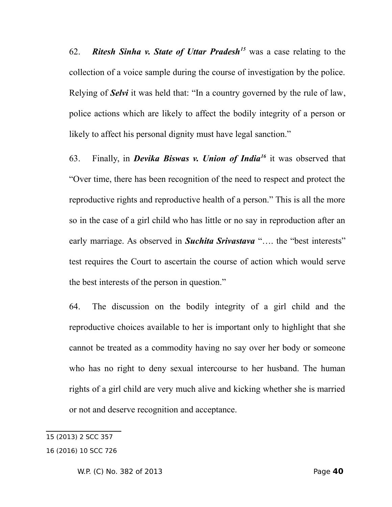62. *Ritesh Sinha v. State of Uttar Pradesh[15](#page-39-0)* was a case relating to the collection of a voice sample during the course of investigation by the police. Relying of *Selvi* it was held that: "In a country governed by the rule of law, police actions which are likely to affect the bodily integrity of a person or likely to affect his personal dignity must have legal sanction."

63. Finally, in *Devika Biswas v. Union of India[16](#page-39-1)* it was observed that "Over time, there has been recognition of the need to respect and protect the reproductive rights and reproductive health of a person." This is all the more so in the case of a girl child who has little or no say in reproduction after an early marriage. As observed in *Suchita Srivastava* "…. the "best interests" test requires the Court to ascertain the course of action which would serve the best interests of the person in question."

64. The discussion on the bodily integrity of a girl child and the reproductive choices available to her is important only to highlight that she cannot be treated as a commodity having no say over her body or someone who has no right to deny sexual intercourse to her husband. The human rights of a girl child are very much alive and kicking whether she is married or not and deserve recognition and acceptance.

<span id="page-39-1"></span><span id="page-39-0"></span><sup>15 (2013) 2</sup> SCC 357 16 (2016) 10 SCC 726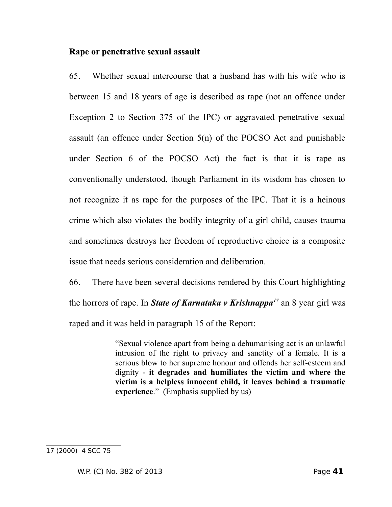#### **Rape or penetrative sexual assault**

65. Whether sexual intercourse that a husband has with his wife who is between 15 and 18 years of age is described as rape (not an offence under Exception 2 to Section 375 of the IPC) or aggravated penetrative sexual assault (an offence under Section 5(n) of the POCSO Act and punishable under Section 6 of the POCSO Act) the fact is that it is rape as conventionally understood, though Parliament in its wisdom has chosen to not recognize it as rape for the purposes of the IPC. That it is a heinous crime which also violates the bodily integrity of a girl child, causes trauma and sometimes destroys her freedom of reproductive choice is a composite issue that needs serious consideration and deliberation.

66. There have been several decisions rendered by this Court highlighting the horrors of rape. In *State of Karnataka v Krishnappa[17](#page-40-0)* an 8 year girl was raped and it was held in paragraph 15 of the Report:

> "Sexual violence apart from being a dehumanising act is an unlawful intrusion of the right to privacy and sanctity of a female. It is a serious blow to her supreme honour and offends her self-esteem and dignity - **it degrades and humiliates the victim and where the victim is a helpless innocent child, it leaves behind a traumatic experience**." (Emphasis supplied by us)

<span id="page-40-0"></span><sup>17 (2000) 4</sup> SCC 75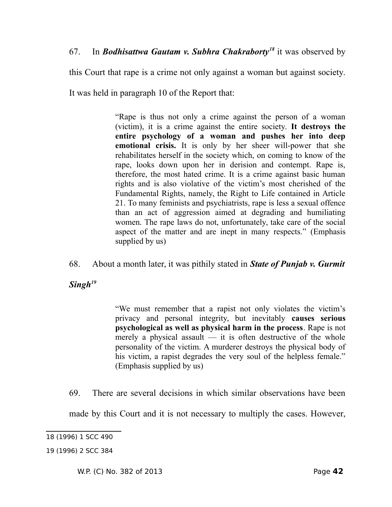this Court that rape is a crime not only against a woman but against society.

It was held in paragraph 10 of the Report that:

"Rape is thus not only a crime against the person of a woman (victim), it is a crime against the entire society. **It destroys the entire psychology of a woman and pushes her into deep emotional crisis.** It is only by her sheer will-power that she rehabilitates herself in the society which, on coming to know of the rape, looks down upon her in derision and contempt. Rape is, therefore, the most hated crime. It is a crime against basic human rights and is also violative of the victim's most cherished of the Fundamental Rights, namely, the Right to Life contained in Article 21. To many feminists and psychiatrists, rape is less a sexual offence than an act of aggression aimed at degrading and humiliating women. The rape laws do not, unfortunately, take care of the social aspect of the matter and are inept in many respects." (Emphasis supplied by us)

68. About a month later, it was pithily stated in *State of Punjab v. Gurmit*

*Singh[19](#page-41-1)*

"We must remember that a rapist not only violates the victim's privacy and personal integrity, but inevitably **causes serious psychological as well as physical harm in the process**. Rape is not merely a physical assault — it is often destructive of the whole personality of the victim. A murderer destroys the physical body of his victim, a rapist degrades the very soul of the helpless female." (Emphasis supplied by us)

69. There are several decisions in which similar observations have been

made by this Court and it is not necessary to multiply the cases. However,

<span id="page-41-0"></span>18 (1996) 1 SCC 490

<span id="page-41-1"></span><sup>19 (1996) 2</sup> SCC 384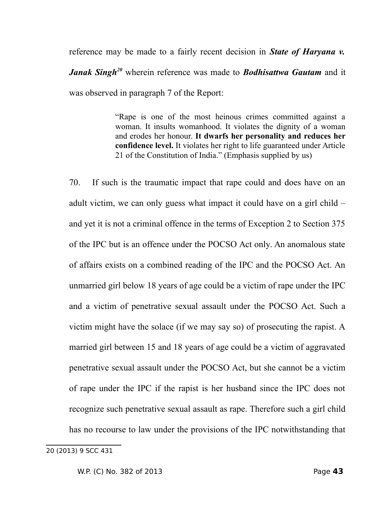reference may be made to a fairly recent decision in *State of Haryana v. Janak Singh[20](#page-42-0)* wherein reference was made to *Bodhisattwa Gautam* and it was observed in paragraph 7 of the Report:

> "Rape is one of the most heinous crimes committed against a woman. It insults womanhood. It violates the dignity of a woman and erodes her honour. **It dwarfs her personality and reduces her confidence level.** It violates her right to life guaranteed under Article 21 of the Constitution of India." (Emphasis supplied by us)

70. If such is the traumatic impact that rape could and does have on an adult victim, we can only guess what impact it could have on a girl child – and yet it is not a criminal offence in the terms of Exception 2 to Section 375 of the IPC but is an offence under the POCSO Act only. An anomalous state of affairs exists on a combined reading of the IPC and the POCSO Act. An unmarried girl below 18 years of age could be a victim of rape under the IPC and a victim of penetrative sexual assault under the POCSO Act. Such a victim might have the solace (if we may say so) of prosecuting the rapist. A married girl between 15 and 18 years of age could be a victim of aggravated penetrative sexual assault under the POCSO Act, but she cannot be a victim of rape under the IPC if the rapist is her husband since the IPC does not recognize such penetrative sexual assault as rape. Therefore such a girl child has no recourse to law under the provisions of the IPC notwithstanding that

<span id="page-42-0"></span><sup>20 (2013) 9</sup> SCC 431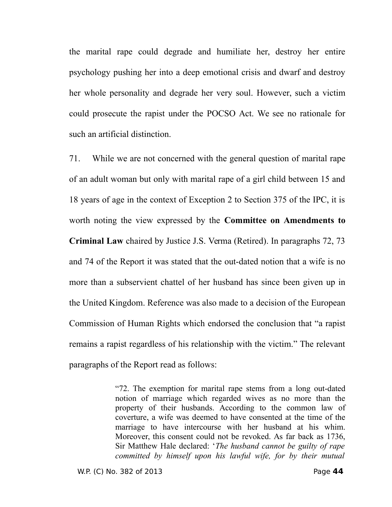the marital rape could degrade and humiliate her, destroy her entire psychology pushing her into a deep emotional crisis and dwarf and destroy her whole personality and degrade her very soul. However, such a victim could prosecute the rapist under the POCSO Act. We see no rationale for such an artificial distinction.

71. While we are not concerned with the general question of marital rape of an adult woman but only with marital rape of a girl child between 15 and 18 years of age in the context of Exception 2 to Section 375 of the IPC, it is worth noting the view expressed by the **Committee on Amendments to Criminal Law** chaired by Justice J.S. Verma (Retired). In paragraphs 72, 73 and 74 of the Report it was stated that the out-dated notion that a wife is no more than a subservient chattel of her husband has since been given up in the United Kingdom. Reference was also made to a decision of the European Commission of Human Rights which endorsed the conclusion that "a rapist remains a rapist regardless of his relationship with the victim." The relevant paragraphs of the Report read as follows:

> "72. The exemption for marital rape stems from a long out-dated notion of marriage which regarded wives as no more than the property of their husbands. According to the common law of coverture, a wife was deemed to have consented at the time of the marriage to have intercourse with her husband at his whim. Moreover, this consent could not be revoked. As far back as 1736, Sir Matthew Hale declared: '*The husband cannot be guilty of rape committed by himself upon his lawful wife, for by their mutual*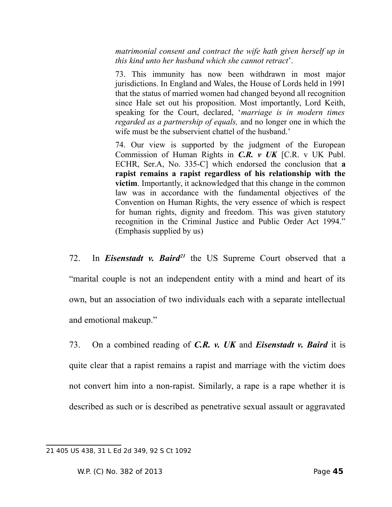*matrimonial consent and contract the wife hath given herself up in this kind unto her husband which she cannot retract*'.

73. This immunity has now been withdrawn in most major jurisdictions. In England and Wales, the House of Lords held in 1991 that the status of married women had changed beyond all recognition since Hale set out his proposition. Most importantly, Lord Keith, speaking for the Court, declared, '*marriage is in modern times regarded as a partnership of equals,* and no longer one in which the wife must be the subservient chattel of the husband.'

74. Our view is supported by the judgment of the European Commission of Human Rights in *C.R. v UK* [C.R. v UK Publ. ECHR, Ser.A, No. 335-C] which endorsed the conclusion that **a rapist remains a rapist regardless of his relationship with the victim**. Importantly, it acknowledged that this change in the common law was in accordance with the fundamental objectives of the Convention on Human Rights, the very essence of which is respect for human rights, dignity and freedom. This was given statutory recognition in the Criminal Justice and Public Order Act 1994." (Emphasis supplied by us)

72. In *Eisenstadt v. Baird[21](#page-44-0)* the US Supreme Court observed that a "marital couple is not an independent entity with a mind and heart of its own, but an association of two individuals each with a separate intellectual and emotional makeup."

73. On a combined reading of *C.R. v. UK* and *Eisenstadt v. Baird* it is quite clear that a rapist remains a rapist and marriage with the victim does not convert him into a non-rapist. Similarly, a rape is a rape whether it is described as such or is described as penetrative sexual assault or aggravated

<span id="page-44-0"></span><sup>21 405</sup> US 438, 31 L Ed 2d 349, 92 S Ct 1092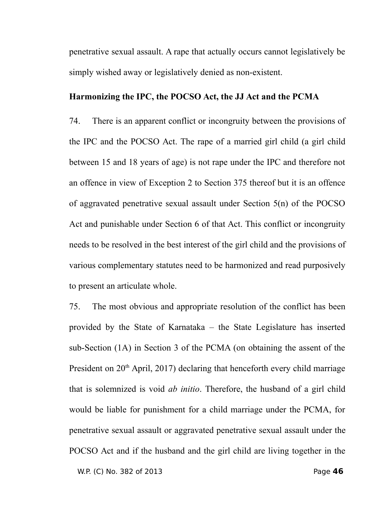penetrative sexual assault. A rape that actually occurs cannot legislatively be simply wished away or legislatively denied as non-existent.

# **Harmonizing the IPC, the POCSO Act, the JJ Act and the PCMA**

74. There is an apparent conflict or incongruity between the provisions of the IPC and the POCSO Act. The rape of a married girl child (a girl child between 15 and 18 years of age) is not rape under the IPC and therefore not an offence in view of Exception 2 to Section 375 thereof but it is an offence of aggravated penetrative sexual assault under Section 5(n) of the POCSO Act and punishable under Section 6 of that Act. This conflict or incongruity needs to be resolved in the best interest of the girl child and the provisions of various complementary statutes need to be harmonized and read purposively to present an articulate whole.

75. The most obvious and appropriate resolution of the conflict has been provided by the State of Karnataka – the State Legislature has inserted sub-Section (1A) in Section 3 of the PCMA (on obtaining the assent of the President on  $20<sup>th</sup>$  April, 2017) declaring that henceforth every child marriage that is solemnized is void *ab initio*. Therefore, the husband of a girl child would be liable for punishment for a child marriage under the PCMA, for penetrative sexual assault or aggravated penetrative sexual assault under the POCSO Act and if the husband and the girl child are living together in the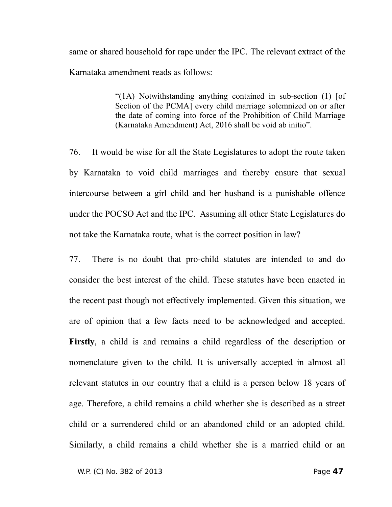same or shared household for rape under the IPC. The relevant extract of the Karnataka amendment reads as follows:

> "(1A) Notwithstanding anything contained in sub-section (1) [of Section of the PCMA] every child marriage solemnized on or after the date of coming into force of the Prohibition of Child Marriage (Karnataka Amendment) Act, 2016 shall be void ab initio".

76. It would be wise for all the State Legislatures to adopt the route taken by Karnataka to void child marriages and thereby ensure that sexual intercourse between a girl child and her husband is a punishable offence under the POCSO Act and the IPC. Assuming all other State Legislatures do not take the Karnataka route, what is the correct position in law?

77. There is no doubt that pro-child statutes are intended to and do consider the best interest of the child. These statutes have been enacted in the recent past though not effectively implemented. Given this situation, we are of opinion that a few facts need to be acknowledged and accepted. **Firstly**, a child is and remains a child regardless of the description or nomenclature given to the child. It is universally accepted in almost all relevant statutes in our country that a child is a person below 18 years of age. Therefore, a child remains a child whether she is described as a street child or a surrendered child or an abandoned child or an adopted child. Similarly, a child remains a child whether she is a married child or an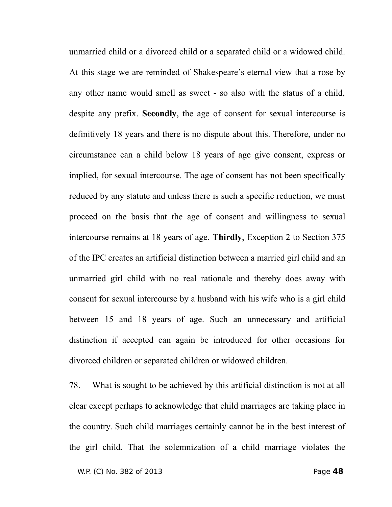unmarried child or a divorced child or a separated child or a widowed child. At this stage we are reminded of Shakespeare's eternal view that a rose by any other name would smell as sweet - so also with the status of a child, despite any prefix. **Secondly**, the age of consent for sexual intercourse is definitively 18 years and there is no dispute about this. Therefore, under no circumstance can a child below 18 years of age give consent, express or implied, for sexual intercourse. The age of consent has not been specifically reduced by any statute and unless there is such a specific reduction, we must proceed on the basis that the age of consent and willingness to sexual intercourse remains at 18 years of age. **Thirdly**, Exception 2 to Section 375 of the IPC creates an artificial distinction between a married girl child and an unmarried girl child with no real rationale and thereby does away with consent for sexual intercourse by a husband with his wife who is a girl child between 15 and 18 years of age. Such an unnecessary and artificial distinction if accepted can again be introduced for other occasions for divorced children or separated children or widowed children.

78. What is sought to be achieved by this artificial distinction is not at all clear except perhaps to acknowledge that child marriages are taking place in the country. Such child marriages certainly cannot be in the best interest of the girl child. That the solemnization of a child marriage violates the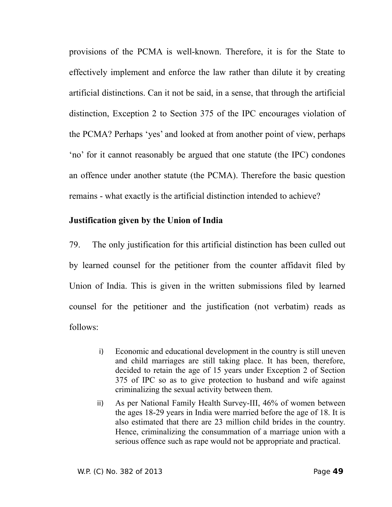provisions of the PCMA is well-known. Therefore, it is for the State to effectively implement and enforce the law rather than dilute it by creating artificial distinctions. Can it not be said, in a sense, that through the artificial distinction, Exception 2 to Section 375 of the IPC encourages violation of the PCMA? Perhaps 'yes' and looked at from another point of view, perhaps 'no' for it cannot reasonably be argued that one statute (the IPC) condones an offence under another statute (the PCMA). Therefore the basic question remains - what exactly is the artificial distinction intended to achieve?

## **Justification given by the Union of India**

79. The only justification for this artificial distinction has been culled out by learned counsel for the petitioner from the counter affidavit filed by Union of India. This is given in the written submissions filed by learned counsel for the petitioner and the justification (not verbatim) reads as follows:

- i) Economic and educational development in the country is still uneven and child marriages are still taking place. It has been, therefore, decided to retain the age of 15 years under Exception 2 of Section 375 of IPC so as to give protection to husband and wife against criminalizing the sexual activity between them.
- ii) As per National Family Health Survey-III, 46% of women between the ages 18-29 years in India were married before the age of 18. It is also estimated that there are 23 million child brides in the country. Hence, criminalizing the consummation of a marriage union with a serious offence such as rape would not be appropriate and practical.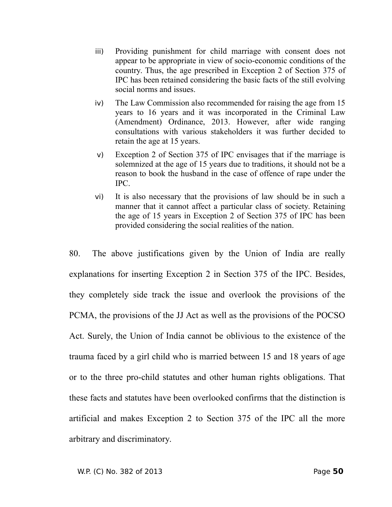- iii) Providing punishment for child marriage with consent does not appear to be appropriate in view of socio-economic conditions of the country. Thus, the age prescribed in Exception 2 of Section 375 of IPC has been retained considering the basic facts of the still evolving social norms and issues.
- iv) The Law Commission also recommended for raising the age from 15 years to 16 years and it was incorporated in the Criminal Law (Amendment) Ordinance, 2013. However, after wide ranging consultations with various stakeholders it was further decided to retain the age at 15 years.
- v) Exception 2 of Section 375 of IPC envisages that if the marriage is solemnized at the age of 15 years due to traditions, it should not be a reason to book the husband in the case of offence of rape under the IPC.
- vi) It is also necessary that the provisions of law should be in such a manner that it cannot affect a particular class of society. Retaining the age of 15 years in Exception 2 of Section 375 of IPC has been provided considering the social realities of the nation.

80. The above justifications given by the Union of India are really explanations for inserting Exception 2 in Section 375 of the IPC. Besides, they completely side track the issue and overlook the provisions of the PCMA, the provisions of the JJ Act as well as the provisions of the POCSO Act. Surely, the Union of India cannot be oblivious to the existence of the trauma faced by a girl child who is married between 15 and 18 years of age or to the three pro-child statutes and other human rights obligations. That these facts and statutes have been overlooked confirms that the distinction is artificial and makes Exception 2 to Section 375 of the IPC all the more arbitrary and discriminatory.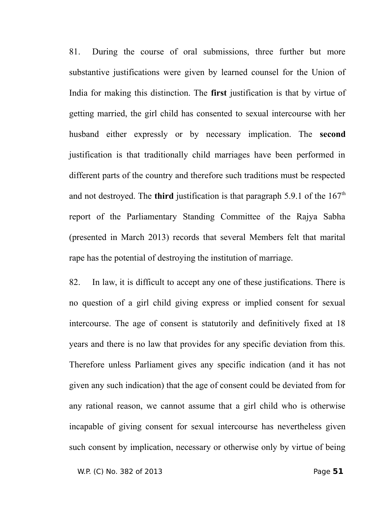81. During the course of oral submissions, three further but more substantive justifications were given by learned counsel for the Union of India for making this distinction. The **first** justification is that by virtue of getting married, the girl child has consented to sexual intercourse with her husband either expressly or by necessary implication. The **second** justification is that traditionally child marriages have been performed in different parts of the country and therefore such traditions must be respected and not destroyed. The **third** justification is that paragraph 5.9.1 of the  $167<sup>th</sup>$ report of the Parliamentary Standing Committee of the Rajya Sabha (presented in March 2013) records that several Members felt that marital rape has the potential of destroying the institution of marriage.

82. In law, it is difficult to accept any one of these justifications. There is no question of a girl child giving express or implied consent for sexual intercourse. The age of consent is statutorily and definitively fixed at 18 years and there is no law that provides for any specific deviation from this. Therefore unless Parliament gives any specific indication (and it has not given any such indication) that the age of consent could be deviated from for any rational reason, we cannot assume that a girl child who is otherwise incapable of giving consent for sexual intercourse has nevertheless given such consent by implication, necessary or otherwise only by virtue of being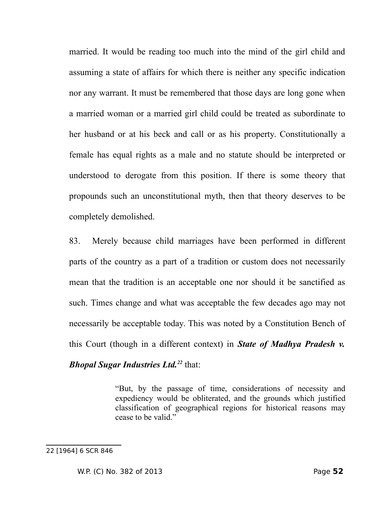married. It would be reading too much into the mind of the girl child and assuming a state of affairs for which there is neither any specific indication nor any warrant. It must be remembered that those days are long gone when a married woman or a married girl child could be treated as subordinate to her husband or at his beck and call or as his property. Constitutionally a female has equal rights as a male and no statute should be interpreted or understood to derogate from this position. If there is some theory that propounds such an unconstitutional myth, then that theory deserves to be completely demolished.

83. Merely because child marriages have been performed in different parts of the country as a part of a tradition or custom does not necessarily mean that the tradition is an acceptable one nor should it be sanctified as such. Times change and what was acceptable the few decades ago may not necessarily be acceptable today. This was noted by a Constitution Bench of this Court (though in a different context) in *State of Madhya Pradesh v. Bhopal Sugar Industries Ltd.[22](#page-51-0)* that:

> "But, by the passage of time, considerations of necessity and expediency would be obliterated, and the grounds which justified classification of geographical regions for historical reasons may cease to be valid."

<span id="page-51-0"></span><sup>22 [1964] 6</sup> SCR 846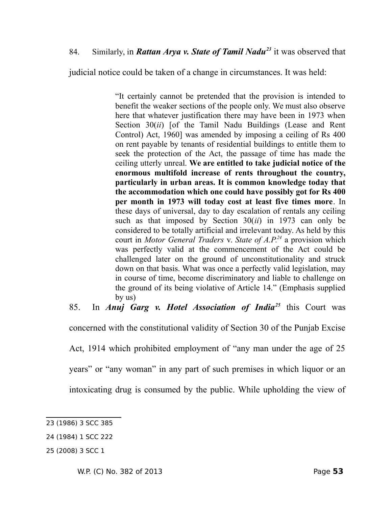judicial notice could be taken of a change in circumstances. It was held:

"It certainly cannot be pretended that the provision is intended to benefit the weaker sections of the people only. We must also observe here that whatever justification there may have been in 1973 when Section 30(*ii*) [of the Tamil Nadu Buildings (Lease and Rent Control) Act, 1960] was amended by imposing a ceiling of Rs 400 on rent payable by tenants of residential buildings to entitle them to seek the protection of the Act, the passage of time has made the ceiling utterly unreal. **We are entitled to take judicial notice of the enormous multifold increase of rents throughout the country, particularly in urban areas. It is common knowledge today that the accommodation which one could have possibly got for Rs 400 per month in 1973 will today cost at least five times more**. In these days of universal, day to day escalation of rentals any ceiling such as that imposed by Section 30(*ii*) in 1973 can only be considered to be totally artificial and irrelevant today. As held by this court in *Motor General Traders* v. *State of A.P.[24](#page-52-1)* a provision which was perfectly valid at the commencement of the Act could be challenged later on the ground of unconstitutionality and struck down on that basis. What was once a perfectly valid legislation, may in course of time, become discriminatory and liable to challenge on the ground of its being violative of Article 14." (Emphasis supplied by us)

85. In *Anuj Garg v. Hotel Association of India[25](#page-52-2)* this Court was

concerned with the constitutional validity of Section 30 of the Punjab Excise

Act, 1914 which prohibited employment of "any man under the age of 25

years" or "any woman" in any part of such premises in which liquor or an

intoxicating drug is consumed by the public. While upholding the view of

<span id="page-52-0"></span><sup>23 (1986) 3</sup> SCC 385

<span id="page-52-1"></span><sup>24 (1984) 1</sup> SCC 222

<span id="page-52-2"></span><sup>25 (2008) 3</sup> SCC 1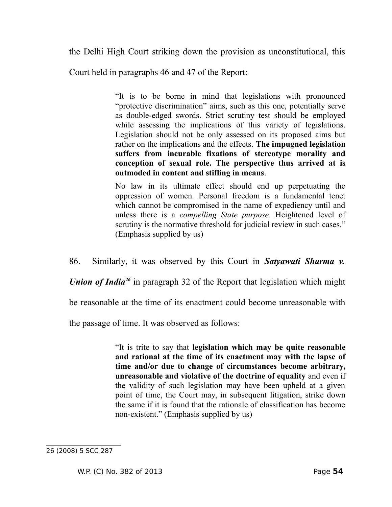the Delhi High Court striking down the provision as unconstitutional, this

Court held in paragraphs 46 and 47 of the Report:

"It is to be borne in mind that legislations with pronounced "protective discrimination" aims, such as this one, potentially serve as double-edged swords. Strict scrutiny test should be employed while assessing the implications of this variety of legislations. Legislation should not be only assessed on its proposed aims but rather on the implications and the effects. **The impugned legislation suffers from incurable fixations of stereotype morality and conception of sexual role. The perspective thus arrived at is outmoded in content and stifling in means**.

No law in its ultimate effect should end up perpetuating the oppression of women. Personal freedom is a fundamental tenet which cannot be compromised in the name of expediency until and unless there is a *compelling State purpose*. Heightened level of scrutiny is the normative threshold for judicial review in such cases." (Emphasis supplied by us)

86. Similarly, it was observed by this Court in *Satyawati Sharma v.*

*Union of India[26](#page-53-0)* in paragraph 32 of the Report that legislation which might

be reasonable at the time of its enactment could become unreasonable with

the passage of time. It was observed as follows:

"It is trite to say that **legislation which may be quite reasonable and rational at the time of its enactment may with the lapse of time and/or due to change of circumstances become arbitrary, unreasonable and violative of the doctrine of equality** and even if the validity of such legislation may have been upheld at a given point of time, the Court may, in subsequent litigation, strike down the same if it is found that the rationale of classification has become non-existent." (Emphasis supplied by us)

<span id="page-53-0"></span><sup>26 (2008) 5</sup> SCC 287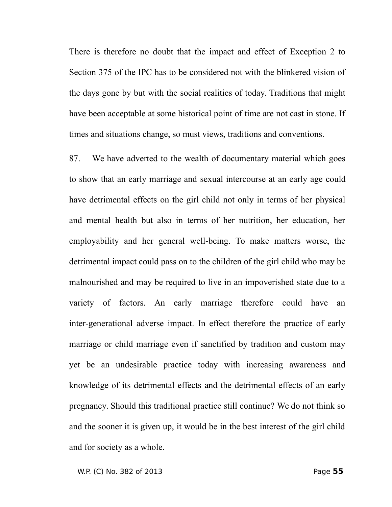There is therefore no doubt that the impact and effect of Exception 2 to Section 375 of the IPC has to be considered not with the blinkered vision of the days gone by but with the social realities of today. Traditions that might have been acceptable at some historical point of time are not cast in stone. If times and situations change, so must views, traditions and conventions.

87. We have adverted to the wealth of documentary material which goes to show that an early marriage and sexual intercourse at an early age could have detrimental effects on the girl child not only in terms of her physical and mental health but also in terms of her nutrition, her education, her employability and her general well-being. To make matters worse, the detrimental impact could pass on to the children of the girl child who may be malnourished and may be required to live in an impoverished state due to a variety of factors. An early marriage therefore could have an inter-generational adverse impact. In effect therefore the practice of early marriage or child marriage even if sanctified by tradition and custom may yet be an undesirable practice today with increasing awareness and knowledge of its detrimental effects and the detrimental effects of an early pregnancy. Should this traditional practice still continue? We do not think so and the sooner it is given up, it would be in the best interest of the girl child and for society as a whole.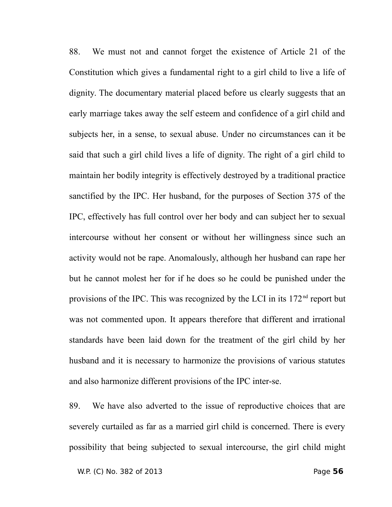88. We must not and cannot forget the existence of Article 21 of the Constitution which gives a fundamental right to a girl child to live a life of dignity. The documentary material placed before us clearly suggests that an early marriage takes away the self esteem and confidence of a girl child and subjects her, in a sense, to sexual abuse. Under no circumstances can it be said that such a girl child lives a life of dignity. The right of a girl child to maintain her bodily integrity is effectively destroyed by a traditional practice sanctified by the IPC. Her husband, for the purposes of Section 375 of the IPC, effectively has full control over her body and can subject her to sexual intercourse without her consent or without her willingness since such an activity would not be rape. Anomalously, although her husband can rape her but he cannot molest her for if he does so he could be punished under the provisions of the IPC. This was recognized by the LCI in its 172<sup>nd</sup> report but was not commented upon. It appears therefore that different and irrational standards have been laid down for the treatment of the girl child by her husband and it is necessary to harmonize the provisions of various statutes and also harmonize different provisions of the IPC inter-se.

89. We have also adverted to the issue of reproductive choices that are severely curtailed as far as a married girl child is concerned. There is every possibility that being subjected to sexual intercourse, the girl child might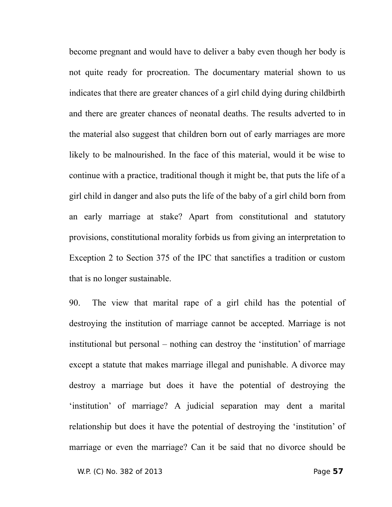become pregnant and would have to deliver a baby even though her body is not quite ready for procreation. The documentary material shown to us indicates that there are greater chances of a girl child dying during childbirth and there are greater chances of neonatal deaths. The results adverted to in the material also suggest that children born out of early marriages are more likely to be malnourished. In the face of this material, would it be wise to continue with a practice, traditional though it might be, that puts the life of a girl child in danger and also puts the life of the baby of a girl child born from an early marriage at stake? Apart from constitutional and statutory provisions, constitutional morality forbids us from giving an interpretation to Exception 2 to Section 375 of the IPC that sanctifies a tradition or custom that is no longer sustainable.

90. The view that marital rape of a girl child has the potential of destroying the institution of marriage cannot be accepted. Marriage is not institutional but personal – nothing can destroy the 'institution' of marriage except a statute that makes marriage illegal and punishable. A divorce may destroy a marriage but does it have the potential of destroying the 'institution' of marriage? A judicial separation may dent a marital relationship but does it have the potential of destroying the 'institution' of marriage or even the marriage? Can it be said that no divorce should be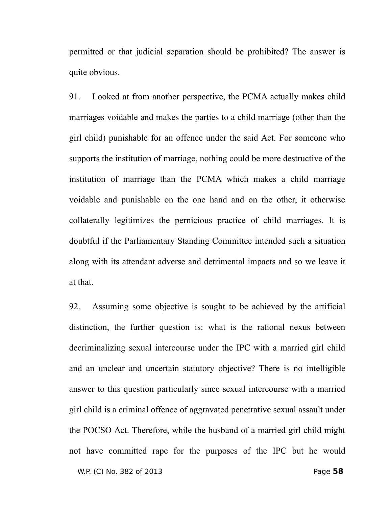permitted or that judicial separation should be prohibited? The answer is quite obvious.

91. Looked at from another perspective, the PCMA actually makes child marriages voidable and makes the parties to a child marriage (other than the girl child) punishable for an offence under the said Act. For someone who supports the institution of marriage, nothing could be more destructive of the institution of marriage than the PCMA which makes a child marriage voidable and punishable on the one hand and on the other, it otherwise collaterally legitimizes the pernicious practice of child marriages. It is doubtful if the Parliamentary Standing Committee intended such a situation along with its attendant adverse and detrimental impacts and so we leave it at that.

92. Assuming some objective is sought to be achieved by the artificial distinction, the further question is: what is the rational nexus between decriminalizing sexual intercourse under the IPC with a married girl child and an unclear and uncertain statutory objective? There is no intelligible answer to this question particularly since sexual intercourse with a married girl child is a criminal offence of aggravated penetrative sexual assault under the POCSO Act. Therefore, while the husband of a married girl child might not have committed rape for the purposes of the IPC but he would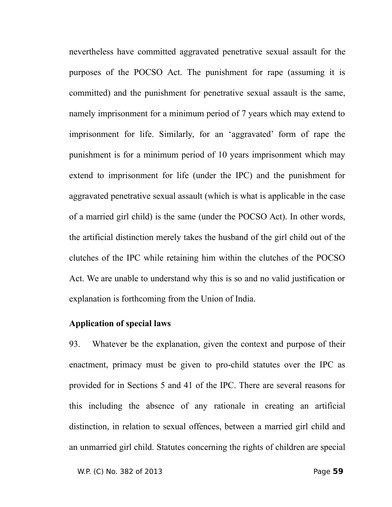nevertheless have committed aggravated penetrative sexual assault for the purposes of the POCSO Act. The punishment for rape (assuming it is committed) and the punishment for penetrative sexual assault is the same, namely imprisonment for a minimum period of 7 years which may extend to imprisonment for life. Similarly, for an 'aggravated' form of rape the punishment is for a minimum period of 10 years imprisonment which may extend to imprisonment for life (under the IPC) and the punishment for aggravated penetrative sexual assault (which is what is applicable in the case of a married girl child) is the same (under the POCSO Act). In other words, the artificial distinction merely takes the husband of the girl child out of the clutches of the IPC while retaining him within the clutches of the POCSO Act. We are unable to understand why this is so and no valid justification or explanation is forthcoming from the Union of India.

#### **Application of special laws**

93. Whatever be the explanation, given the context and purpose of their enactment, primacy must be given to pro-child statutes over the IPC as provided for in Sections 5 and 41 of the IPC. There are several reasons for this including the absence of any rationale in creating an artificial distinction, in relation to sexual offences, between a married girl child and an unmarried girl child. Statutes concerning the rights of children are special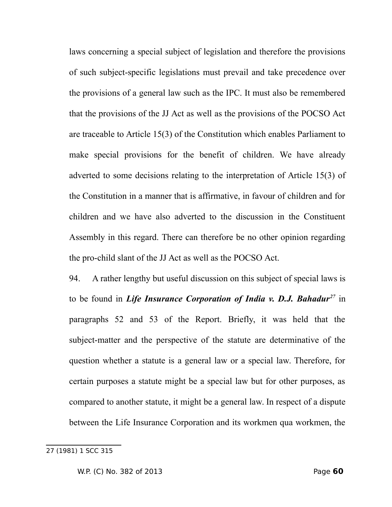laws concerning a special subject of legislation and therefore the provisions of such subject-specific legislations must prevail and take precedence over the provisions of a general law such as the IPC. It must also be remembered that the provisions of the JJ Act as well as the provisions of the POCSO Act are traceable to Article 15(3) of the Constitution which enables Parliament to make special provisions for the benefit of children. We have already adverted to some decisions relating to the interpretation of Article 15(3) of the Constitution in a manner that is affirmative, in favour of children and for children and we have also adverted to the discussion in the Constituent Assembly in this regard. There can therefore be no other opinion regarding the pro-child slant of the JJ Act as well as the POCSO Act.

94. A rather lengthy but useful discussion on this subject of special laws is to be found in *Life Insurance Corporation of India v. D.J. Bahadur[27](#page-59-0)* in paragraphs 52 and 53 of the Report. Briefly, it was held that the subject-matter and the perspective of the statute are determinative of the question whether a statute is a general law or a special law. Therefore, for certain purposes a statute might be a special law but for other purposes, as compared to another statute, it might be a general law. In respect of a dispute between the Life Insurance Corporation and its workmen qua workmen, the

<span id="page-59-0"></span><sup>27 (1981) 1</sup> SCC 315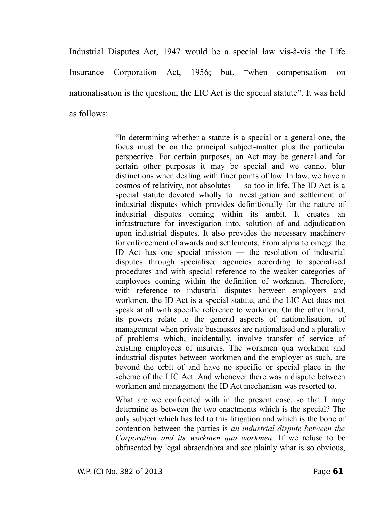Industrial Disputes Act, 1947 would be a special law vis-à-vis the Life Insurance Corporation Act, 1956; but, "when compensation on nationalisation is the question, the LIC Act is the special statute". It was held as follows:

> "In determining whether a statute is a special or a general one, the focus must be on the principal subject-matter plus the particular perspective. For certain purposes, an Act may be general and for certain other purposes it may be special and we cannot blur distinctions when dealing with finer points of law. In law, we have a cosmos of relativity, not absolutes — so too in life. The ID Act is a special statute devoted wholly to investigation and settlement of industrial disputes which provides definitionally for the nature of industrial disputes coming within its ambit. It creates an infrastructure for investigation into, solution of and adjudication upon industrial disputes. It also provides the necessary machinery for enforcement of awards and settlements. From alpha to omega the ID Act has one special mission — the resolution of industrial disputes through specialised agencies according to specialised procedures and with special reference to the weaker categories of employees coming within the definition of workmen. Therefore, with reference to industrial disputes between employers and workmen, the ID Act is a special statute, and the LIC Act does not speak at all with specific reference to workmen. On the other hand, its powers relate to the general aspects of nationalisation, of management when private businesses are nationalised and a plurality of problems which, incidentally, involve transfer of service of existing employees of insurers. The workmen qua workmen and industrial disputes between workmen and the employer as such, are beyond the orbit of and have no specific or special place in the scheme of the LIC Act. And whenever there was a dispute between workmen and management the ID Act mechanism was resorted to.

> What are we confronted with in the present case, so that I may determine as between the two enactments which is the special? The only subject which has led to this litigation and which is the bone of contention between the parties is *an industrial dispute between the Corporation and its workmen qua workmen*. If we refuse to be obfuscated by legal abracadabra and see plainly what is so obvious,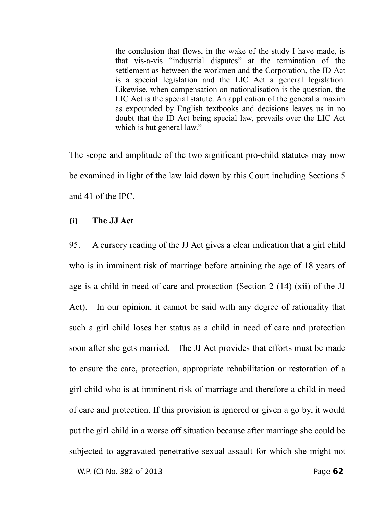the conclusion that flows, in the wake of the study I have made, is that vis-a-vis "industrial disputes" at the termination of the settlement as between the workmen and the Corporation, the ID Act is a special legislation and the LIC Act a general legislation. Likewise, when compensation on nationalisation is the question, the LIC Act is the special statute. An application of the generalia maxim as expounded by English textbooks and decisions leaves us in no doubt that the ID Act being special law, prevails over the LIC Act which is but general law."

The scope and amplitude of the two significant pro-child statutes may now be examined in light of the law laid down by this Court including Sections 5 and 41 of the IPC.

## **(i) The JJ Act**

95. A cursory reading of the JJ Act gives a clear indication that a girl child who is in imminent risk of marriage before attaining the age of 18 years of age is a child in need of care and protection (Section 2 (14) (xii) of the JJ Act). In our opinion, it cannot be said with any degree of rationality that such a girl child loses her status as a child in need of care and protection soon after she gets married. The JJ Act provides that efforts must be made to ensure the care, protection, appropriate rehabilitation or restoration of a girl child who is at imminent risk of marriage and therefore a child in need of care and protection. If this provision is ignored or given a go by, it would put the girl child in a worse off situation because after marriage she could be subjected to aggravated penetrative sexual assault for which she might not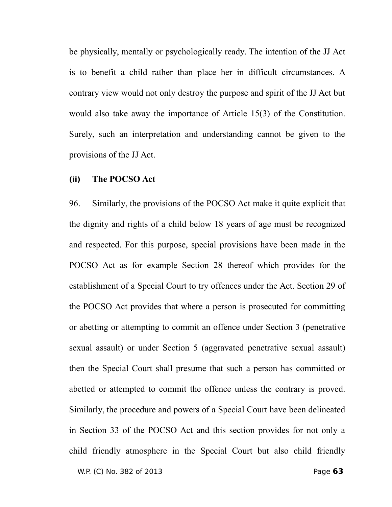be physically, mentally or psychologically ready. The intention of the JJ Act is to benefit a child rather than place her in difficult circumstances. A contrary view would not only destroy the purpose and spirit of the JJ Act but would also take away the importance of Article 15(3) of the Constitution. Surely, such an interpretation and understanding cannot be given to the provisions of the JJ Act.

#### **(ii) The POCSO Act**

96. Similarly, the provisions of the POCSO Act make it quite explicit that the dignity and rights of a child below 18 years of age must be recognized and respected. For this purpose, special provisions have been made in the POCSO Act as for example Section 28 thereof which provides for the establishment of a Special Court to try offences under the Act. Section 29 of the POCSO Act provides that where a person is prosecuted for committing or abetting or attempting to commit an offence under Section 3 (penetrative sexual assault) or under Section 5 (aggravated penetrative sexual assault) then the Special Court shall presume that such a person has committed or abetted or attempted to commit the offence unless the contrary is proved. Similarly, the procedure and powers of a Special Court have been delineated in Section 33 of the POCSO Act and this section provides for not only a child friendly atmosphere in the Special Court but also child friendly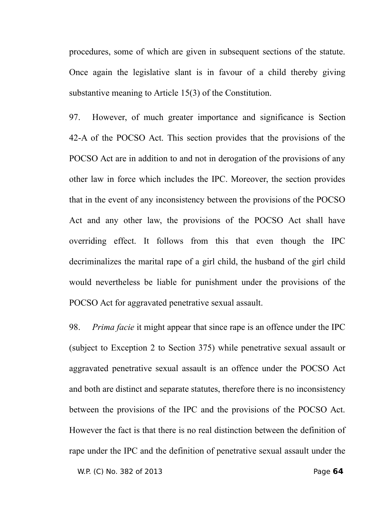procedures, some of which are given in subsequent sections of the statute. Once again the legislative slant is in favour of a child thereby giving substantive meaning to Article 15(3) of the Constitution.

97. However, of much greater importance and significance is Section 42-A of the POCSO Act. This section provides that the provisions of the POCSO Act are in addition to and not in derogation of the provisions of any other law in force which includes the IPC. Moreover, the section provides that in the event of any inconsistency between the provisions of the POCSO Act and any other law, the provisions of the POCSO Act shall have overriding effect. It follows from this that even though the IPC decriminalizes the marital rape of a girl child, the husband of the girl child would nevertheless be liable for punishment under the provisions of the POCSO Act for aggravated penetrative sexual assault.

98. *Prima facie* it might appear that since rape is an offence under the IPC (subject to Exception 2 to Section 375) while penetrative sexual assault or aggravated penetrative sexual assault is an offence under the POCSO Act and both are distinct and separate statutes, therefore there is no inconsistency between the provisions of the IPC and the provisions of the POCSO Act. However the fact is that there is no real distinction between the definition of rape under the IPC and the definition of penetrative sexual assault under the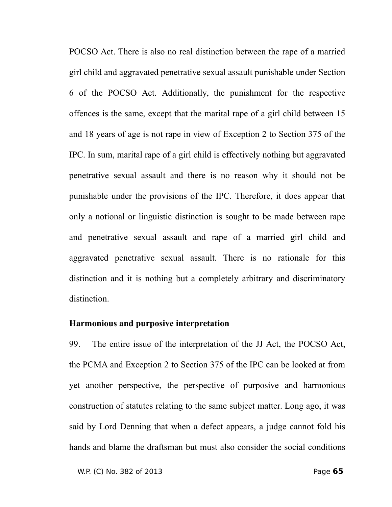POCSO Act. There is also no real distinction between the rape of a married girl child and aggravated penetrative sexual assault punishable under Section 6 of the POCSO Act. Additionally, the punishment for the respective offences is the same, except that the marital rape of a girl child between 15 and 18 years of age is not rape in view of Exception 2 to Section 375 of the IPC. In sum, marital rape of a girl child is effectively nothing but aggravated penetrative sexual assault and there is no reason why it should not be punishable under the provisions of the IPC. Therefore, it does appear that only a notional or linguistic distinction is sought to be made between rape and penetrative sexual assault and rape of a married girl child and aggravated penetrative sexual assault. There is no rationale for this distinction and it is nothing but a completely arbitrary and discriminatory distinction.

#### **Harmonious and purposive interpretation**

99. The entire issue of the interpretation of the JJ Act, the POCSO Act, the PCMA and Exception 2 to Section 375 of the IPC can be looked at from yet another perspective, the perspective of purposive and harmonious construction of statutes relating to the same subject matter. Long ago, it was said by Lord Denning that when a defect appears, a judge cannot fold his hands and blame the draftsman but must also consider the social conditions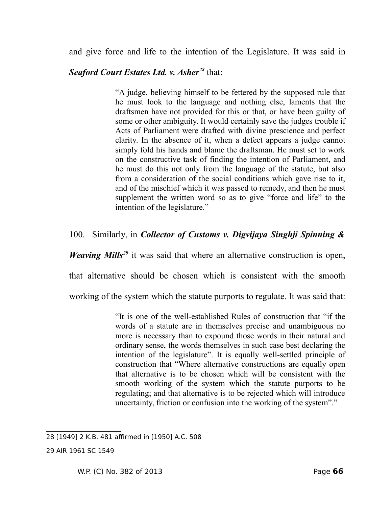and give force and life to the intention of the Legislature. It was said in

# *Seaford Court Estates Ltd. v. Asher[28](#page-65-0)* that:

"A judge, believing himself to be fettered by the supposed rule that he must look to the language and nothing else, laments that the draftsmen have not provided for this or that, or have been guilty of some or other ambiguity. It would certainly save the judges trouble if Acts of Parliament were drafted with divine prescience and perfect clarity. In the absence of it, when a defect appears a judge cannot simply fold his hands and blame the draftsman. He must set to work on the constructive task of finding the intention of Parliament, and he must do this not only from the language of the statute, but also from a consideration of the social conditions which gave rise to it, and of the mischief which it was passed to remedy, and then he must supplement the written word so as to give "force and life" to the intention of the legislature."

# 100. Similarly, in *Collector of Customs v. Digvijaya Singhji Spinning &*

*Weaving Mills<sup>[29](#page-65-1)</sup>* it was said that where an alternative construction is open,

that alternative should be chosen which is consistent with the smooth

working of the system which the statute purports to regulate. It was said that:

"It is one of the well-established Rules of construction that "if the words of a statute are in themselves precise and unambiguous no more is necessary than to expound those words in their natural and ordinary sense, the words themselves in such case best declaring the intention of the legislature". It is equally well-settled principle of construction that "Where alternative constructions are equally open that alternative is to be chosen which will be consistent with the smooth working of the system which the statute purports to be regulating; and that alternative is to be rejected which will introduce uncertainty, friction or confusion into the working of the system"."

<span id="page-65-0"></span><sup>28 [1949] 2</sup> K.B. 481 affirmed in [1950] A.C. 508

<span id="page-65-1"></span><sup>29</sup> AIR 1961 SC 1549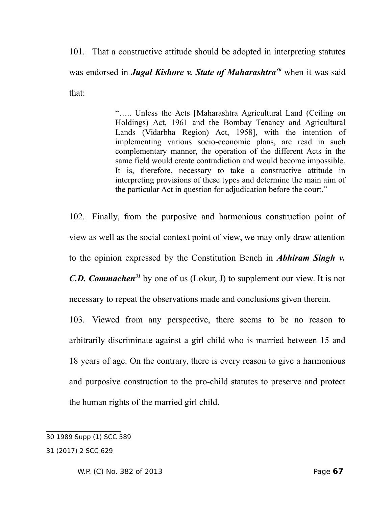101. That a constructive attitude should be adopted in interpreting statutes was endorsed in *Jugal Kishore v. State of Maharashtra[30](#page-66-0)* when it was said that:

> "….. Unless the Acts [Maharashtra Agricultural Land (Ceiling on Holdings) Act, 1961 and the Bombay Tenancy and Agricultural Lands (Vidarbha Region) Act, 1958], with the intention of implementing various socio-economic plans, are read in such complementary manner, the operation of the different Acts in the same field would create contradiction and would become impossible. It is, therefore, necessary to take a constructive attitude in interpreting provisions of these types and determine the main aim of the particular Act in question for adjudication before the court."

102. Finally, from the purposive and harmonious construction point of view as well as the social context point of view, we may only draw attention to the opinion expressed by the Constitution Bench in *Abhiram Singh v. C.D. Commachen[31](#page-66-1)* by one of us (Lokur, J) to supplement our view. It is not necessary to repeat the observations made and conclusions given therein.

103. Viewed from any perspective, there seems to be no reason to arbitrarily discriminate against a girl child who is married between 15 and 18 years of age. On the contrary, there is every reason to give a harmonious and purposive construction to the pro-child statutes to preserve and protect the human rights of the married girl child.

<span id="page-66-0"></span><sup>30 1989</sup> Supp (1) SCC 589

<span id="page-66-1"></span><sup>31 (2017) 2</sup> SCC 629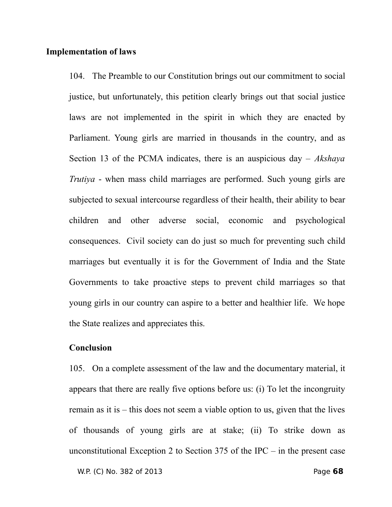#### **Implementation of laws**

104. The Preamble to our Constitution brings out our commitment to social justice, but unfortunately, this petition clearly brings out that social justice laws are not implemented in the spirit in which they are enacted by Parliament. Young girls are married in thousands in the country, and as Section 13 of the PCMA indicates, there is an auspicious day – *Akshaya Trutiya* - when mass child marriages are performed. Such young girls are subjected to sexual intercourse regardless of their health, their ability to bear children and other adverse social, economic and psychological consequences. Civil society can do just so much for preventing such child marriages but eventually it is for the Government of India and the State Governments to take proactive steps to prevent child marriages so that young girls in our country can aspire to a better and healthier life. We hope the State realizes and appreciates this.

#### **Conclusion**

105. On a complete assessment of the law and the documentary material, it appears that there are really five options before us: (i) To let the incongruity remain as it is – this does not seem a viable option to us, given that the lives of thousands of young girls are at stake; (ii) To strike down as unconstitutional Exception 2 to Section 375 of the IPC – in the present case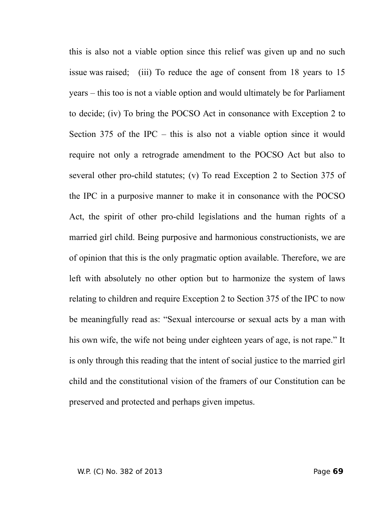this is also not a viable option since this relief was given up and no such issue was raised; (iii) To reduce the age of consent from 18 years to 15 years – this too is not a viable option and would ultimately be for Parliament to decide; (iv) To bring the POCSO Act in consonance with Exception 2 to Section 375 of the IPC – this is also not a viable option since it would require not only a retrograde amendment to the POCSO Act but also to several other pro-child statutes; (v) To read Exception 2 to Section 375 of the IPC in a purposive manner to make it in consonance with the POCSO Act, the spirit of other pro-child legislations and the human rights of a married girl child. Being purposive and harmonious constructionists, we are of opinion that this is the only pragmatic option available. Therefore, we are left with absolutely no other option but to harmonize the system of laws relating to children and require Exception 2 to Section 375 of the IPC to now be meaningfully read as: "Sexual intercourse or sexual acts by a man with his own wife, the wife not being under eighteen years of age, is not rape." It is only through this reading that the intent of social justice to the married girl child and the constitutional vision of the framers of our Constitution can be preserved and protected and perhaps given impetus.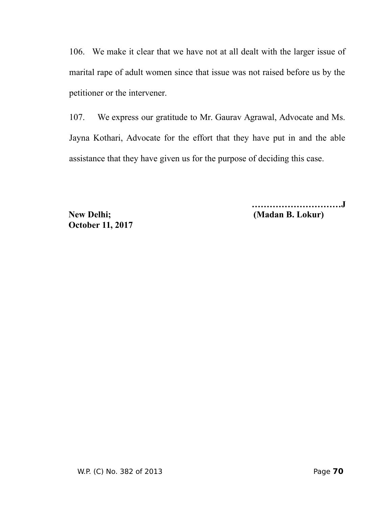106. We make it clear that we have not at all dealt with the larger issue of marital rape of adult women since that issue was not raised before us by the petitioner or the intervener.

107. We express our gratitude to Mr. Gaurav Agrawal, Advocate and Ms. Jayna Kothari, Advocate for the effort that they have put in and the able assistance that they have given us for the purpose of deciding this case.

 **October 11, 2017**

**…………………………J New Delhi; (Madan B. Lokur)**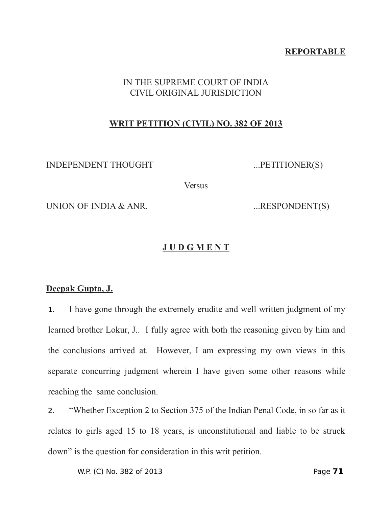## **REPORTABLE**

## IN THE SUPREME COURT OF INDIA CIVIL ORIGINAL JURISDICTION

## **WRIT PETITION (CIVIL) NO. 382 OF 2013**

INDEPENDENT THOUGHT ...PETITIONER(S)

**Versus** 

UNION OF INDIA & ANR. ...RESPONDENT(S)

# **J U D G M E N T**

### **Deepak Gupta, J.**

1. I have gone through the extremely erudite and well written judgment of my learned brother Lokur, J.. I fully agree with both the reasoning given by him and the conclusions arrived at. However, I am expressing my own views in this separate concurring judgment wherein I have given some other reasons while reaching the same conclusion.

2. "Whether Exception 2 to Section 375 of the Indian Penal Code, in so far as it relates to girls aged 15 to 18 years, is unconstitutional and liable to be struck down" is the question for consideration in this writ petition.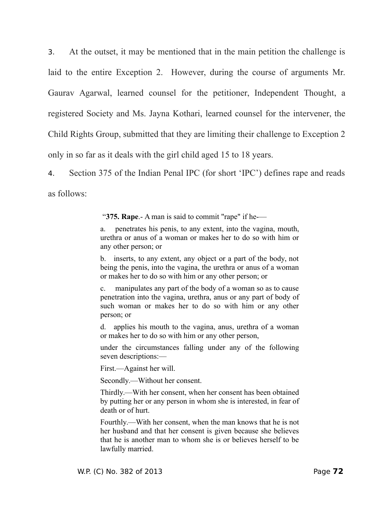3. At the outset, it may be mentioned that in the main petition the challenge is laid to the entire Exception 2. However, during the course of arguments Mr. Gaurav Agarwal, learned counsel for the petitioner, Independent Thought, a registered Society and Ms. Jayna Kothari, learned counsel for the intervener, the Child Rights Group, submitted that they are limiting their challenge to Exception 2 only in so far as it deals with the girl child aged 15 to 18 years.

4. Section 375 of the Indian Penal IPC (for short 'IPC') defines rape and reads as follows:

"**375. Rape**.- A man is said to commit "rape" if he-—

a. penetrates his penis, to any extent, into the vagina, mouth, urethra or anus of a woman or makes her to do so with him or any other person; or

b. inserts, to any extent, any object or a part of the body, not being the penis, into the vagina, the urethra or anus of a woman or makes her to do so with him or any other person; or

c. manipulates any part of the body of a woman so as to cause penetration into the vagina, urethra, anus or any part of body of such woman or makes her to do so with him or any other person; or

d. applies his mouth to the vagina, anus, urethra of a woman or makes her to do so with him or any other person,

under the circumstances falling under any of the following seven descriptions:—

First.—Against her will.

Secondly.—Without her consent.

Thirdly.—With her consent, when her consent has been obtained by putting her or any person in whom she is interested, in fear of death or of hurt.

Fourthly.—With her consent, when the man knows that he is not her husband and that her consent is given because she believes that he is another man to whom she is or believes herself to be lawfully married.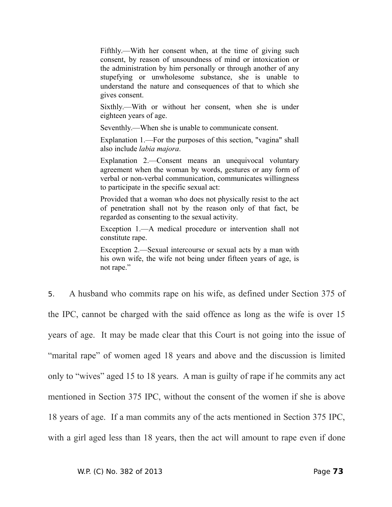Fifthly.—With her consent when, at the time of giving such consent, by reason of unsoundness of mind or intoxication or the administration by him personally or through another of any stupefying or unwholesome substance, she is unable to understand the nature and consequences of that to which she gives consent.

Sixthly.—With or without her consent, when she is under eighteen years of age.

Seventhly.—When she is unable to communicate consent.

Explanation 1.—For the purposes of this section, "vagina" shall also include *labia majora*.

Explanation 2.—Consent means an unequivocal voluntary agreement when the woman by words, gestures or any form of verbal or non-verbal communication, communicates willingness to participate in the specific sexual act:

Provided that a woman who does not physically resist to the act of penetration shall not by the reason only of that fact, be regarded as consenting to the sexual activity.

Exception 1.—A medical procedure or intervention shall not constitute rape.

Exception 2.—Sexual intercourse or sexual acts by a man with his own wife, the wife not being under fifteen years of age, is not rape."

5. A husband who commits rape on his wife, as defined under Section 375 of the IPC, cannot be charged with the said offence as long as the wife is over 15 years of age. It may be made clear that this Court is not going into the issue of "marital rape" of women aged 18 years and above and the discussion is limited only to "wives" aged 15 to 18 years. A man is guilty of rape if he commits any act mentioned in Section 375 IPC, without the consent of the women if she is above 18 years of age. If a man commits any of the acts mentioned in Section 375 IPC, with a girl aged less than 18 years, then the act will amount to rape even if done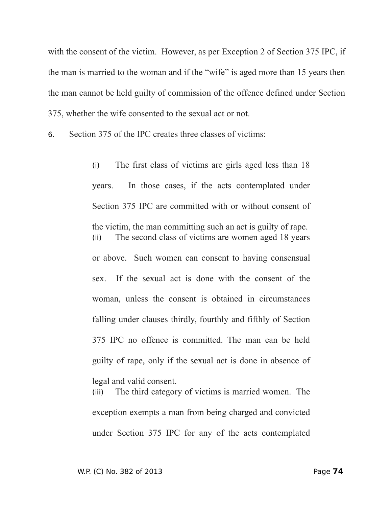with the consent of the victim. However, as per Exception 2 of Section 375 IPC, if the man is married to the woman and if the "wife" is aged more than 15 years then the man cannot be held guilty of commission of the offence defined under Section 375, whether the wife consented to the sexual act or not.

6. Section 375 of the IPC creates three classes of victims:

(i) The first class of victims are girls aged less than 18 years. In those cases, if the acts contemplated under Section 375 IPC are committed with or without consent of the victim, the man committing such an act is guilty of rape. (ii) The second class of victims are women aged 18 years or above. Such women can consent to having consensual sex. If the sexual act is done with the consent of the woman, unless the consent is obtained in circumstances falling under clauses thirdly, fourthly and fifthly of Section 375 IPC no offence is committed. The man can be held guilty of rape, only if the sexual act is done in absence of legal and valid consent.

(iii) The third category of victims is married women. The exception exempts a man from being charged and convicted under Section 375 IPC for any of the acts contemplated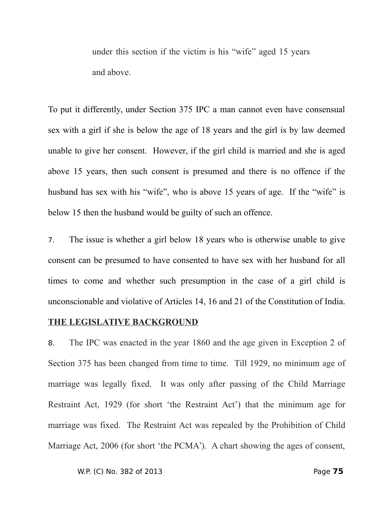under this section if the victim is his "wife" aged 15 years and above.

To put it differently, under Section 375 IPC a man cannot even have consensual sex with a girl if she is below the age of 18 years and the girl is by law deemed unable to give her consent. However, if the girl child is married and she is aged above 15 years, then such consent is presumed and there is no offence if the husband has sex with his "wife", who is above 15 years of age. If the "wife" is below 15 then the husband would be guilty of such an offence.

7. The issue is whether a girl below 18 years who is otherwise unable to give consent can be presumed to have consented to have sex with her husband for all times to come and whether such presumption in the case of a girl child is unconscionable and violative of Articles 14, 16 and 21 of the Constitution of India.

### **THE LEGISLATIVE BACKGROUND**

8. The IPC was enacted in the year 1860 and the age given in Exception 2 of Section 375 has been changed from time to time. Till 1929, no minimum age of marriage was legally fixed. It was only after passing of the Child Marriage Restraint Act, 1929 (for short 'the Restraint Act') that the minimum age for marriage was fixed. The Restraint Act was repealed by the Prohibition of Child Marriage Act, 2006 (for short 'the PCMA'). A chart showing the ages of consent,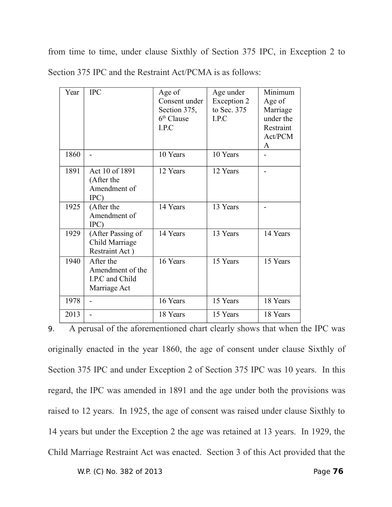from time to time, under clause Sixthly of Section 375 IPC, in Exception 2 to Section 375 IPC and the Restraint Act/PCMA is as follows:

| Year | <b>IPC</b>                                                       | Age of<br>Consent under<br>Section 375,<br>$6th$ Clause<br>I.P.C | Age under<br>Exception 2<br>to Sec. 375<br>I.P.C | Minimum<br>Age of<br>Marriage<br>under the<br>Restraint<br>Act/PCM<br>A |
|------|------------------------------------------------------------------|------------------------------------------------------------------|--------------------------------------------------|-------------------------------------------------------------------------|
| 1860 |                                                                  | 10 Years                                                         | 10 Years                                         |                                                                         |
| 1891 | Act 10 of 1891<br>(After the<br>Amendment of<br>IPC)             | 12 Years                                                         | 12 Years                                         |                                                                         |
| 1925 | (After the<br>Amendment of<br>IPC)                               | 14 Years                                                         | 13 Years                                         |                                                                         |
| 1929 | (After Passing of<br>Child Marriage<br>Restraint Act)            | 14 Years                                                         | 13 Years                                         | 14 Years                                                                |
| 1940 | After the<br>Amendment of the<br>I.P.C and Child<br>Marriage Act | 16 Years                                                         | 15 Years                                         | 15 Years                                                                |
| 1978 |                                                                  | 16 Years                                                         | 15 Years                                         | 18 Years                                                                |
| 2013 |                                                                  | 18 Years                                                         | 15 Years                                         | 18 Years                                                                |

9. A perusal of the aforementioned chart clearly shows that when the IPC was originally enacted in the year 1860, the age of consent under clause Sixthly of Section 375 IPC and under Exception 2 of Section 375 IPC was 10 years. In this regard, the IPC was amended in 1891 and the age under both the provisions was raised to 12 years. In 1925, the age of consent was raised under clause Sixthly to 14 years but under the Exception 2 the age was retained at 13 years. In 1929, the Child Marriage Restraint Act was enacted. Section 3 of this Act provided that the

W.P. (C) No. 382 of 2013 Page **76**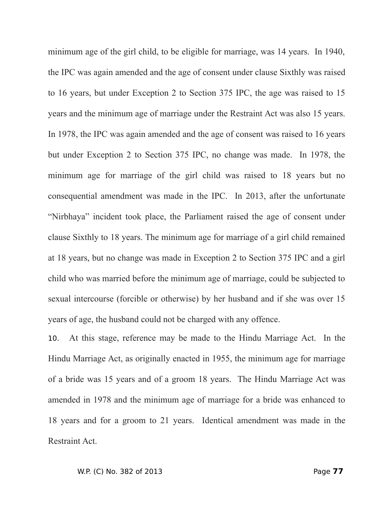minimum age of the girl child, to be eligible for marriage, was 14 years. In 1940, the IPC was again amended and the age of consent under clause Sixthly was raised to 16 years, but under Exception 2 to Section 375 IPC, the age was raised to 15 years and the minimum age of marriage under the Restraint Act was also 15 years. In 1978, the IPC was again amended and the age of consent was raised to 16 years but under Exception 2 to Section 375 IPC, no change was made. In 1978, the minimum age for marriage of the girl child was raised to 18 years but no consequential amendment was made in the IPC. In 2013, after the unfortunate "Nirbhaya" incident took place, the Parliament raised the age of consent under clause Sixthly to 18 years. The minimum age for marriage of a girl child remained at 18 years, but no change was made in Exception 2 to Section 375 IPC and a girl child who was married before the minimum age of marriage, could be subjected to sexual intercourse (forcible or otherwise) by her husband and if she was over 15 years of age, the husband could not be charged with any offence.

10. At this stage, reference may be made to the Hindu Marriage Act. In the Hindu Marriage Act, as originally enacted in 1955, the minimum age for marriage of a bride was 15 years and of a groom 18 years. The Hindu Marriage Act was amended in 1978 and the minimum age of marriage for a bride was enhanced to 18 years and for a groom to 21 years. Identical amendment was made in the Restraint Act.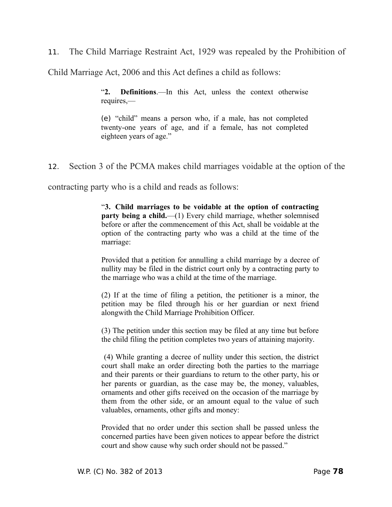11. The Child Marriage Restraint Act, 1929 was repealed by the Prohibition of

Child Marriage Act, 2006 and this Act defines a child as follows:

"**2. Definitions**.—In this Act, unless the context otherwise requires,—

(e) "child" means a person who, if a male, has not completed twenty-one years of age, and if a female, has not completed eighteen years of age."

12. Section 3 of the PCMA makes child marriages voidable at the option of the

contracting party who is a child and reads as follows:

"**3. Child marriages to be voidable at the option of contracting party being a child.**—(1) Every child marriage, whether solemnised before or after the commencement of this Act, shall be voidable at the option of the contracting party who was a child at the time of the marriage:

Provided that a petition for annulling a child marriage by a decree of nullity may be filed in the district court only by a contracting party to the marriage who was a child at the time of the marriage.

(2) If at the time of filing a petition, the petitioner is a minor, the petition may be filed through his or her guardian or next friend alongwith the Child Marriage Prohibition Officer.

(3) The petition under this section may be filed at any time but before the child filing the petition completes two years of attaining majority.

 (4) While granting a decree of nullity under this section, the district court shall make an order directing both the parties to the marriage and their parents or their guardians to return to the other party, his or her parents or guardian, as the case may be, the money, valuables, ornaments and other gifts received on the occasion of the marriage by them from the other side, or an amount equal to the value of such valuables, ornaments, other gifts and money:

Provided that no order under this section shall be passed unless the concerned parties have been given notices to appear before the district court and show cause why such order should not be passed."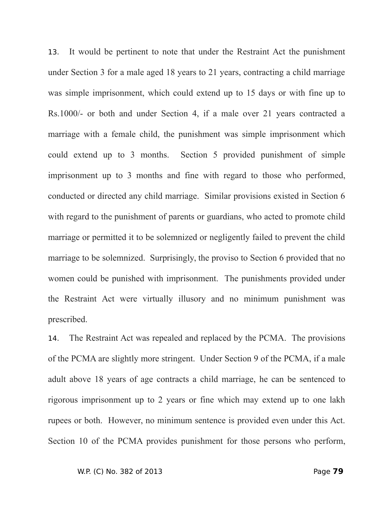13. It would be pertinent to note that under the Restraint Act the punishment under Section 3 for a male aged 18 years to 21 years, contracting a child marriage was simple imprisonment, which could extend up to 15 days or with fine up to Rs.1000/- or both and under Section 4, if a male over 21 years contracted a marriage with a female child, the punishment was simple imprisonment which could extend up to 3 months. Section 5 provided punishment of simple imprisonment up to 3 months and fine with regard to those who performed, conducted or directed any child marriage. Similar provisions existed in Section 6 with regard to the punishment of parents or guardians, who acted to promote child marriage or permitted it to be solemnized or negligently failed to prevent the child marriage to be solemnized. Surprisingly, the proviso to Section 6 provided that no women could be punished with imprisonment. The punishments provided under the Restraint Act were virtually illusory and no minimum punishment was prescribed.

14. The Restraint Act was repealed and replaced by the PCMA. The provisions of the PCMA are slightly more stringent. Under Section 9 of the PCMA, if a male adult above 18 years of age contracts a child marriage, he can be sentenced to rigorous imprisonment up to 2 years or fine which may extend up to one lakh rupees or both. However, no minimum sentence is provided even under this Act. Section 10 of the PCMA provides punishment for those persons who perform,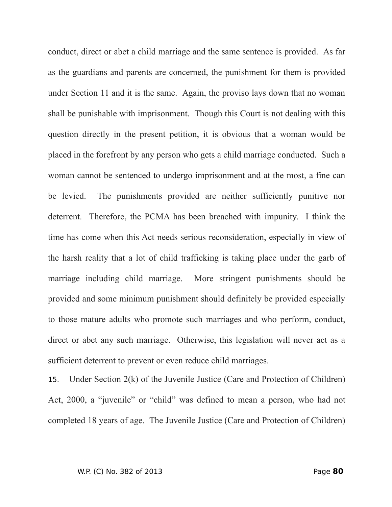conduct, direct or abet a child marriage and the same sentence is provided. As far as the guardians and parents are concerned, the punishment for them is provided under Section 11 and it is the same. Again, the proviso lays down that no woman shall be punishable with imprisonment. Though this Court is not dealing with this question directly in the present petition, it is obvious that a woman would be placed in the forefront by any person who gets a child marriage conducted. Such a woman cannot be sentenced to undergo imprisonment and at the most, a fine can be levied. The punishments provided are neither sufficiently punitive nor deterrent. Therefore, the PCMA has been breached with impunity. I think the time has come when this Act needs serious reconsideration, especially in view of the harsh reality that a lot of child trafficking is taking place under the garb of marriage including child marriage. More stringent punishments should be provided and some minimum punishment should definitely be provided especially to those mature adults who promote such marriages and who perform, conduct, direct or abet any such marriage. Otherwise, this legislation will never act as a sufficient deterrent to prevent or even reduce child marriages.

15. Under Section 2(k) of the Juvenile Justice (Care and Protection of Children) Act, 2000, a "juvenile" or "child" was defined to mean a person, who had not completed 18 years of age. The Juvenile Justice (Care and Protection of Children)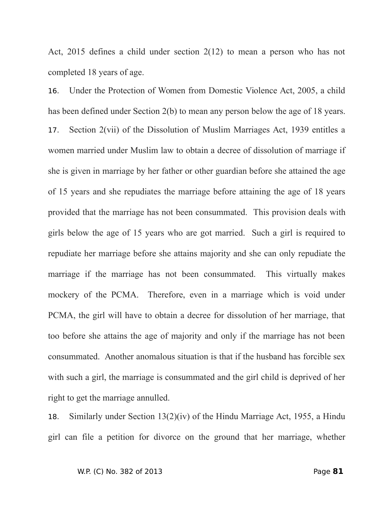Act, 2015 defines a child under section 2(12) to mean a person who has not completed 18 years of age.

16. Under the Protection of Women from Domestic Violence Act, 2005, a child has been defined under Section 2(b) to mean any person below the age of 18 years. 17. Section 2(vii) of the Dissolution of Muslim Marriages Act, 1939 entitles a women married under Muslim law to obtain a decree of dissolution of marriage if she is given in marriage by her father or other guardian before she attained the age of 15 years and she repudiates the marriage before attaining the age of 18 years provided that the marriage has not been consummated. This provision deals with girls below the age of 15 years who are got married. Such a girl is required to repudiate her marriage before she attains majority and she can only repudiate the marriage if the marriage has not been consummated. This virtually makes mockery of the PCMA. Therefore, even in a marriage which is void under PCMA, the girl will have to obtain a decree for dissolution of her marriage, that too before she attains the age of majority and only if the marriage has not been consummated. Another anomalous situation is that if the husband has forcible sex with such a girl, the marriage is consummated and the girl child is deprived of her right to get the marriage annulled.

18. Similarly under Section 13(2)(iv) of the Hindu Marriage Act, 1955, a Hindu girl can file a petition for divorce on the ground that her marriage, whether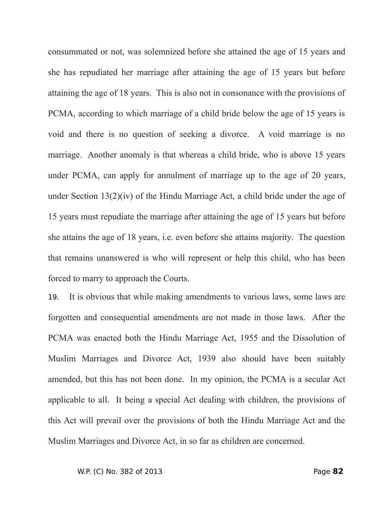consummated or not, was solemnized before she attained the age of 15 years and she has repudiated her marriage after attaining the age of 15 years but before attaining the age of 18 years. This is also not in consonance with the provisions of PCMA, according to which marriage of a child bride below the age of 15 years is void and there is no question of seeking a divorce. A void marriage is no marriage. Another anomaly is that whereas a child bride, who is above 15 years under PCMA, can apply for annulment of marriage up to the age of 20 years, under Section 13(2)(iv) of the Hindu Marriage Act, a child bride under the age of 15 years must repudiate the marriage after attaining the age of 15 years but before she attains the age of 18 years, i.e. even before she attains majority. The question that remains unanswered is who will represent or help this child, who has been forced to marry to approach the Courts.

19. It is obvious that while making amendments to various laws, some laws are forgotten and consequential amendments are not made in those laws. After the PCMA was enacted both the Hindu Marriage Act, 1955 and the Dissolution of Muslim Marriages and Divorce Act, 1939 also should have been suitably amended, but this has not been done. In my opinion, the PCMA is a secular Act applicable to all. It being a special Act dealing with children, the provisions of this Act will prevail over the provisions of both the Hindu Marriage Act and the Muslim Marriages and Divorce Act, in so far as children are concerned.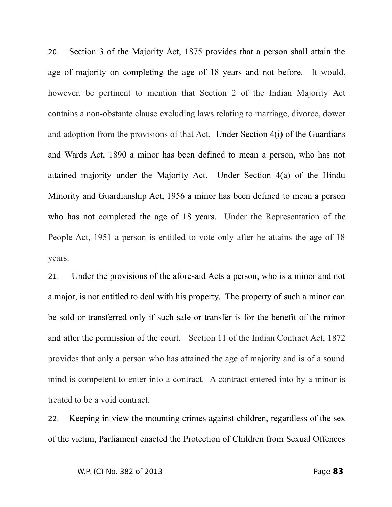20. Section 3 of the Majority Act, 1875 provides that a person shall attain the age of majority on completing the age of 18 years and not before. It would, however, be pertinent to mention that Section 2 of the Indian Majority Act contains a non-obstante clause excluding laws relating to marriage, divorce, dower and adoption from the provisions of that Act. Under Section 4(i) of the Guardians and Wards Act, 1890 a minor has been defined to mean a person, who has not attained majority under the Majority Act. Under Section 4(a) of the Hindu Minority and Guardianship Act, 1956 a minor has been defined to mean a person who has not completed the age of 18 years. Under the Representation of the People Act, 1951 a person is entitled to vote only after he attains the age of 18 years.

21. Under the provisions of the aforesaid Acts a person, who is a minor and not a major, is not entitled to deal with his property. The property of such a minor can be sold or transferred only if such sale or transfer is for the benefit of the minor and after the permission of the court. Section 11 of the Indian Contract Act, 1872 provides that only a person who has attained the age of majority and is of a sound mind is competent to enter into a contract. A contract entered into by a minor is treated to be a void contract.

22. Keeping in view the mounting crimes against children, regardless of the sex of the victim, Parliament enacted the Protection of Children from Sexual Offences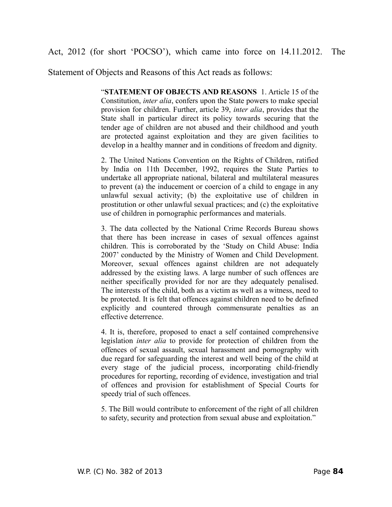Act, 2012 (for short 'POCSO'), which came into force on 14.11.2012. The

Statement of Objects and Reasons of this Act reads as follows:

"**STATEMENT OF OBJECTS AND REASONS** 1. Article 15 of the Constitution, *inter alia*, confers upon the State powers to make special provision for children. Further, article 39, *inter alia*, provides that the State shall in particular direct its policy towards securing that the tender age of children are not abused and their childhood and youth are protected against exploitation and they are given facilities to develop in a healthy manner and in conditions of freedom and dignity.

2. The United Nations Convention on the Rights of Children, ratified by India on 11th December, 1992, requires the State Parties to undertake all appropriate national, bilateral and multilateral measures to prevent (a) the inducement or coercion of a child to engage in any unlawful sexual activity; (b) the exploitative use of children in prostitution or other unlawful sexual practices; and (c) the exploitative use of children in pornographic performances and materials.

3. The data collected by the National Crime Records Bureau shows that there has been increase in cases of sexual offences against children. This is corroborated by the 'Study on Child Abuse: India 2007' conducted by the Ministry of Women and Child Development. Moreover, sexual offences against children are not adequately addressed by the existing laws. A large number of such offences are neither specifically provided for nor are they adequately penalised. The interests of the child, both as a victim as well as a witness, need to be protected. It is felt that offences against children need to be defined explicitly and countered through commensurate penalties as an effective deterrence.

4. It is, therefore, proposed to enact a self contained comprehensive legislation *inter alia* to provide for protection of children from the offences of sexual assault, sexual harassment and pornography with due regard for safeguarding the interest and well being of the child at every stage of the judicial process, incorporating child-friendly procedures for reporting, recording of evidence, investigation and trial of offences and provision for establishment of Special Courts for speedy trial of such offences.

5. The Bill would contribute to enforcement of the right of all children to safety, security and protection from sexual abuse and exploitation."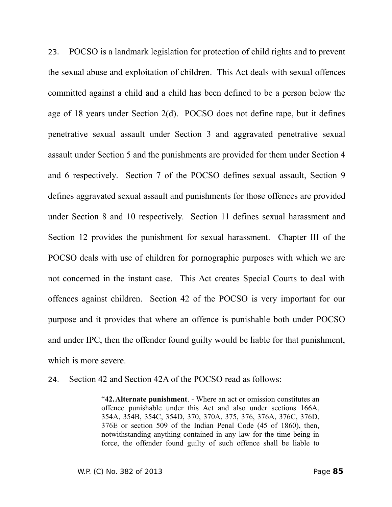23. POCSO is a landmark legislation for protection of child rights and to prevent the sexual abuse and exploitation of children. This Act deals with sexual offences committed against a child and a child has been defined to be a person below the age of 18 years under Section 2(d). POCSO does not define rape, but it defines penetrative sexual assault under Section 3 and aggravated penetrative sexual assault under Section 5 and the punishments are provided for them under Section 4 and 6 respectively. Section 7 of the POCSO defines sexual assault, Section 9 defines aggravated sexual assault and punishments for those offences are provided under Section 8 and 10 respectively. Section 11 defines sexual harassment and Section 12 provides the punishment for sexual harassment. Chapter III of the POCSO deals with use of children for pornographic purposes with which we are not concerned in the instant case. This Act creates Special Courts to deal with offences against children. Section 42 of the POCSO is very important for our purpose and it provides that where an offence is punishable both under POCSO and under IPC, then the offender found guilty would be liable for that punishment, which is more severe.

24. Section 42 and Section 42A of the POCSO read as follows:

"**42.Alternate punishment**. - Where an act or omission constitutes an offence punishable under this Act and also under sections 166A, 354A, 354B, 354C, 354D, 370, 370A, 375, 376, 376A, 376C, 376D, 376E or section 509 of the Indian Penal Code (45 of 1860), then, notwithstanding anything contained in any law for the time being in force, the offender found guilty of such offence shall be liable to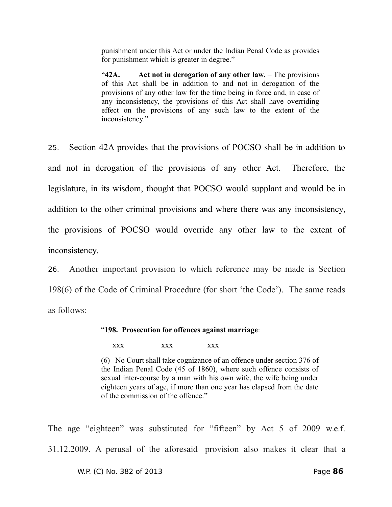punishment under this Act or under the Indian Penal Code as provides for punishment which is greater in degree."

"**42A. Act not in derogation of any other law.** – The provisions of this Act shall be in addition to and not in derogation of the provisions of any other law for the time being in force and, in case of any inconsistency, the provisions of this Act shall have overriding effect on the provisions of any such law to the extent of the inconsistency."

25. Section 42A provides that the provisions of POCSO shall be in addition to and not in derogation of the provisions of any other Act. Therefore, the legislature, in its wisdom, thought that POCSO would supplant and would be in addition to the other criminal provisions and where there was any inconsistency, the provisions of POCSO would override any other law to the extent of inconsistency.

26. Another important provision to which reference may be made is Section 198(6) of the Code of Criminal Procedure (for short 'the Code'). The same reads as follows:

#### "**198. Prosecution for offences against marriage**:

xxx xxx xxx

(6) No Court shall take cognizance of an offence under section 376 of the Indian Penal Code (45 of 1860), where such offence consists of sexual inter-course by a man with his own wife, the wife being under eighteen years of age, if more than one year has elapsed from the date of the commission of the offence."

The age "eighteen" was substituted for "fifteen" by Act 5 of 2009 w.e.f. 31.12.2009. A perusal of the aforesaid provision also makes it clear that a

W.P. (C) No. 382 of 2013 Page **86**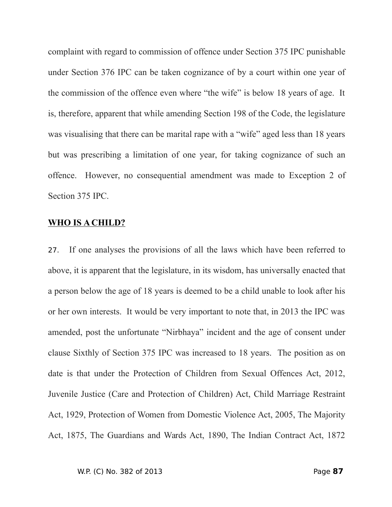complaint with regard to commission of offence under Section 375 IPC punishable under Section 376 IPC can be taken cognizance of by a court within one year of the commission of the offence even where "the wife" is below 18 years of age. It is, therefore, apparent that while amending Section 198 of the Code, the legislature was visualising that there can be marital rape with a "wife" aged less than 18 years but was prescribing a limitation of one year, for taking cognizance of such an offence. However, no consequential amendment was made to Exception 2 of Section 375 IPC.

### **WHO IS A CHILD?**

27. If one analyses the provisions of all the laws which have been referred to above, it is apparent that the legislature, in its wisdom, has universally enacted that a person below the age of 18 years is deemed to be a child unable to look after his or her own interests. It would be very important to note that, in 2013 the IPC was amended, post the unfortunate "Nirbhaya" incident and the age of consent under clause Sixthly of Section 375 IPC was increased to 18 years. The position as on date is that under the Protection of Children from Sexual Offences Act, 2012, Juvenile Justice (Care and Protection of Children) Act, Child Marriage Restraint Act, 1929, Protection of Women from Domestic Violence Act, 2005, The Majority Act, 1875, The Guardians and Wards Act, 1890, The Indian Contract Act, 1872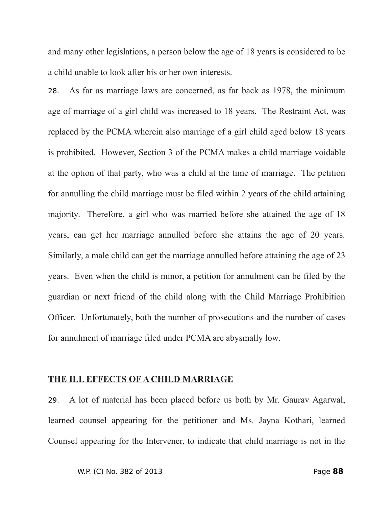and many other legislations, a person below the age of 18 years is considered to be a child unable to look after his or her own interests.

28. As far as marriage laws are concerned, as far back as 1978, the minimum age of marriage of a girl child was increased to 18 years. The Restraint Act, was replaced by the PCMA wherein also marriage of a girl child aged below 18 years is prohibited. However, Section 3 of the PCMA makes a child marriage voidable at the option of that party, who was a child at the time of marriage. The petition for annulling the child marriage must be filed within 2 years of the child attaining majority. Therefore, a girl who was married before she attained the age of 18 years, can get her marriage annulled before she attains the age of 20 years. Similarly, a male child can get the marriage annulled before attaining the age of 23 years. Even when the child is minor, a petition for annulment can be filed by the guardian or next friend of the child along with the Child Marriage Prohibition Officer. Unfortunately, both the number of prosecutions and the number of cases for annulment of marriage filed under PCMA are abysmally low.

#### **THE ILL EFFECTS OF A CHILD MARRIAGE**

29. A lot of material has been placed before us both by Mr. Gaurav Agarwal, learned counsel appearing for the petitioner and Ms. Jayna Kothari, learned Counsel appearing for the Intervener, to indicate that child marriage is not in the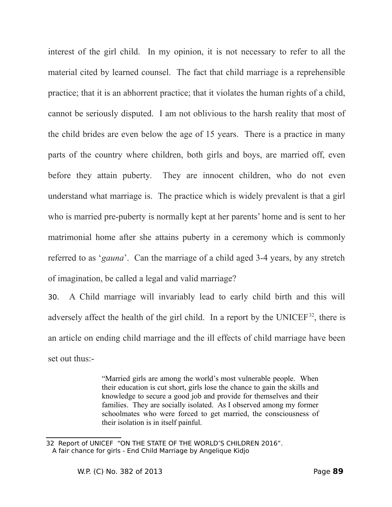interest of the girl child. In my opinion, it is not necessary to refer to all the material cited by learned counsel. The fact that child marriage is a reprehensible practice; that it is an abhorrent practice; that it violates the human rights of a child, cannot be seriously disputed. I am not oblivious to the harsh reality that most of the child brides are even below the age of 15 years. There is a practice in many parts of the country where children, both girls and boys, are married off, even before they attain puberty. They are innocent children, who do not even understand what marriage is. The practice which is widely prevalent is that a girl who is married pre-puberty is normally kept at her parents' home and is sent to her matrimonial home after she attains puberty in a ceremony which is commonly referred to as '*gauna*'. Can the marriage of a child aged 3-4 years, by any stretch of imagination, be called a legal and valid marriage?

30. A Child marriage will invariably lead to early child birth and this will adversely affect the health of the girl child. In a report by the UNICEF $32$ , there is an article on ending child marriage and the ill effects of child marriage have been set out thus:-

> "Married girls are among the world's most vulnerable people. When their education is cut short, girls lose the chance to gain the skills and knowledge to secure a good job and provide for themselves and their families. They are socially isolated. As I observed among my former schoolmates who were forced to get married, the consciousness of their isolation is in itself painful.

<span id="page-88-0"></span><sup>32</sup> Report of UNICEF "ON THE STATE OF THE WORLD'S CHILDREN 2016". A fair chance for girls - End Child Marriage by Angelique Kidjo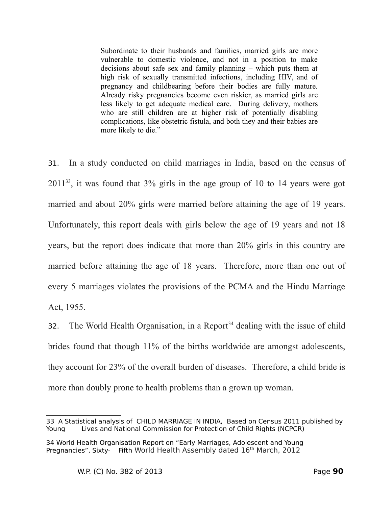Subordinate to their husbands and families, married girls are more vulnerable to domestic violence, and not in a position to make decisions about safe sex and family planning – which puts them at high risk of sexually transmitted infections, including HIV, and of pregnancy and childbearing before their bodies are fully mature. Already risky pregnancies become even riskier, as married girls are less likely to get adequate medical care. During delivery, mothers who are still children are at higher risk of potentially disabling complications, like obstetric fistula, and both they and their babies are more likely to die."

31. In a study conducted on child marriages in India, based on the census of 2011[33](#page-89-0), it was found that 3% girls in the age group of 10 to 14 years were got married and about 20% girls were married before attaining the age of 19 years. Unfortunately, this report deals with girls below the age of 19 years and not 18 years, but the report does indicate that more than 20% girls in this country are married before attaining the age of 18 years. Therefore, more than one out of every 5 marriages violates the provisions of the PCMA and the Hindu Marriage Act, 1955.

32. The World Health Organisation, in a Report<sup>[34](#page-89-1)</sup> dealing with the issue of child brides found that though 11% of the births worldwide are amongst adolescents, they account for 23% of the overall burden of diseases. Therefore, a child bride is more than doubly prone to health problems than a grown up woman.

<span id="page-89-0"></span><sup>33</sup> A Statistical analysis of CHILD MARRIAGE IN INDIA, Based on Census 2011 published by Young Lives and National Commission for Protection of Child Rights (NCPCR)

<span id="page-89-1"></span><sup>34</sup> World Health Organisation Report on "Early Marriages, Adolescent and Young Pregnancies", Sixty- Fifth World Health Assembly dated 16<sup>th</sup> March, 2012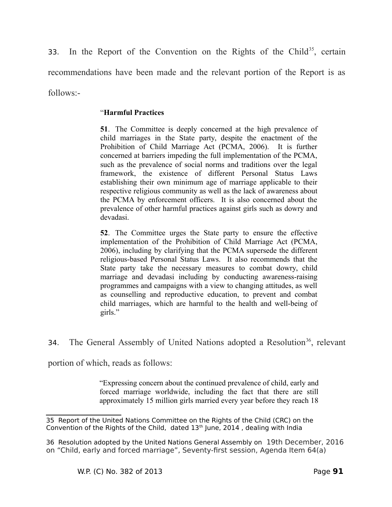33. In the Report of the Convention on the Rights of the Child<sup>[35](#page-90-0)</sup>, certain recommendations have been made and the relevant portion of the Report is as follows:-

## "**Harmful Practices**

**51**. The Committee is deeply concerned at the high prevalence of child marriages in the State party, despite the enactment of the Prohibition of Child Marriage Act (PCMA, 2006). It is further concerned at barriers impeding the full implementation of the PCMA, such as the prevalence of social norms and traditions over the legal framework, the existence of different Personal Status Laws establishing their own minimum age of marriage applicable to their respective religious community as well as the lack of awareness about the PCMA by enforcement officers. It is also concerned about the prevalence of other harmful practices against girls such as dowry and devadasi.

**52**. The Committee urges the State party to ensure the effective implementation of the Prohibition of Child Marriage Act (PCMA, 2006), including by clarifying that the PCMA supersede the different religious-based Personal Status Laws. It also recommends that the State party take the necessary measures to combat dowry, child marriage and devadasi including by conducting awareness-raising programmes and campaigns with a view to changing attitudes, as well as counselling and reproductive education, to prevent and combat child marriages, which are harmful to the health and well-being of girls."

34. The General Assembly of United Nations adopted a Resolution<sup>[36](#page-90-1)</sup>, relevant

portion of which, reads as follows:

"Expressing concern about the continued prevalence of child, early and forced marriage worldwide, including the fact that there are still approximately 15 million girls married every year before they reach 18

<span id="page-90-0"></span><sup>35</sup> Report of the United Nations Committee on the Rights of the Child (CRC) on the Convention of the Rights of the Child, dated  $13<sup>th</sup>$  June, 2014, dealing with India

<span id="page-90-1"></span><sup>36</sup> Resolution adopted by the United Nations General Assembly on 19th December, 2016 on "Child, early and forced marriage", Seventy-first session, Agenda Item 64(a)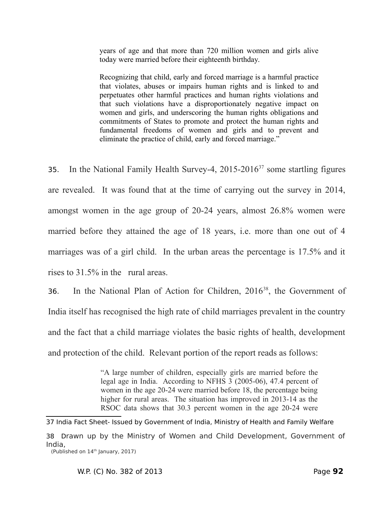years of age and that more than 720 million women and girls alive today were married before their eighteenth birthday.

Recognizing that child, early and forced marriage is a harmful practice that violates, abuses or impairs human rights and is linked to and perpetuates other harmful practices and human rights violations and that such violations have a disproportionately negative impact on women and girls, and underscoring the human rights obligations and commitments of States to promote and protect the human rights and fundamental freedoms of women and girls and to prevent and eliminate the practice of child, early and forced marriage."

35. In the National Family Health Survey-4,  $2015{\text -}2016^{37}$  $2015{\text -}2016^{37}$  $2015{\text -}2016^{37}$  some startling figures are revealed. It was found that at the time of carrying out the survey in 2014, amongst women in the age group of 20-24 years, almost 26.8% women were married before they attained the age of 18 years, i.e. more than one out of 4 marriages was of a girl child. In the urban areas the percentage is 17.5% and it rises to 31.5% in the rural areas.

36. In the National Plan of Action for Children, 2016<sup>[38](#page-91-1)</sup>, the Government of India itself has recognised the high rate of child marriages prevalent in the country and the fact that a child marriage violates the basic rights of health, development and protection of the child. Relevant portion of the report reads as follows:

> "A large number of children, especially girls are married before the legal age in India. According to NFHS 3 (2005-06), 47.4 percent of women in the age 20-24 were married before 18, the percentage being higher for rural areas. The situation has improved in 2013-14 as the RSOC data shows that 30.3 percent women in the age 20-24 were

<span id="page-91-0"></span><sup>37</sup> India Fact Sheet- Issued by Government of India, Ministry of Health and Family Welfare

<span id="page-91-1"></span><sup>38</sup> Drawn up by the Ministry of Women and Child Development, Government of India,

 <sup>(</sup>Published on 14th January, 2017)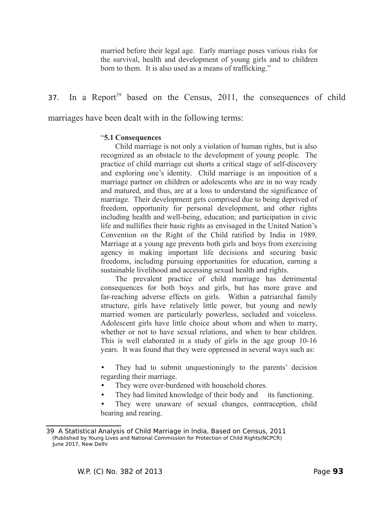married before their legal age. Early marriage poses various risks for the survival, health and development of young girls and to children born to them. It is also used as a means of trafficking."

# 37. In a Report<sup>[39](#page-92-0)</sup> based on the Census, 2011, the consequences of child

marriages have been dealt with in the following terms:

#### "**5.1 Consequences**

Child marriage is not only a violation of human rights, but is also recognized as an obstacle to the development of young people. The practice of child marriage cut shorts a critical stage of self-discovery and exploring one's identity. Child marriage is an imposition of a marriage partner on children or adolescents who are in no way ready and matured, and thus, are at a loss to understand the significance of marriage. Their development gets comprised due to being deprived of freedom, opportunity for personal development, and other rights including health and well-being, education; and participation in civic life and nullifies their basic rights as envisaged in the United Nation's Convention on the Right of the Child ratified by India in 1989. Marriage at a young age prevents both girls and boys from exercising agency in making important life decisions and securing basic freedoms, including pursuing opportunities for education, earning a sustainable livelihood and accessing sexual health and rights.

The prevalent practice of child marriage has detrimental consequences for both boys and girls, but has more grave and far-reaching adverse effects on girls. Within a patriarchal family structure, girls have relatively little power, but young and newly married women are particularly powerless, secluded and voiceless. Adolescent girls have little choice about whom and when to marry, whether or not to have sexual relations, and when to bear children. This is well elaborated in a study of girls in the age group 10-16 years. It was found that they were oppressed in several ways such as:

They had to submit unquestioningly to the parents' decision regarding their marriage.

- They were over-burdened with household chores.
- They had limited knowledge of their body and its functioning.
- They were unaware of sexual changes, contraception, child bearing and rearing.

<span id="page-92-0"></span><sup>39</sup> A Statistical Analysis of Child Marriage in India, Based on Census, 2011 (Published by Young Lives and National Commission for Protection of Child Rights(NCPCR) June 2017, New Delhi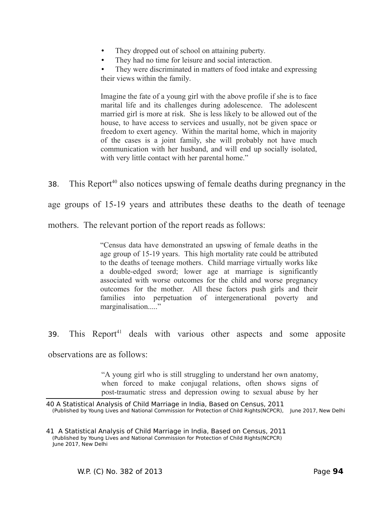- They dropped out of school on attaining puberty.
- They had no time for leisure and social interaction.

They were discriminated in matters of food intake and expressing their views within the family.

Imagine the fate of a young girl with the above profile if she is to face marital life and its challenges during adolescence. The adolescent married girl is more at risk. She is less likely to be allowed out of the house, to have access to services and usually, not be given space or freedom to exert agency. Within the marital home, which in majority of the cases is a joint family, she will probably not have much communication with her husband, and will end up socially isolated, with very little contact with her parental home."

38. This Report<sup>[40](#page-93-0)</sup> also notices upswing of female deaths during pregnancy in the

age groups of 15-19 years and attributes these deaths to the death of teenage

mothers. The relevant portion of the report reads as follows:

"Census data have demonstrated an upswing of female deaths in the age group of 15-19 years. This high mortality rate could be attributed to the deaths of teenage mothers. Child marriage virtually works like a double-edged sword; lower age at marriage is significantly associated with worse outcomes for the child and worse pregnancy outcomes for the mother. All these factors push girls and their families into perpetuation of intergenerational poverty and marginalisation....."

39. This Report<sup>[41](#page-93-1)</sup> deals with various other aspects and some apposite

observations are as follows:

"A young girl who is still struggling to understand her own anatomy, when forced to make conjugal relations, often shows signs of post-traumatic stress and depression owing to sexual abuse by her

<span id="page-93-0"></span><sup>40</sup> A Statistical Analysis of Child Marriage in India, Based on Census, 2011 (Published by Young Lives and National Commission for Protection of Child Rights(NCPCR), June 2017, New Delhi

<span id="page-93-1"></span><sup>41</sup> A Statistical Analysis of Child Marriage in India, Based on Census, 2011 (Published by Young Lives and National Commission for Protection of Child Rights(NCPCR) June 2017, New Delhi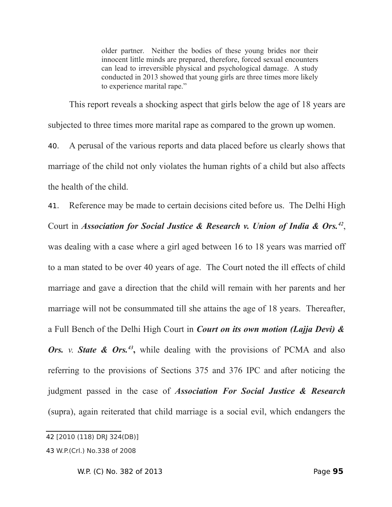older partner. Neither the bodies of these young brides nor their innocent little minds are prepared, therefore, forced sexual encounters can lead to irreversible physical and psychological damage. A study conducted in 2013 showed that young girls are three times more likely to experience marital rape."

This report reveals a shocking aspect that girls below the age of 18 years are subjected to three times more marital rape as compared to the grown up women.

40. A perusal of the various reports and data placed before us clearly shows that marriage of the child not only violates the human rights of a child but also affects the health of the child.

41. Reference may be made to certain decisions cited before us. The Delhi High Court in *Association for Social Justice & Research v. Union of India & Ors.[42](#page-94-0)* , was dealing with a case where a girl aged between 16 to 18 years was married off to a man stated to be over 40 years of age. The Court noted the ill effects of child marriage and gave a direction that the child will remain with her parents and her marriage will not be consummated till she attains the age of 18 years. Thereafter, a Full Bench of the Delhi High Court in *Court on its own motion (Lajja Devi) &* Ors. *v.* State & Ors.<sup>[43](#page-94-1)</sup>, while dealing with the provisions of PCMA and also referring to the provisions of Sections 375 and 376 IPC and after noticing the judgment passed in the case of *Association For Social Justice & Research* (supra), again reiterated that child marriage is a social evil, which endangers the

<span id="page-94-0"></span><sup>42</sup> [2010 (118) DRJ 324(DB)]

<span id="page-94-1"></span><sup>43</sup> W.P.(Crl.) No.338 of 2008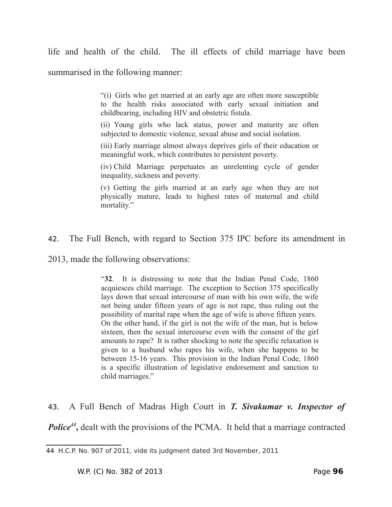life and health of the child. The ill effects of child marriage have been

summarised in the following manner:

"(i) Girls who get married at an early age are often more susceptible to the health risks associated with early sexual initiation and childbearing, including HIV and obstetric fistula.

(ii) Young girls who lack status, power and maturity are often subjected to domestic violence, sexual abuse and social isolation.

(iii) Early marriage almost always deprives girls of their education or meaningful work, which contributes to persistent poverty.

(iv) Child Marriage perpetuates an unrelenting cycle of gender inequality, sickness and poverty.

(v) Getting the girls married at an early age when they are not physically mature, leads to highest rates of maternal and child mortality."

42. The Full Bench, with regard to Section 375 IPC before its amendment in

2013, made the following observations:

"**32**. It is distressing to note that the Indian Penal Code, 1860 acquiesces child marriage. The exception to Section 375 specifically lays down that sexual intercourse of man with his own wife, the wife not being under fifteen years of age is not rape, thus ruling out the possibility of marital rape when the age of wife is above fifteen years. On the other hand, if the girl is not the wife of the man, but is below sixteen, then the sexual intercourse even with the consent of the girl amounts to rape? It is rather shocking to note the specific relaxation is given to a husband who rapes his wife, when she happens to be between 15-16 years. This provision in the Indian Penal Code, 1860 is a specific illustration of legislative endorsement and sanction to child marriages."

43. A Full Bench of Madras High Court in *T. Sivakumar v. Inspector of* **Police<sup>[44](#page-95-0)</sup>**, dealt with the provisions of the PCMA. It held that a marriage contracted

<span id="page-95-0"></span><sup>44</sup> H.C.P. No. 907 of 2011, vide its judgment dated 3rd November, 2011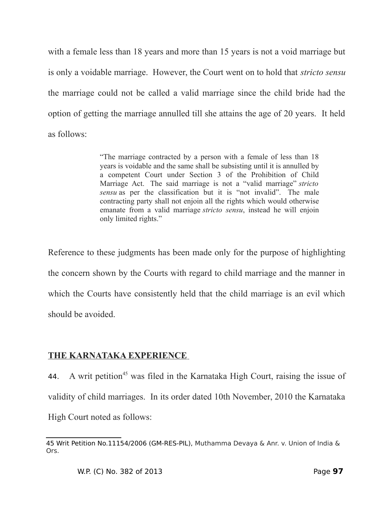with a female less than 18 years and more than 15 years is not a void marriage but is only a voidable marriage. However, the Court went on to hold that *stricto sensu* the marriage could not be called a valid marriage since the child bride had the option of getting the marriage annulled till she attains the age of 20 years. It held as follows:

> "The marriage contracted by a person with a female of less than 18 years is voidable and the same shall be subsisting until it is annulled by a competent Court under Section 3 of the Prohibition of Child Marriage Act. The said marriage is not a "valid marriage" *stricto sensu* as per the classification but it is "not invalid". The male contracting party shall not enjoin all the rights which would otherwise emanate from a valid marriage *stricto sensu*, instead he will enjoin only limited rights."

Reference to these judgments has been made only for the purpose of highlighting the concern shown by the Courts with regard to child marriage and the manner in which the Courts have consistently held that the child marriage is an evil which should be avoided.

# **THE KARNATAKA EXPERIENCE**

44. A writ petition<sup>[45](#page-96-0)</sup> was filed in the Karnataka High Court, raising the issue of validity of child marriages. In its order dated 10th November, 2010 the Karnataka High Court noted as follows:

<span id="page-96-0"></span><sup>45</sup> Writ Petition No.11154/2006 (GM-RES-PIL), Muthamma Devaya & Anr. v. Union of India & Ors.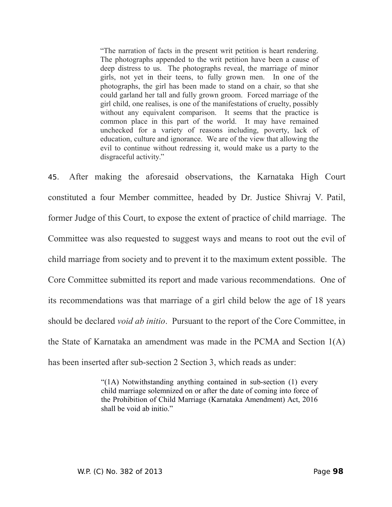"The narration of facts in the present writ petition is heart rendering. The photographs appended to the writ petition have been a cause of deep distress to us. The photographs reveal, the marriage of minor girls, not yet in their teens, to fully grown men. In one of the photographs, the girl has been made to stand on a chair, so that she could garland her tall and fully grown groom. Forced marriage of the girl child, one realises, is one of the manifestations of cruelty, possibly without any equivalent comparison. It seems that the practice is common place in this part of the world. It may have remained unchecked for a variety of reasons including, poverty, lack of education, culture and ignorance. We are of the view that allowing the evil to continue without redressing it, would make us a party to the disgraceful activity."

45. After making the aforesaid observations, the Karnataka High Court constituted a four Member committee, headed by Dr. Justice Shivraj V. Patil, former Judge of this Court, to expose the extent of practice of child marriage. The Committee was also requested to suggest ways and means to root out the evil of child marriage from society and to prevent it to the maximum extent possible. The Core Committee submitted its report and made various recommendations. One of its recommendations was that marriage of a girl child below the age of 18 years should be declared *void ab initio*. Pursuant to the report of the Core Committee, in the State of Karnataka an amendment was made in the PCMA and Section 1(A) has been inserted after sub-section 2 Section 3, which reads as under:

> "(1A) Notwithstanding anything contained in sub-section (1) every child marriage solemnized on or after the date of coming into force of the Prohibition of Child Marriage (Karnataka Amendment) Act, 2016 shall be void ab initio."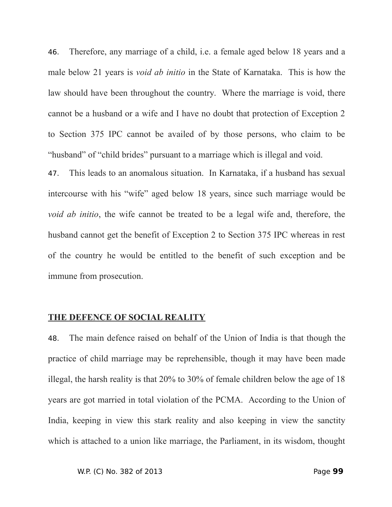46. Therefore, any marriage of a child, i.e. a female aged below 18 years and a male below 21 years is *void ab initio* in the State of Karnataka. This is how the law should have been throughout the country. Where the marriage is void, there cannot be a husband or a wife and I have no doubt that protection of Exception 2 to Section 375 IPC cannot be availed of by those persons, who claim to be "husband" of "child brides" pursuant to a marriage which is illegal and void.

47. This leads to an anomalous situation. In Karnataka, if a husband has sexual intercourse with his "wife" aged below 18 years, since such marriage would be *void ab initio*, the wife cannot be treated to be a legal wife and, therefore, the husband cannot get the benefit of Exception 2 to Section 375 IPC whereas in rest of the country he would be entitled to the benefit of such exception and be immune from prosecution.

### **THE DEFENCE OF SOCIAL REALITY**

48. The main defence raised on behalf of the Union of India is that though the practice of child marriage may be reprehensible, though it may have been made illegal, the harsh reality is that 20% to 30% of female children below the age of 18 years are got married in total violation of the PCMA. According to the Union of India, keeping in view this stark reality and also keeping in view the sanctity which is attached to a union like marriage, the Parliament, in its wisdom, thought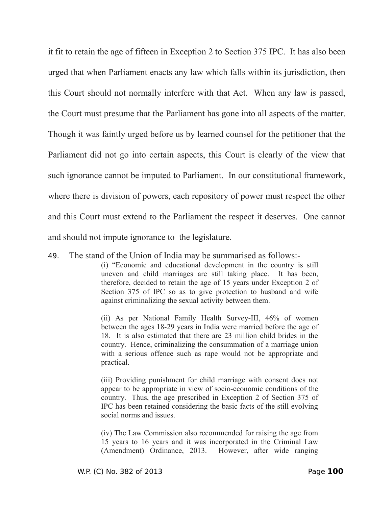it fit to retain the age of fifteen in Exception 2 to Section 375 IPC. It has also been urged that when Parliament enacts any law which falls within its jurisdiction, then this Court should not normally interfere with that Act. When any law is passed, the Court must presume that the Parliament has gone into all aspects of the matter. Though it was faintly urged before us by learned counsel for the petitioner that the Parliament did not go into certain aspects, this Court is clearly of the view that such ignorance cannot be imputed to Parliament. In our constitutional framework, where there is division of powers, each repository of power must respect the other and this Court must extend to the Parliament the respect it deserves. One cannot and should not impute ignorance to the legislature.

49. The stand of the Union of India may be summarised as follows:-

(i) "Economic and educational development in the country is still uneven and child marriages are still taking place. It has been, therefore, decided to retain the age of 15 years under Exception 2 of Section 375 of IPC so as to give protection to husband and wife against criminalizing the sexual activity between them.

(ii) As per National Family Health Survey-III, 46% of women between the ages 18-29 years in India were married before the age of 18. It is also estimated that there are 23 million child brides in the country. Hence, criminalizing the consummation of a marriage union with a serious offence such as rape would not be appropriate and practical.

(iii) Providing punishment for child marriage with consent does not appear to be appropriate in view of socio-economic conditions of the country. Thus, the age prescribed in Exception 2 of Section 375 of IPC has been retained considering the basic facts of the still evolving social norms and issues.

(iv) The Law Commission also recommended for raising the age from 15 years to 16 years and it was incorporated in the Criminal Law (Amendment) Ordinance, 2013. However, after wide ranging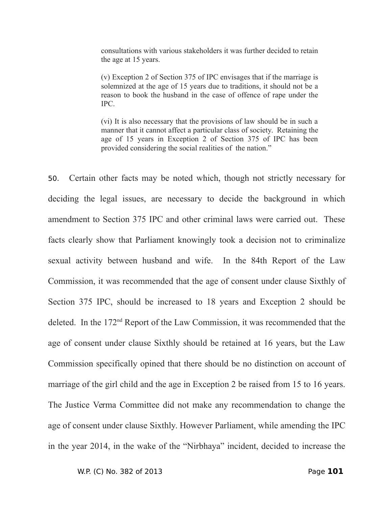consultations with various stakeholders it was further decided to retain the age at 15 years.

(v) Exception 2 of Section 375 of IPC envisages that if the marriage is solemnized at the age of 15 years due to traditions, it should not be a reason to book the husband in the case of offence of rape under the IPC.

(vi) It is also necessary that the provisions of law should be in such a manner that it cannot affect a particular class of society. Retaining the age of 15 years in Exception 2 of Section 375 of IPC has been provided considering the social realities of the nation."

50. Certain other facts may be noted which, though not strictly necessary for deciding the legal issues, are necessary to decide the background in which amendment to Section 375 IPC and other criminal laws were carried out. These facts clearly show that Parliament knowingly took a decision not to criminalize sexual activity between husband and wife. In the 84th Report of the Law Commission, it was recommended that the age of consent under clause Sixthly of Section 375 IPC, should be increased to 18 years and Exception 2 should be deleted. In the 172nd Report of the Law Commission, it was recommended that the age of consent under clause Sixthly should be retained at 16 years, but the Law Commission specifically opined that there should be no distinction on account of marriage of the girl child and the age in Exception 2 be raised from 15 to 16 years. The Justice Verma Committee did not make any recommendation to change the age of consent under clause Sixthly. However Parliament, while amending the IPC in the year 2014, in the wake of the "Nirbhaya" incident, decided to increase the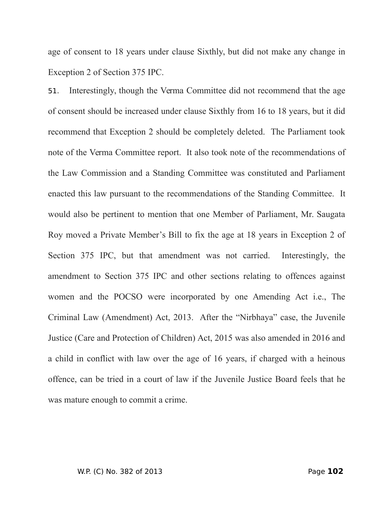age of consent to 18 years under clause Sixthly, but did not make any change in Exception 2 of Section 375 IPC.

51. Interestingly, though the Verma Committee did not recommend that the age of consent should be increased under clause Sixthly from 16 to 18 years, but it did recommend that Exception 2 should be completely deleted. The Parliament took note of the Verma Committee report. It also took note of the recommendations of the Law Commission and a Standing Committee was constituted and Parliament enacted this law pursuant to the recommendations of the Standing Committee. It would also be pertinent to mention that one Member of Parliament, Mr. Saugata Roy moved a Private Member's Bill to fix the age at 18 years in Exception 2 of Section 375 IPC, but that amendment was not carried. Interestingly, the amendment to Section 375 IPC and other sections relating to offences against women and the POCSO were incorporated by one Amending Act i.e., The Criminal Law (Amendment) Act, 2013. After the "Nirbhaya" case, the Juvenile Justice (Care and Protection of Children) Act, 2015 was also amended in 2016 and a child in conflict with law over the age of 16 years, if charged with a heinous offence, can be tried in a court of law if the Juvenile Justice Board feels that he was mature enough to commit a crime.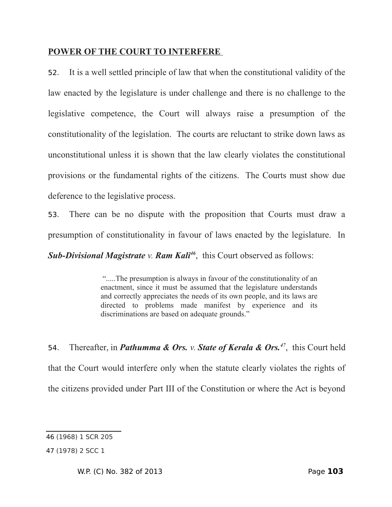## **POWER OF THE COURT TO INTERFERE**

52. It is a well settled principle of law that when the constitutional validity of the law enacted by the legislature is under challenge and there is no challenge to the legislative competence, the Court will always raise a presumption of the constitutionality of the legislation. The courts are reluctant to strike down laws as unconstitutional unless it is shown that the law clearly violates the constitutional provisions or the fundamental rights of the citizens. The Courts must show due deference to the legislative process.

53. There can be no dispute with the proposition that Courts must draw a presumption of constitutionality in favour of laws enacted by the legislature. In

*Sub-Divisional Magistrate v. Ram Kali[46](#page-102-0)*, this Court observed as follows:

".....The presumption is always in favour of the constitutionality of an enactment, since it must be assumed that the legislature understands and correctly appreciates the needs of its own people, and its laws are directed to problems made manifest by experience and its discriminations are based on adequate grounds."

54. Thereafter, in *Pathumma & Ors. v. State of Kerala & Ors.[47](#page-102-1)*, this Court held that the Court would interfere only when the statute clearly violates the rights of the citizens provided under Part III of the Constitution or where the Act is beyond

<span id="page-102-0"></span><sup>46</sup> (1968) 1 SCR 205

<span id="page-102-1"></span><sup>47</sup> (1978) 2 SCC 1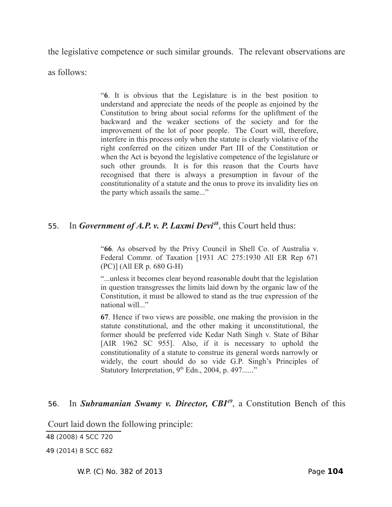the legislative competence or such similar grounds. The relevant observations are

as follows:

"**6**. It is obvious that the Legislature is in the best position to understand and appreciate the needs of the people as enjoined by the Constitution to bring about social reforms for the upliftment of the backward and the weaker sections of the society and for the improvement of the lot of poor people. The Court will, therefore, interfere in this process only when the statute is clearly violative of the right conferred on the citizen under Part III of the Constitution or when the Act is beyond the legislative competence of the legislature or such other grounds. It is for this reason that the Courts have recognised that there is always a presumption in favour of the constitutionality of a statute and the onus to prove its invalidity lies on the party which assails the same..."

## 55. In *Government of A.P. v. P. Laxmi Devi[48](#page-103-0)*, this Court held thus:

"**66**. As observed by the Privy Council in Shell Co. of Australia v. Federal Commr. of Taxation [1931 AC 275:1930 All ER Rep 671 (PC)] (All ER p. 680 G-H)

"...unless it becomes clear beyond reasonable doubt that the legislation in question transgresses the limits laid down by the organic law of the Constitution, it must be allowed to stand as the true expression of the national will..."

**67**. Hence if two views are possible, one making the provision in the statute constitutional, and the other making it unconstitutional, the former should be preferred vide Kedar Nath Singh v. State of Bihar [AIR 1962 SC 955]. Also, if it is necessary to uphold the constitutionality of a statute to construe its general words narrowly or widely, the court should do so vide G.P. Singh's Principles of Statutory Interpretation,  $9<sup>th</sup>$  Edn., 2004, p. 497......"

# 56. In *Subramanian Swamy v. Director, CBI[49](#page-103-1)*, a Constitution Bench of this

Court laid down the following principle:

<span id="page-103-0"></span>48 (2008) 4 SCC 720

<span id="page-103-1"></span>49 (2014) 8 SCC 682

W.P. (C) No. 382 of 2013 Page **104**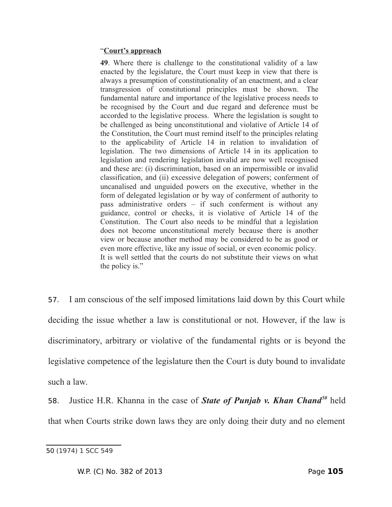### "**Court's approach**

**49**. Where there is challenge to the constitutional validity of a law enacted by the legislature, the Court must keep in view that there is always a presumption of constitutionality of an enactment, and a clear transgression of constitutional principles must be shown. The fundamental nature and importance of the legislative process needs to be recognised by the Court and due regard and deference must be accorded to the legislative process. Where the legislation is sought to be challenged as being unconstitutional and violative of Article 14 of the Constitution, the Court must remind itself to the principles relating to the applicability of Article 14 in relation to invalidation of legislation. The two dimensions of Article 14 in its application to legislation and rendering legislation invalid are now well recognised and these are: (i) discrimination, based on an impermissible or invalid classification, and (ii) excessive delegation of powers; conferment of uncanalised and unguided powers on the executive, whether in the form of delegated legislation or by way of conferment of authority to pass administrative orders – if such conferment is without any guidance, control or checks, it is violative of Article 14 of the Constitution. The Court also needs to be mindful that a legislation does not become unconstitutional merely because there is another view or because another method may be considered to be as good or even more effective, like any issue of social, or even economic policy. It is well settled that the courts do not substitute their views on what the policy is."

57. I am conscious of the self imposed limitations laid down by this Court while deciding the issue whether a law is constitutional or not. However, if the law is discriminatory, arbitrary or violative of the fundamental rights or is beyond the legislative competence of the legislature then the Court is duty bound to invalidate such a law.

58. Justice H.R. Khanna in the case of *State of Punjab v. Khan Chand[50](#page-104-0)* held that when Courts strike down laws they are only doing their duty and no element

<span id="page-104-0"></span><sup>50</sup> (1974) 1 SCC 549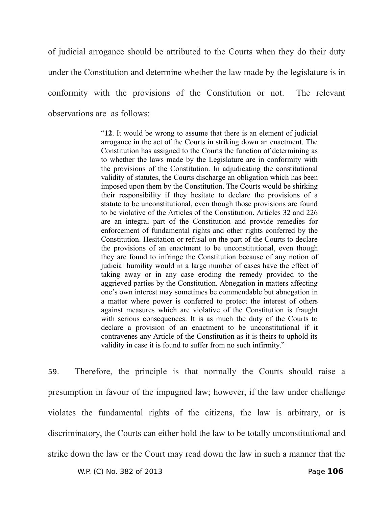of judicial arrogance should be attributed to the Courts when they do their duty under the Constitution and determine whether the law made by the legislature is in conformity with the provisions of the Constitution or not. The relevant observations are as follows:

> "**12**. It would be wrong to assume that there is an element of judicial arrogance in the act of the Courts in striking down an enactment. The Constitution has assigned to the Courts the function of determining as to whether the laws made by the Legislature are in conformity with the provisions of the Constitution. In adjudicating the constitutional validity of statutes, the Courts discharge an obligation which has been imposed upon them by the Constitution. The Courts would be shirking their responsibility if they hesitate to declare the provisions of a statute to be unconstitutional, even though those provisions are found to be violative of the Articles of the Constitution. Articles 32 and 226 are an integral part of the Constitution and provide remedies for enforcement of fundamental rights and other rights conferred by the Constitution. Hesitation or refusal on the part of the Courts to declare the provisions of an enactment to be unconstitutional, even though they are found to infringe the Constitution because of any notion of judicial humility would in a large number of cases have the effect of taking away or in any case eroding the remedy provided to the aggrieved parties by the Constitution. Abnegation in matters affecting one's own interest may sometimes be commendable but abnegation in a matter where power is conferred to protect the interest of others against measures which are violative of the Constitution is fraught with serious consequences. It is as much the duty of the Courts to declare a provision of an enactment to be unconstitutional if it contravenes any Article of the Constitution as it is theirs to uphold its validity in case it is found to suffer from no such infirmity."

59. Therefore, the principle is that normally the Courts should raise a presumption in favour of the impugned law; however, if the law under challenge violates the fundamental rights of the citizens, the law is arbitrary, or is discriminatory, the Courts can either hold the law to be totally unconstitutional and strike down the law or the Court may read down the law in such a manner that the

W.P. (C) No. 382 of 2013 Page **106**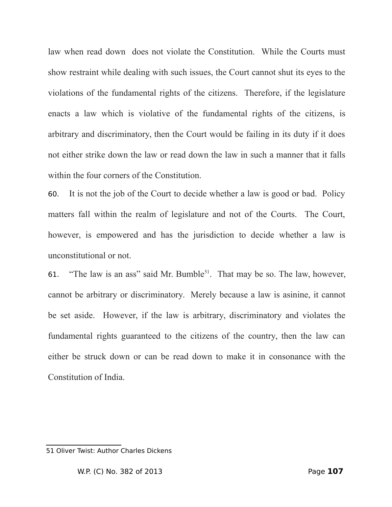law when read down does not violate the Constitution. While the Courts must show restraint while dealing with such issues, the Court cannot shut its eyes to the violations of the fundamental rights of the citizens. Therefore, if the legislature enacts a law which is violative of the fundamental rights of the citizens, is arbitrary and discriminatory, then the Court would be failing in its duty if it does not either strike down the law or read down the law in such a manner that it falls within the four corners of the Constitution.

60. It is not the job of the Court to decide whether a law is good or bad. Policy matters fall within the realm of legislature and not of the Courts. The Court, however, is empowered and has the jurisdiction to decide whether a law is unconstitutional or not.

61. "The law is an ass" said Mr. Bumble<sup>[51](#page-106-0)</sup>. That may be so. The law, however, cannot be arbitrary or discriminatory. Merely because a law is asinine, it cannot be set aside. However, if the law is arbitrary, discriminatory and violates the fundamental rights guaranteed to the citizens of the country, then the law can either be struck down or can be read down to make it in consonance with the Constitution of India.

<span id="page-106-0"></span><sup>51</sup> Oliver Twist: Author Charles Dickens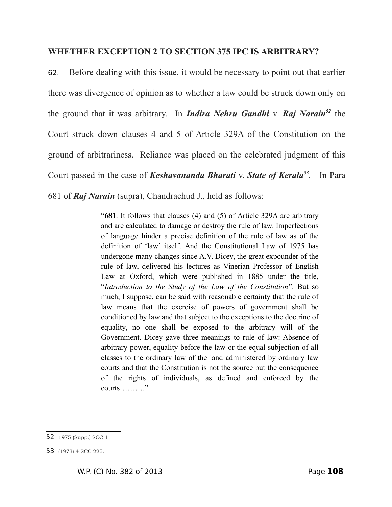## **WHETHER EXCEPTION 2 TO SECTION 375 IPC IS ARBITRARY?**

62. Before dealing with this issue, it would be necessary to point out that earlier there was divergence of opinion as to whether a law could be struck down only on the ground that it was arbitrary. In *Indira Nehru Gandhi* v. *Raj Narain[52](#page-107-0)* the Court struck down clauses 4 and 5 of Article 329A of the Constitution on the ground of arbitrariness. Reliance was placed on the celebrated judgment of this Court passed in the case of *Keshavananda Bharati* v. *State of Kerala[53](#page-107-1) .* In Para 681 of *Raj Narain* (supra), Chandrachud J., held as follows:

> "**681**. It follows that clauses (4) and (5) of Article 329A are arbitrary and are calculated to damage or destroy the rule of law. Imperfections of language hinder a precise definition of the rule of law as of the definition of 'law' itself. And the Constitutional Law of 1975 has undergone many changes since A.V. Dicey, the great expounder of the rule of law, delivered his lectures as Vinerian Professor of English Law at Oxford, which were published in 1885 under the title, "*Introduction to the Study of the Law of the Constitution*". But so much, I suppose, can be said with reasonable certainty that the rule of law means that the exercise of powers of government shall be conditioned by law and that subject to the exceptions to the doctrine of equality, no one shall be exposed to the arbitrary will of the Government. Dicey gave three meanings to rule of law: Absence of arbitrary power, equality before the law or the equal subjection of all classes to the ordinary law of the land administered by ordinary law courts and that the Constitution is not the source but the consequence of the rights of individuals, as defined and enforced by the courts………."

<span id="page-107-0"></span><sup>52</sup> 1975 (Supp.) SCC 1

<span id="page-107-1"></span><sup>53</sup> (1973) 4 SCC 225.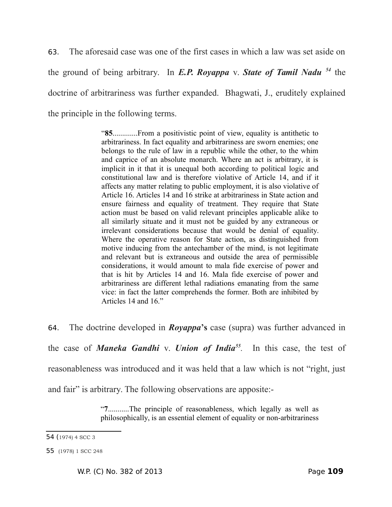63. The aforesaid case was one of the first cases in which a law was set aside on the ground of being arbitrary. In *E.P. Royappa* v. *State of Tamil Nadu<sup>54</sup>* the doctrine of arbitrariness was further expanded. Bhagwati, J., eruditely explained the principle in the following terms.

> "**85**.............From a positivistic point of view, equality is antithetic to arbitrariness. In fact equality and arbitrariness are sworn enemies; one belongs to the rule of law in a republic while the other, to the whim and caprice of an absolute monarch. Where an act is arbitrary, it is implicit in it that it is unequal both according to political logic and constitutional law and is therefore violative of Article 14, and if it affects any matter relating to public employment, it is also violative of Article 16. Articles 14 and 16 strike at arbitrariness in State action and ensure fairness and equality of treatment. They require that State action must be based on valid relevant principles applicable alike to all similarly situate and it must not be guided by any extraneous or irrelevant considerations because that would be denial of equality. Where the operative reason for State action, as distinguished from motive inducing from the antechamber of the mind, is not legitimate and relevant but is extraneous and outside the area of permissible considerations, it would amount to mala fide exercise of power and that is hit by Articles 14 and 16. Mala fide exercise of power and arbitrariness are different lethal radiations emanating from the same vice: in fact the latter comprehends the former. Both are inhibited by Articles 14 and 16"

64. The doctrine developed in *Royappa***'s** case (supra) was further advanced in

the case of *Maneka Gandhi* v. *Union of India[55](#page-108-1) .* In this case, the test of

reasonableness was introduced and it was held that a law which is not "right, just

and fair" is arbitrary. The following observations are apposite:-

"**7**...........The principle of reasonableness, which legally as well as philosophically, is an essential element of equality or non-arbitrariness

<span id="page-108-0"></span><sup>54 (</sup>1974) 4 SCC 3

<span id="page-108-1"></span><sup>55</sup> (1978) 1 SCC 248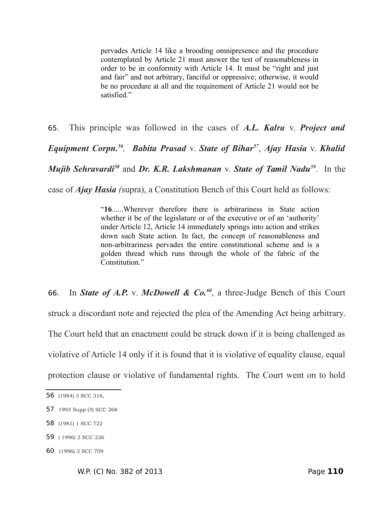pervades Article 14 like a brooding omnipresence and the procedure contemplated by Article 21 must answer the test of reasonableness in order to be in conformity with Article 14. It must be "right and just and fair" and not arbitrary, fanciful or oppressive; otherwise, it would be no procedure at all and the requirement of Article 21 would not be satisfied."

65. This principle was followed in the cases of *A.L. Kalra* v. *Project and Equipment Corpn.[56](#page-109-0) , Babita Prasad* v. *State of Bihar[57](#page-109-1)* , *Ajay Hasia* v. *Khalid Mujib Sehravardi[58](#page-109-2)* and *Dr. K.R. Lakshmanan* v. *State of Tamil Nadu[59](#page-109-3)*. In the case of *Ajay Hasia (*supra), a Constitution Bench of this Court held as follows:

> "**16**......Wherever therefore there is arbitrariness in State action whether it be of the legislature or of the executive or of an 'authority' under Article 12, Article 14 immediately springs into action and strikes down such State action. In fact, the concept of reasonableness and non-arbitrariness pervades the entire constitutional scheme and is a golden thread which runs through the whole of the fabric of the Constitution."

66. In *State of A.P.* v. *McDowell & Co.[60](#page-109-4)*, a three-Judge Bench of this Court struck a discordant note and rejected the plea of the Amending Act being arbitrary. The Court held that an enactment could be struck down if it is being challenged as violative of Article 14 only if it is found that it is violative of equality clause, equal protection clause or violative of fundamental rights. The Court went on to hold

<span id="page-109-0"></span><sup>56</sup> (1984) 3 SCC 316,

<span id="page-109-1"></span><sup>57</sup> 1993 Supp (3) SCC 268

<span id="page-109-2"></span><sup>58</sup> (1981) 1 SCC 722

<span id="page-109-3"></span><sup>59</sup> ( 1996) 2 SCC 226

<span id="page-109-4"></span><sup>60</sup> (1996) 3 SCC 709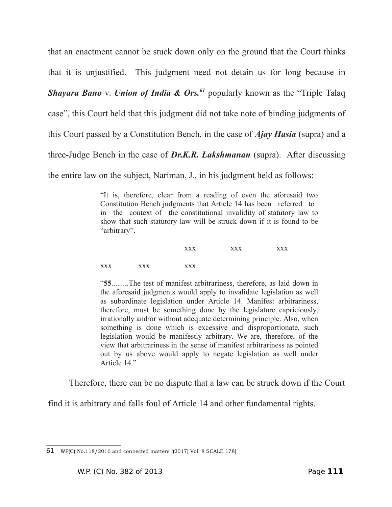that an enactment cannot be stuck down only on the ground that the Court thinks that it is unjustified. This judgment need not detain us for long because in *Shayara Bano* v. *Union of India & Ors.[61](#page-110-0)* popularly known as the "Triple Talaq case", this Court held that this judgment did not take note of binding judgments of this Court passed by a Constitution Bench, in the case of *Ajay Hasia* (supra) and a three-Judge Bench in the case of *Dr.K.R. Lakshmanan* (supra). After discussing the entire law on the subject, Nariman, J., in his judgment held as follows:

> "It is, therefore, clear from a reading of even the aforesaid two Constitution Bench judgments that Article 14 has been referred to in the context of the constitutional invalidity of statutory law to show that such statutory law will be struck down if it is found to be "arbitrary".

|           |     | <b>XXX</b> | <b>XXX</b> | <b>XXX</b> |
|-----------|-----|------------|------------|------------|
| $\rm XXX$ | XXX | XXX        |            |            |

"**55**.........The test of manifest arbitrariness, therefore, as laid down in the aforesaid judgments would apply to invalidate legislation as well as subordinate legislation under Article 14. Manifest arbitrariness, therefore, must be something done by the legislature capriciously, irrationally and/or without adequate determining principle. Also, when something is done which is excessive and disproportionate, such legislation would be manifestly arbitrary. We are, therefore, of the view that arbitrariness in the sense of manifest arbitrariness as pointed out by us above would apply to negate legislation as well under Article 14"

Therefore, there can be no dispute that a law can be struck down if the Court

find it is arbitrary and falls foul of Article 14 and other fundamental rights.

<span id="page-110-0"></span><sup>61</sup> WP(C) No.118/2016 and connected matters [(2017) Vol. 8 SCALE 178]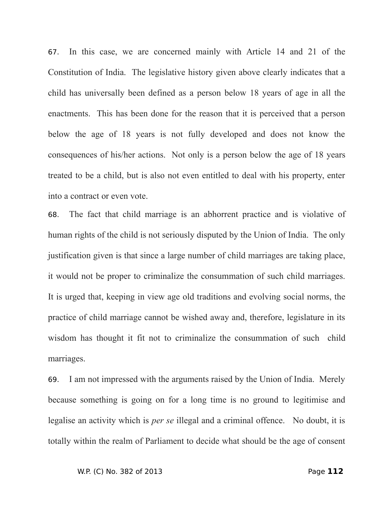67. In this case, we are concerned mainly with Article 14 and 21 of the Constitution of India. The legislative history given above clearly indicates that a child has universally been defined as a person below 18 years of age in all the enactments. This has been done for the reason that it is perceived that a person below the age of 18 years is not fully developed and does not know the consequences of his/her actions. Not only is a person below the age of 18 years treated to be a child, but is also not even entitled to deal with his property, enter into a contract or even vote.

68. The fact that child marriage is an abhorrent practice and is violative of human rights of the child is not seriously disputed by the Union of India. The only justification given is that since a large number of child marriages are taking place, it would not be proper to criminalize the consummation of such child marriages. It is urged that, keeping in view age old traditions and evolving social norms, the practice of child marriage cannot be wished away and, therefore, legislature in its wisdom has thought it fit not to criminalize the consummation of such child marriages.

69. I am not impressed with the arguments raised by the Union of India. Merely because something is going on for a long time is no ground to legitimise and legalise an activity which is *per se* illegal and a criminal offence. No doubt, it is totally within the realm of Parliament to decide what should be the age of consent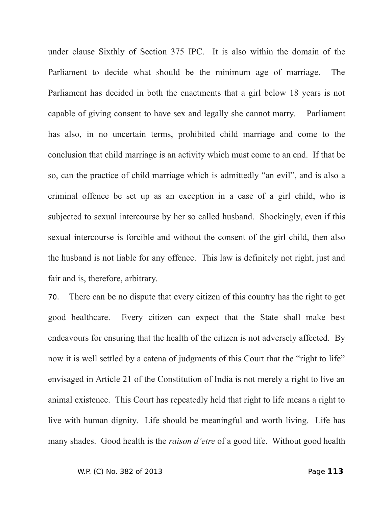under clause Sixthly of Section 375 IPC. It is also within the domain of the Parliament to decide what should be the minimum age of marriage. The Parliament has decided in both the enactments that a girl below 18 years is not capable of giving consent to have sex and legally she cannot marry. Parliament has also, in no uncertain terms, prohibited child marriage and come to the conclusion that child marriage is an activity which must come to an end. If that be so, can the practice of child marriage which is admittedly "an evil", and is also a criminal offence be set up as an exception in a case of a girl child, who is subjected to sexual intercourse by her so called husband. Shockingly, even if this sexual intercourse is forcible and without the consent of the girl child, then also the husband is not liable for any offence. This law is definitely not right, just and fair and is, therefore, arbitrary.

70. There can be no dispute that every citizen of this country has the right to get good healthcare. Every citizen can expect that the State shall make best endeavours for ensuring that the health of the citizen is not adversely affected. By now it is well settled by a catena of judgments of this Court that the "right to life" envisaged in Article 21 of the Constitution of India is not merely a right to live an animal existence. This Court has repeatedly held that right to life means a right to live with human dignity. Life should be meaningful and worth living. Life has many shades. Good health is the *raison d'etre* of a good life. Without good health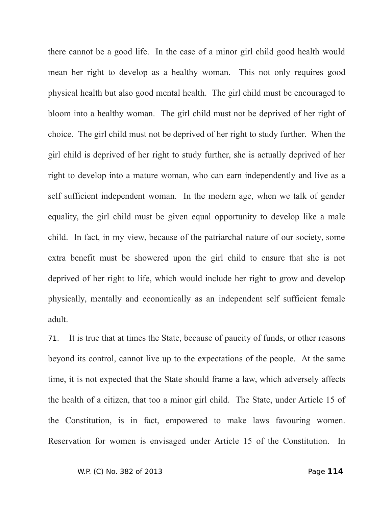there cannot be a good life. In the case of a minor girl child good health would mean her right to develop as a healthy woman. This not only requires good physical health but also good mental health. The girl child must be encouraged to bloom into a healthy woman. The girl child must not be deprived of her right of choice. The girl child must not be deprived of her right to study further. When the girl child is deprived of her right to study further, she is actually deprived of her right to develop into a mature woman, who can earn independently and live as a self sufficient independent woman. In the modern age, when we talk of gender equality, the girl child must be given equal opportunity to develop like a male child. In fact, in my view, because of the patriarchal nature of our society, some extra benefit must be showered upon the girl child to ensure that she is not deprived of her right to life, which would include her right to grow and develop physically, mentally and economically as an independent self sufficient female adult.

71. It is true that at times the State, because of paucity of funds, or other reasons beyond its control, cannot live up to the expectations of the people. At the same time, it is not expected that the State should frame a law, which adversely affects the health of a citizen, that too a minor girl child. The State, under Article 15 of the Constitution, is in fact, empowered to make laws favouring women. Reservation for women is envisaged under Article 15 of the Constitution. In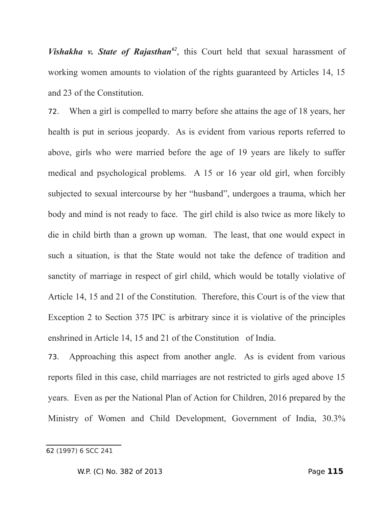*Vishakha v. State of Rajasthan*<sup>[62](#page-114-0)</sup>, this Court held that sexual harassment of working women amounts to violation of the rights guaranteed by Articles 14, 15 and 23 of the Constitution.

72. When a girl is compelled to marry before she attains the age of 18 years, her health is put in serious jeopardy. As is evident from various reports referred to above, girls who were married before the age of 19 years are likely to suffer medical and psychological problems. A 15 or 16 year old girl, when forcibly subjected to sexual intercourse by her "husband", undergoes a trauma, which her body and mind is not ready to face. The girl child is also twice as more likely to die in child birth than a grown up woman. The least, that one would expect in such a situation, is that the State would not take the defence of tradition and sanctity of marriage in respect of girl child, which would be totally violative of Article 14, 15 and 21 of the Constitution. Therefore, this Court is of the view that Exception 2 to Section 375 IPC is arbitrary since it is violative of the principles enshrined in Article 14, 15 and 21 of the Constitution of India.

73. Approaching this aspect from another angle. As is evident from various reports filed in this case, child marriages are not restricted to girls aged above 15 years. Even as per the National Plan of Action for Children, 2016 prepared by the Ministry of Women and Child Development, Government of India, 30.3%

<span id="page-114-0"></span><sup>62</sup> (1997) 6 SCC 241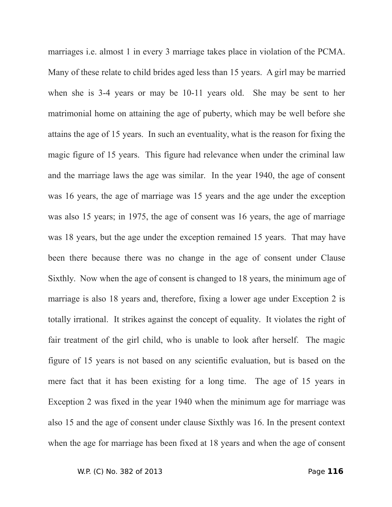marriages i.e. almost 1 in every 3 marriage takes place in violation of the PCMA. Many of these relate to child brides aged less than 15 years. A girl may be married when she is 3-4 years or may be 10-11 years old. She may be sent to her matrimonial home on attaining the age of puberty, which may be well before she attains the age of 15 years. In such an eventuality, what is the reason for fixing the magic figure of 15 years. This figure had relevance when under the criminal law and the marriage laws the age was similar. In the year 1940, the age of consent was 16 years, the age of marriage was 15 years and the age under the exception was also 15 years; in 1975, the age of consent was 16 years, the age of marriage was 18 years, but the age under the exception remained 15 years. That may have been there because there was no change in the age of consent under Clause Sixthly. Now when the age of consent is changed to 18 years, the minimum age of marriage is also 18 years and, therefore, fixing a lower age under Exception 2 is totally irrational. It strikes against the concept of equality. It violates the right of fair treatment of the girl child, who is unable to look after herself. The magic figure of 15 years is not based on any scientific evaluation, but is based on the mere fact that it has been existing for a long time. The age of 15 years in Exception 2 was fixed in the year 1940 when the minimum age for marriage was also 15 and the age of consent under clause Sixthly was 16. In the present context when the age for marriage has been fixed at 18 years and when the age of consent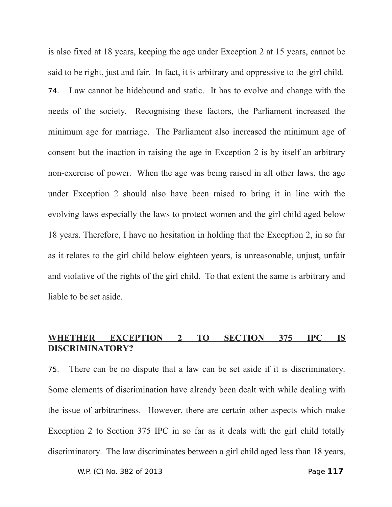is also fixed at 18 years, keeping the age under Exception 2 at 15 years, cannot be said to be right, just and fair. In fact, it is arbitrary and oppressive to the girl child. 74. Law cannot be hidebound and static. It has to evolve and change with the needs of the society. Recognising these factors, the Parliament increased the minimum age for marriage. The Parliament also increased the minimum age of consent but the inaction in raising the age in Exception 2 is by itself an arbitrary non-exercise of power. When the age was being raised in all other laws, the age under Exception 2 should also have been raised to bring it in line with the evolving laws especially the laws to protect women and the girl child aged below 18 years. Therefore, I have no hesitation in holding that the Exception 2, in so far as it relates to the girl child below eighteen years, is unreasonable, unjust, unfair and violative of the rights of the girl child. To that extent the same is arbitrary and liable to be set aside.

# **WHETHER EXCEPTION 2 TO SECTION 375 IPC IS DISCRIMINATORY?**

75. There can be no dispute that a law can be set aside if it is discriminatory. Some elements of discrimination have already been dealt with while dealing with the issue of arbitrariness. However, there are certain other aspects which make Exception 2 to Section 375 IPC in so far as it deals with the girl child totally discriminatory. The law discriminates between a girl child aged less than 18 years,

W.P. (C) No. 382 of 2013 Page **117**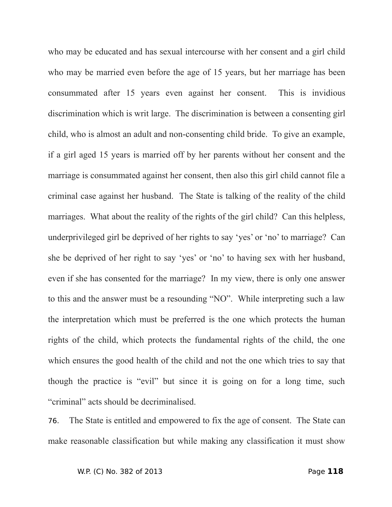who may be educated and has sexual intercourse with her consent and a girl child who may be married even before the age of 15 years, but her marriage has been consummated after 15 years even against her consent. This is invidious discrimination which is writ large. The discrimination is between a consenting girl child, who is almost an adult and non-consenting child bride. To give an example, if a girl aged 15 years is married off by her parents without her consent and the marriage is consummated against her consent, then also this girl child cannot file a criminal case against her husband. The State is talking of the reality of the child marriages. What about the reality of the rights of the girl child? Can this helpless, underprivileged girl be deprived of her rights to say 'yes' or 'no' to marriage? Can she be deprived of her right to say 'yes' or 'no' to having sex with her husband, even if she has consented for the marriage? In my view, there is only one answer to this and the answer must be a resounding "NO". While interpreting such a law the interpretation which must be preferred is the one which protects the human rights of the child, which protects the fundamental rights of the child, the one which ensures the good health of the child and not the one which tries to say that though the practice is "evil" but since it is going on for a long time, such "criminal" acts should be decriminalised.

76. The State is entitled and empowered to fix the age of consent. The State can make reasonable classification but while making any classification it must show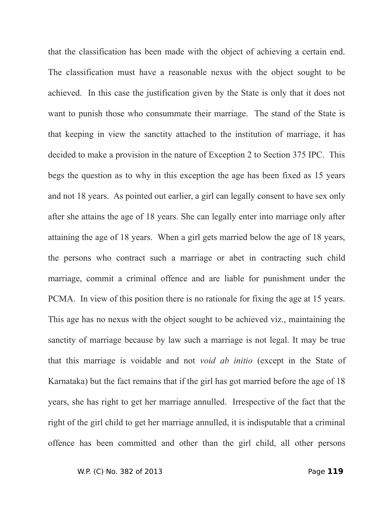that the classification has been made with the object of achieving a certain end. The classification must have a reasonable nexus with the object sought to be achieved. In this case the justification given by the State is only that it does not want to punish those who consummate their marriage. The stand of the State is that keeping in view the sanctity attached to the institution of marriage, it has decided to make a provision in the nature of Exception 2 to Section 375 IPC. This begs the question as to why in this exception the age has been fixed as 15 years and not 18 years. As pointed out earlier, a girl can legally consent to have sex only after she attains the age of 18 years. She can legally enter into marriage only after attaining the age of 18 years. When a girl gets married below the age of 18 years, the persons who contract such a marriage or abet in contracting such child marriage, commit a criminal offence and are liable for punishment under the PCMA. In view of this position there is no rationale for fixing the age at 15 years. This age has no nexus with the object sought to be achieved viz., maintaining the sanctity of marriage because by law such a marriage is not legal. It may be true that this marriage is voidable and not *void ab initio* (except in the State of Karnataka) but the fact remains that if the girl has got married before the age of 18 years, she has right to get her marriage annulled. Irrespective of the fact that the right of the girl child to get her marriage annulled, it is indisputable that a criminal offence has been committed and other than the girl child, all other persons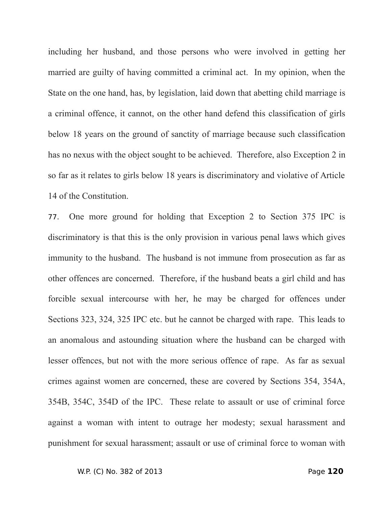including her husband, and those persons who were involved in getting her married are guilty of having committed a criminal act. In my opinion, when the State on the one hand, has, by legislation, laid down that abetting child marriage is a criminal offence, it cannot, on the other hand defend this classification of girls below 18 years on the ground of sanctity of marriage because such classification has no nexus with the object sought to be achieved. Therefore, also Exception 2 in so far as it relates to girls below 18 years is discriminatory and violative of Article 14 of the Constitution.

77. One more ground for holding that Exception 2 to Section 375 IPC is discriminatory is that this is the only provision in various penal laws which gives immunity to the husband. The husband is not immune from prosecution as far as other offences are concerned. Therefore, if the husband beats a girl child and has forcible sexual intercourse with her, he may be charged for offences under Sections 323, 324, 325 IPC etc. but he cannot be charged with rape. This leads to an anomalous and astounding situation where the husband can be charged with lesser offences, but not with the more serious offence of rape. As far as sexual crimes against women are concerned, these are covered by Sections 354, 354A, 354B, 354C, 354D of the IPC. These relate to assault or use of criminal force against a woman with intent to outrage her modesty; sexual harassment and punishment for sexual harassment; assault or use of criminal force to woman with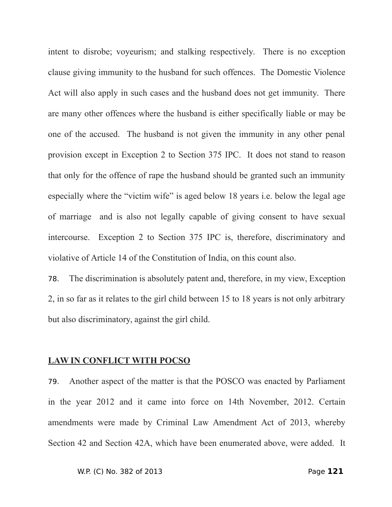intent to disrobe; voyeurism; and stalking respectively. There is no exception clause giving immunity to the husband for such offences. The Domestic Violence Act will also apply in such cases and the husband does not get immunity. There are many other offences where the husband is either specifically liable or may be one of the accused. The husband is not given the immunity in any other penal provision except in Exception 2 to Section 375 IPC. It does not stand to reason that only for the offence of rape the husband should be granted such an immunity especially where the "victim wife" is aged below 18 years i.e. below the legal age of marriage and is also not legally capable of giving consent to have sexual intercourse. Exception 2 to Section 375 IPC is, therefore, discriminatory and violative of Article 14 of the Constitution of India, on this count also.

78. The discrimination is absolutely patent and, therefore, in my view, Exception 2, in so far as it relates to the girl child between 15 to 18 years is not only arbitrary but also discriminatory, against the girl child.

## **LAW IN CONFLICT WITH POCSO**

79. Another aspect of the matter is that the POSCO was enacted by Parliament in the year 2012 and it came into force on 14th November, 2012. Certain amendments were made by Criminal Law Amendment Act of 2013, whereby Section 42 and Section 42A, which have been enumerated above, were added. It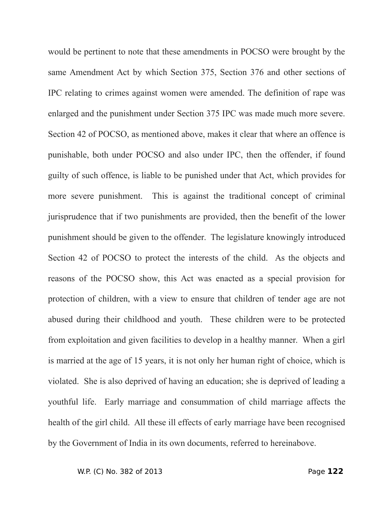would be pertinent to note that these amendments in POCSO were brought by the same Amendment Act by which Section 375, Section 376 and other sections of IPC relating to crimes against women were amended. The definition of rape was enlarged and the punishment under Section 375 IPC was made much more severe. Section 42 of POCSO, as mentioned above, makes it clear that where an offence is punishable, both under POCSO and also under IPC, then the offender, if found guilty of such offence, is liable to be punished under that Act, which provides for more severe punishment. This is against the traditional concept of criminal jurisprudence that if two punishments are provided, then the benefit of the lower punishment should be given to the offender. The legislature knowingly introduced Section 42 of POCSO to protect the interests of the child. As the objects and reasons of the POCSO show, this Act was enacted as a special provision for protection of children, with a view to ensure that children of tender age are not abused during their childhood and youth. These children were to be protected from exploitation and given facilities to develop in a healthy manner. When a girl is married at the age of 15 years, it is not only her human right of choice, which is violated. She is also deprived of having an education; she is deprived of leading a youthful life. Early marriage and consummation of child marriage affects the health of the girl child. All these ill effects of early marriage have been recognised by the Government of India in its own documents, referred to hereinabove.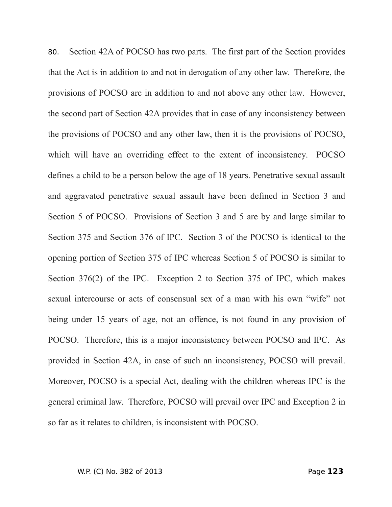80. Section 42A of POCSO has two parts. The first part of the Section provides that the Act is in addition to and not in derogation of any other law. Therefore, the provisions of POCSO are in addition to and not above any other law. However, the second part of Section 42A provides that in case of any inconsistency between the provisions of POCSO and any other law, then it is the provisions of POCSO, which will have an overriding effect to the extent of inconsistency. POCSO defines a child to be a person below the age of 18 years. Penetrative sexual assault and aggravated penetrative sexual assault have been defined in Section 3 and Section 5 of POCSO. Provisions of Section 3 and 5 are by and large similar to Section 375 and Section 376 of IPC. Section 3 of the POCSO is identical to the opening portion of Section 375 of IPC whereas Section 5 of POCSO is similar to Section 376(2) of the IPC. Exception 2 to Section 375 of IPC, which makes sexual intercourse or acts of consensual sex of a man with his own "wife" not being under 15 years of age, not an offence, is not found in any provision of POCSO. Therefore, this is a major inconsistency between POCSO and IPC. As provided in Section 42A, in case of such an inconsistency, POCSO will prevail. Moreover, POCSO is a special Act, dealing with the children whereas IPC is the general criminal law. Therefore, POCSO will prevail over IPC and Exception 2 in so far as it relates to children, is inconsistent with POCSO.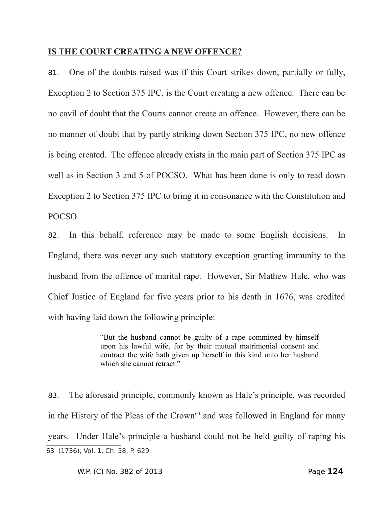## **IS THE COURT CREATING A NEW OFFENCE?**

81. One of the doubts raised was if this Court strikes down, partially or fully, Exception 2 to Section 375 IPC, is the Court creating a new offence. There can be no cavil of doubt that the Courts cannot create an offence. However, there can be no manner of doubt that by partly striking down Section 375 IPC, no new offence is being created. The offence already exists in the main part of Section 375 IPC as well as in Section 3 and 5 of POCSO. What has been done is only to read down Exception 2 to Section 375 IPC to bring it in consonance with the Constitution and POCSO.

82. In this behalf, reference may be made to some English decisions. In England, there was never any such statutory exception granting immunity to the husband from the offence of marital rape. However, Sir Mathew Hale, who was Chief Justice of England for five years prior to his death in 1676, was credited with having laid down the following principle:

> "But the husband cannot be guilty of a rape committed by himself upon his lawful wife, for by their mutual matrimonial consent and contract the wife hath given up herself in this kind unto her husband which she cannot retract."

83. The aforesaid principle, commonly known as Hale's principle, was recorded in the History of the Pleas of the Crown<sup>[63](#page-123-0)</sup> and was followed in England for many years. Under Hale's principle a husband could not be held guilty of raping his 63 (1736), Vol. 1, Ch. 58, P. 629

<span id="page-123-0"></span>W.P. (C) No. 382 of 2013 Page **124**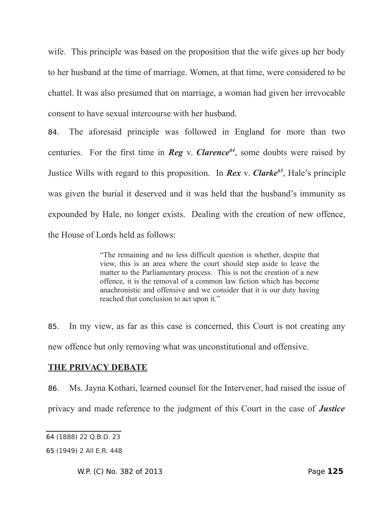wife. This principle was based on the proposition that the wife gives up her body to her husband at the time of marriage. Women, at that time, were considered to be chattel. It was also presumed that on marriage, a woman had given her irrevocable consent to have sexual intercourse with her husband.

84. The aforesaid principle was followed in England for more than two centuries. For the first time in *Reg* v. *Clarence[64](#page-124-0)*, some doubts were raised by Justice Wills with regard to this proposition. In *Rex* v. *Clarke[65](#page-124-1)*, Hale's principle was given the burial it deserved and it was held that the husband's immunity as expounded by Hale, no longer exists. Dealing with the creation of new offence, the House of Lords held as follows:

> "The remaining and no less difficult question is whether, despite that view, this is an area where the court should step aside to leave the matter to the Parliamentary process. This is not the creation of a new offence, it is the removal of a common law fiction which has become anachronistic and offensive and we consider that it is our duty having reached that conclusion to act upon it."

85. In my view, as far as this case is concerned, this Court is not creating any new offence but only removing what was unconstitutional and offensive.

## **THE PRIVACY DEBATE**

86. Ms. Jayna Kothari, learned counsel for the Intervener, had raised the issue of privacy and made reference to the judgment of this Court in the case of *Justice*

W.P. (C) No. 382 of 2013 Page **125**

<span id="page-124-0"></span><sup>64</sup> (1888) 22 Q.B.D. 23

<span id="page-124-1"></span><sup>65</sup> (1949) 2 All E.R. 448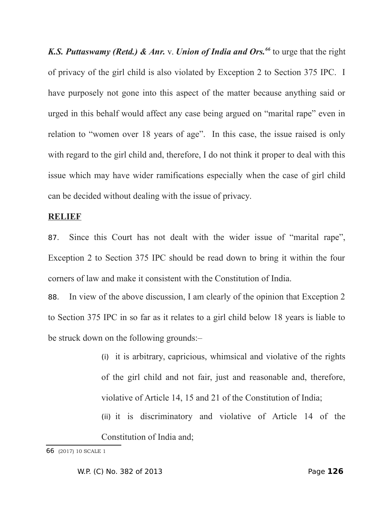*K.S. Puttaswamy (Retd.) & Anr.* v. *Union of India and Ors.[66](#page-125-0)* to urge that the right of privacy of the girl child is also violated by Exception 2 to Section 375 IPC. I have purposely not gone into this aspect of the matter because anything said or urged in this behalf would affect any case being argued on "marital rape" even in relation to "women over 18 years of age". In this case, the issue raised is only with regard to the girl child and, therefore, I do not think it proper to deal with this issue which may have wider ramifications especially when the case of girl child can be decided without dealing with the issue of privacy.

#### **RELIEF**

87. Since this Court has not dealt with the wider issue of "marital rape", Exception 2 to Section 375 IPC should be read down to bring it within the four corners of law and make it consistent with the Constitution of India.

88. In view of the above discussion, I am clearly of the opinion that Exception 2 to Section 375 IPC in so far as it relates to a girl child below 18 years is liable to be struck down on the following grounds:–

> (i) it is arbitrary, capricious, whimsical and violative of the rights of the girl child and not fair, just and reasonable and, therefore, violative of Article 14, 15 and 21 of the Constitution of India;

> (ii) it is discriminatory and violative of Article 14 of the Constitution of India and;

<span id="page-125-0"></span><sup>66</sup> (2017) 10 SCALE 1